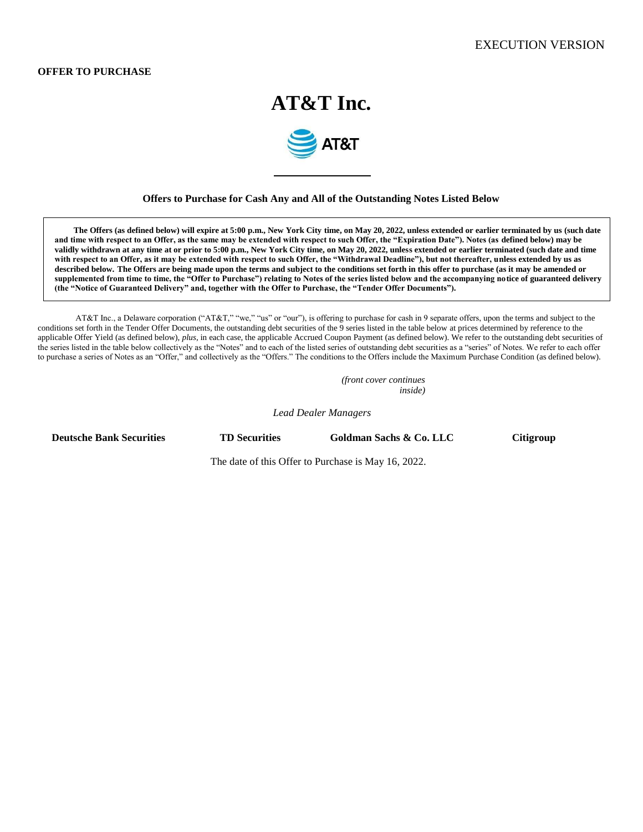## **OFFER TO PURCHASE**

# **AT&T Inc.**



## **Offers to Purchase for Cash Any and All of the Outstanding Notes Listed Below**

**The Offers (as defined below) will expire at 5:00 p.m., New York City time, on May 20, 2022, unless extended or earlier terminated by us (such date and time with respect to an Offer, as the same may be extended with respect to such Offer, the "Expiration Date"). Notes (as defined below) may be validly withdrawn at any time at or prior to 5:00 p.m., New York City time, on May 20, 2022, unless extended or earlier terminated (such date and time with respect to an Offer, as it may be extended with respect to such Offer, the "Withdrawal Deadline"), but not thereafter, unless extended by us as described below. The Offers are being made upon the terms and subject to the conditions set forth in this offer to purchase (as it may be amended or supplemented from time to time, the "Offer to Purchase") relating to Notes of the series listed below and the accompanying notice of guaranteed delivery (the "Notice of Guaranteed Delivery" and, together with the Offer to Purchase, the "Tender Offer Documents").**

AT&T Inc., a Delaware corporation ("AT&T," "we," "us" or "our"), is offering to purchase for cash in 9 separate offers, upon the terms and subject to the conditions set forth in the Tender Offer Documents, the outstanding debt securities of the 9 series listed in the table below at prices determined by reference to the applicable Offer Yield (as defined below), *plus*, in each case, the applicable Accrued Coupon Payment (as defined below). We refer to the outstanding debt securities of the series listed in the table below collectively as the "Notes" and to each of the listed series of outstanding debt securities as a "series" of Notes. We refer to each offer to purchase a series of Notes as an "Offer," and collectively as the "Offers." The conditions to the Offers include the Maximum Purchase Condition (as defined below).

> *(front cover continues inside)*

*Lead Dealer Managers*

**Deutsche Bank Securities TD Securities Goldman Sachs & Co. LLC Citigroup** 

The date of this Offer to Purchase is May 16, 2022.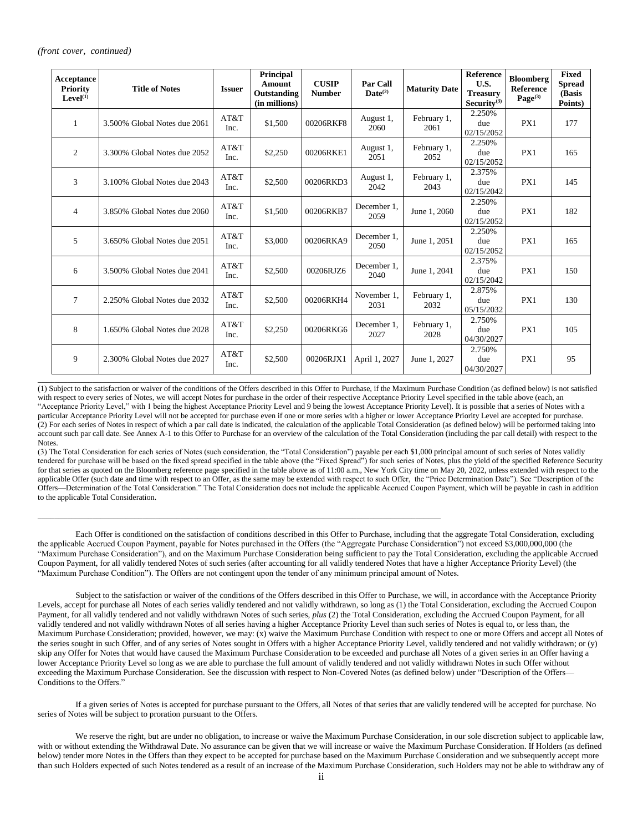#### *(front cover, continued)*

| Acceptance<br><b>Priority</b><br>Level <sup>(1)</sup> | <b>Title of Notes</b>        | <b>Issuer</b> | Principal<br>Amount<br>Outstanding<br>(in millions) | <b>CUSIP</b><br><b>Number</b> | Par Call<br>$\mathbf{Date}^{(2)}$ | <b>Maturity Date</b> | Reference<br>U.S.<br><b>Treasury</b><br>Security $^{(3)}$ | <b>Bloomberg</b><br>Reference<br>$Page^{(3)}$ | Fixed<br><b>Spread</b><br>(Basis<br>Points) |
|-------------------------------------------------------|------------------------------|---------------|-----------------------------------------------------|-------------------------------|-----------------------------------|----------------------|-----------------------------------------------------------|-----------------------------------------------|---------------------------------------------|
| 1                                                     | 3.500% Global Notes due 2061 | AT&T<br>Inc.  | \$1,500                                             | 00206RKF8                     | August 1,<br>2060                 | February 1,<br>2061  | 2.250%<br>due<br>02/15/2052                               | PX1                                           | 177                                         |
| 2                                                     | 3.300% Global Notes due 2052 | AT&T<br>Inc.  | \$2,250                                             | 00206RKE1                     | August 1,<br>2051                 | February 1,<br>2052  | 2.250%<br>due<br>02/15/2052                               | PX1                                           | 165                                         |
| 3                                                     | 3.100% Global Notes due 2043 | AT&T<br>Inc.  | \$2,500                                             | 00206RKD3                     | August 1,<br>2042                 | February 1,<br>2043  | 2.375%<br>due<br>02/15/2042                               | PX1                                           | 145                                         |
| $\overline{4}$                                        | 3.850% Global Notes due 2060 | AT&T<br>Inc.  | \$1,500                                             | 00206RKB7                     | December 1.<br>2059               | June 1, 2060         | 2.250%<br>due<br>02/15/2052                               | PX1                                           | 182                                         |
| 5                                                     | 3.650% Global Notes due 2051 | AT&T<br>Inc.  | \$3,000                                             | 00206RKA9                     | December 1,<br>2050               | June 1, 2051         | 2.250%<br>due<br>02/15/2052                               | PX1                                           | 165                                         |
| 6                                                     | 3.500% Global Notes due 2041 | AT&T<br>Inc.  | \$2,500                                             | 00206RJZ6                     | December 1,<br>2040               | June 1, 2041         | 2.375%<br>due<br>02/15/2042                               | PX1                                           | 150                                         |
| 7                                                     | 2.250% Global Notes due 2032 | AT&T<br>Inc.  | \$2,500                                             | 00206RKH4                     | November 1.<br>2031               | February 1,<br>2032  | 2.875%<br>due<br>05/15/2032                               | PX1                                           | 130                                         |
| 8                                                     | 1.650% Global Notes due 2028 | AT&T<br>Inc.  | \$2,250                                             | 00206RKG6                     | December 1,<br>2027               | February 1,<br>2028  | 2.750%<br>due<br>04/30/2027                               | PX1                                           | 105                                         |
| 9                                                     | 2.300% Global Notes due 2027 | AT&T<br>Inc.  | \$2,500                                             | 00206RJX1                     | April 1, 2027                     | June 1, 2027         | 2.750%<br>due<br>04/30/2027                               | PX1                                           | 95                                          |

(1) Subject to the satisfaction or waiver of the conditions of the Offers described in this Offer to Purchase, if the Maximum Purchase Condition (as defined below) is not satisfied with respect to every series of Notes, we will accept Notes for purchase in the order of their respective Acceptance Priority Level specified in the table above (each, an "Acceptance Priority Level," with 1 being the highest Acceptance Priority Level and 9 being the lowest Acceptance Priority Level). It is possible that a series of Notes with a particular Acceptance Priority Level will not be accepted for purchase even if one or more series with a higher or lower Acceptance Priority Level are accepted for purchase. (2) For each series of Notes in respect of which a par call date is indicated, the calculation of the applicable Total Consideration (as defined below) will be performed taking into account such par call date. See Annex A-1 to this Offer to Purchase for an overview of the calculation of the Total Consideration (including the par call detail) with respect to the Notes.

\_\_\_\_\_\_\_\_\_\_\_\_\_\_\_\_\_\_\_\_\_\_\_\_\_\_\_\_\_\_\_\_\_\_\_\_\_\_\_\_\_\_\_\_\_\_\_\_\_\_\_\_\_\_\_\_\_\_\_\_\_\_\_\_\_\_\_\_\_\_\_\_\_\_\_\_\_\_\_\_\_\_\_\_\_\_\_\_\_\_\_\_\_\_\_\_

\_\_\_\_\_\_\_\_\_\_\_\_\_\_\_\_\_\_\_\_\_\_\_\_\_\_\_\_\_\_\_\_\_\_\_\_\_\_\_\_\_\_\_\_\_\_\_\_\_\_\_\_\_\_\_\_\_\_\_\_\_\_\_\_\_\_\_\_\_\_\_\_\_\_\_\_\_\_\_\_\_\_\_\_\_\_\_\_\_\_\_\_\_\_\_\_

(3) The Total Consideration for each series of Notes (such consideration, the "Total Consideration") payable per each \$1,000 principal amount of such series of Notes validly tendered for purchase will be based on the fixed spread specified in the table above (the "Fixed Spread") for such series of Notes, plus the yield of the specified Reference Security for that series as quoted on the Bloomberg reference page specified in the table above as of 11:00 a.m., New York City time on May 20, 2022, unless extended with respect to the applicable Offer (such date and time with respect to an Offer, as the same may be extended with respect to such Offer, the "Price Determination Date"). See "Description of the Offers—Determination of the Total Consideration." The Total Consideration does not include the applicable Accrued Coupon Payment, which will be payable in cash in addition to the applicable Total Consideration.

Each Offer is conditioned on the satisfaction of conditions described in this Offer to Purchase, including that the aggregate Total Consideration, excluding the applicable Accrued Coupon Payment, payable for Notes purchased in the Offers (the "Aggregate Purchase Consideration") not exceed \$3,000,000,000 (the "Maximum Purchase Consideration"), and on the Maximum Purchase Consideration being sufficient to pay the Total Consideration, excluding the applicable Accrued Coupon Payment, for all validly tendered Notes of such series (after accounting for all validly tendered Notes that have a higher Acceptance Priority Level) (the "Maximum Purchase Condition"). The Offers are not contingent upon the tender of any minimum principal amount of Notes.

Subject to the satisfaction or waiver of the conditions of the Offers described in this Offer to Purchase, we will, in accordance with the Acceptance Priority Levels, accept for purchase all Notes of each series validly tendered and not validly withdrawn, so long as (1) the Total Consideration, excluding the Accrued Coupon Payment, for all validly tendered and not validly withdrawn Notes of such series, *plus* (2) the Total Consideration, excluding the Accrued Coupon Payment, for all validly tendered and not validly withdrawn Notes of all series having a higher Acceptance Priority Level than such series of Notes is equal to, or less than, the Maximum Purchase Consideration; provided, however, we may: (x) waive the Maximum Purchase Condition with respect to one or more Offers and accept all Notes of the series sought in such Offer, and of any series of Notes sought in Offers with a higher Acceptance Priority Level, validly tendered and not validly withdrawn; or (y) skip any Offer for Notes that would have caused the Maximum Purchase Consideration to be exceeded and purchase all Notes of a given series in an Offer having a lower Acceptance Priority Level so long as we are able to purchase the full amount of validly tendered and not validly withdrawn Notes in such Offer without exceeding the Maximum Purchase Consideration. See the discussion with respect to Non-Covered Notes (as defined below) under "Description of the Offers— Conditions to the Offers."

If a given series of Notes is accepted for purchase pursuant to the Offers, all Notes of that series that are validly tendered will be accepted for purchase. No series of Notes will be subject to proration pursuant to the Offers.

We reserve the right, but are under no obligation, to increase or waive the Maximum Purchase Consideration, in our sole discretion subject to applicable law, with or without extending the Withdrawal Date. No assurance can be given that we will increase or waive the Maximum Purchase Consideration. If Holders (as defined below) tender more Notes in the Offers than they expect to be accepted for purchase based on the Maximum Purchase Consideration and we subsequently accept more than such Holders expected of such Notes tendered as a result of an increase of the Maximum Purchase Consideration, such Holders may not be able to withdraw any of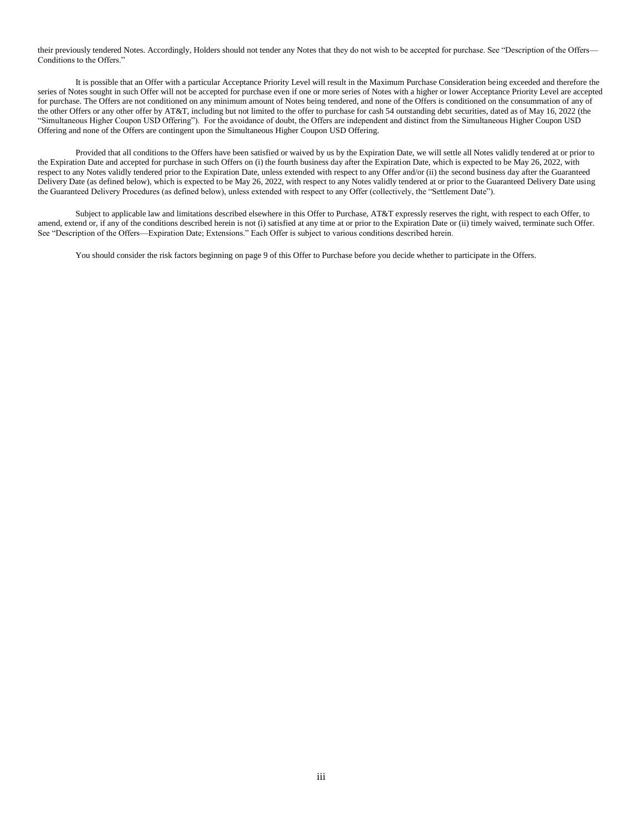their previously tendered Notes. Accordingly, Holders should not tender any Notes that they do not wish to be accepted for purchase. See "Description of the Offers— Conditions to the Offers."

It is possible that an Offer with a particular Acceptance Priority Level will result in the Maximum Purchase Consideration being exceeded and therefore the series of Notes sought in such Offer will not be accepted for purchase even if one or more series of Notes with a higher or lower Acceptance Priority Level are accepted for purchase. The Offers are not conditioned on any minimum amount of Notes being tendered, and none of the Offers is conditioned on the consummation of any of the other Offers or any other offer by AT&T, including but not limited to the offer to purchase for cash 54 outstanding debt securities, dated as of May 16, 2022 (the "Simultaneous Higher Coupon USD Offering"). For the avoidance of doubt, the Offers are independent and distinct from the Simultaneous Higher Coupon USD Offering and none of the Offers are contingent upon the Simultaneous Higher Coupon USD Offering.

Provided that all conditions to the Offers have been satisfied or waived by us by the Expiration Date, we will settle all Notes validly tendered at or prior to the Expiration Date and accepted for purchase in such Offers on (i) the fourth business day after the Expiration Date, which is expected to be May 26, 2022, with respect to any Notes validly tendered prior to the Expiration Date, unless extended with respect to any Offer and/or (ii) the second business day after the Guaranteed Delivery Date (as defined below), which is expected to be May 26, 2022, with respect to any Notes validly tendered at or prior to the Guaranteed Delivery Date using the Guaranteed Delivery Procedures (as defined below), unless extended with respect to any Offer (collectively, the "Settlement Date").

Subject to applicable law and limitations described elsewhere in this Offer to Purchase, AT&T expressly reserves the right, with respect to each Offer, to amend, extend or, if any of the conditions described herein is not (i) satisfied at any time at or prior to the Expiration Date or (ii) timely waived, terminate such Offer. See "Description of the Offers—Expiration Date; Extensions." Each Offer is subject to various conditions described herein.

You should consider the risk factors beginning on page 9 of this Offer to Purchase before you decide whether to participate in the Offers.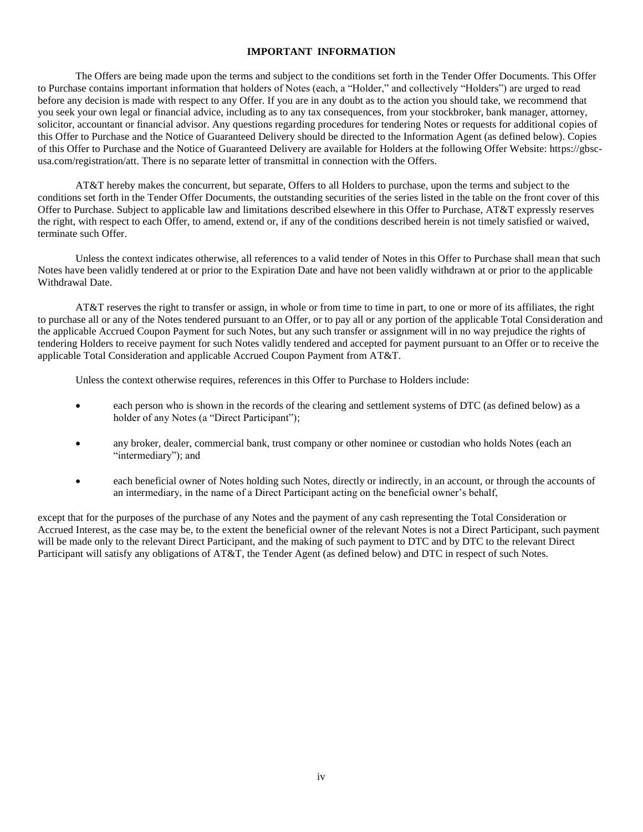# **IMPORTANT INFORMATION**

The Offers are being made upon the terms and subject to the conditions set forth in the Tender Offer Documents. This Offer to Purchase contains important information that holders of Notes (each, a "Holder," and collectively "Holders") are urged to read before any decision is made with respect to any Offer. If you are in any doubt as to the action you should take, we recommend that you seek your own legal or financial advice, including as to any tax consequences, from your stockbroker, bank manager, attorney, solicitor, accountant or financial advisor. Any questions regarding procedures for tendering Notes or requests for additional copies of this Offer to Purchase and the Notice of Guaranteed Delivery should be directed to the Information Agent (as defined below). Copies of this Offer to Purchase and the Notice of Guaranteed Delivery are available for Holders at the following Offer Website: https://gbscusa.com/registration/att. There is no separate letter of transmittal in connection with the Offers.

AT&T hereby makes the concurrent, but separate, Offers to all Holders to purchase, upon the terms and subject to the conditions set forth in the Tender Offer Documents, the outstanding securities of the series listed in the table on the front cover of this Offer to Purchase. Subject to applicable law and limitations described elsewhere in this Offer to Purchase, AT&T expressly reserves the right, with respect to each Offer, to amend, extend or, if any of the conditions described herein is not timely satisfied or waived, terminate such Offer.

Unless the context indicates otherwise, all references to a valid tender of Notes in this Offer to Purchase shall mean that such Notes have been validly tendered at or prior to the Expiration Date and have not been validly withdrawn at or prior to the applicable Withdrawal Date.

AT&T reserves the right to transfer or assign, in whole or from time to time in part, to one or more of its affiliates, the right to purchase all or any of the Notes tendered pursuant to an Offer, or to pay all or any portion of the applicable Total Consideration and the applicable Accrued Coupon Payment for such Notes, but any such transfer or assignment will in no way prejudice the rights of tendering Holders to receive payment for such Notes validly tendered and accepted for payment pursuant to an Offer or to receive the applicable Total Consideration and applicable Accrued Coupon Payment from AT&T.

Unless the context otherwise requires, references in this Offer to Purchase to Holders include:

- each person who is shown in the records of the clearing and settlement systems of DTC (as defined below) as a holder of any Notes (a "Direct Participant");
- any broker, dealer, commercial bank, trust company or other nominee or custodian who holds Notes (each an "intermediary"); and
- each beneficial owner of Notes holding such Notes, directly or indirectly, in an account, or through the accounts of an intermediary, in the name of a Direct Participant acting on the beneficial owner's behalf,

except that for the purposes of the purchase of any Notes and the payment of any cash representing the Total Consideration or Accrued Interest, as the case may be, to the extent the beneficial owner of the relevant Notes is not a Direct Participant, such payment will be made only to the relevant Direct Participant, and the making of such payment to DTC and by DTC to the relevant Direct Participant will satisfy any obligations of AT&T, the Tender Agent (as defined below) and DTC in respect of such Notes.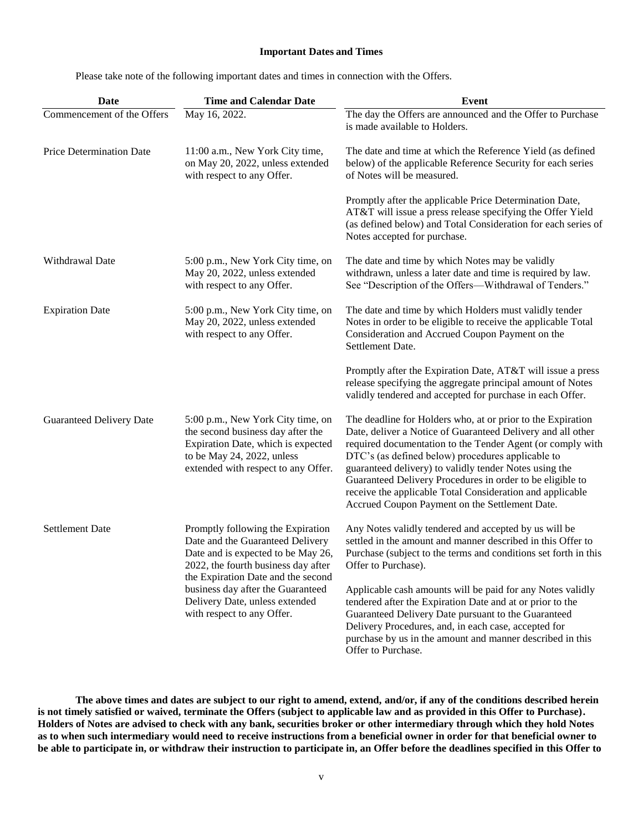# **Important Dates and Times**

Please take note of the following important dates and times in connection with the Offers.

| Date                            | <b>Time and Calendar Date</b>                                                                                                                                                            | <b>Event</b>                                                                                                                                                                                                                                                                                                                                                                                                                                                                        |
|---------------------------------|------------------------------------------------------------------------------------------------------------------------------------------------------------------------------------------|-------------------------------------------------------------------------------------------------------------------------------------------------------------------------------------------------------------------------------------------------------------------------------------------------------------------------------------------------------------------------------------------------------------------------------------------------------------------------------------|
| Commencement of the Offers      | May 16, 2022.                                                                                                                                                                            | The day the Offers are announced and the Offer to Purchase<br>is made available to Holders.                                                                                                                                                                                                                                                                                                                                                                                         |
| Price Determination Date        | 11:00 a.m., New York City time,<br>on May 20, 2022, unless extended<br>with respect to any Offer.                                                                                        | The date and time at which the Reference Yield (as defined<br>below) of the applicable Reference Security for each series<br>of Notes will be measured.                                                                                                                                                                                                                                                                                                                             |
|                                 |                                                                                                                                                                                          | Promptly after the applicable Price Determination Date,<br>AT&T will issue a press release specifying the Offer Yield<br>(as defined below) and Total Consideration for each series of<br>Notes accepted for purchase.                                                                                                                                                                                                                                                              |
| Withdrawal Date                 | 5:00 p.m., New York City time, on<br>May 20, 2022, unless extended<br>with respect to any Offer.                                                                                         | The date and time by which Notes may be validly<br>withdrawn, unless a later date and time is required by law.<br>See "Description of the Offers-Withdrawal of Tenders."                                                                                                                                                                                                                                                                                                            |
| <b>Expiration Date</b>          | 5:00 p.m., New York City time, on<br>May 20, 2022, unless extended<br>with respect to any Offer.                                                                                         | The date and time by which Holders must validly tender<br>Notes in order to be eligible to receive the applicable Total<br>Consideration and Accrued Coupon Payment on the<br>Settlement Date.                                                                                                                                                                                                                                                                                      |
|                                 |                                                                                                                                                                                          | Promptly after the Expiration Date, AT&T will issue a press<br>release specifying the aggregate principal amount of Notes<br>validly tendered and accepted for purchase in each Offer.                                                                                                                                                                                                                                                                                              |
| <b>Guaranteed Delivery Date</b> | 5:00 p.m., New York City time, on<br>the second business day after the<br>Expiration Date, which is expected<br>to be May 24, 2022, unless<br>extended with respect to any Offer.        | The deadline for Holders who, at or prior to the Expiration<br>Date, deliver a Notice of Guaranteed Delivery and all other<br>required documentation to the Tender Agent (or comply with<br>DTC's (as defined below) procedures applicable to<br>guaranteed delivery) to validly tender Notes using the<br>Guaranteed Delivery Procedures in order to be eligible to<br>receive the applicable Total Consideration and applicable<br>Accrued Coupon Payment on the Settlement Date. |
| <b>Settlement Date</b>          | Promptly following the Expiration<br>Date and the Guaranteed Delivery<br>Date and is expected to be May 26,<br>2022, the fourth business day after<br>the Expiration Date and the second | Any Notes validly tendered and accepted by us will be<br>settled in the amount and manner described in this Offer to<br>Purchase (subject to the terms and conditions set forth in this<br>Offer to Purchase).                                                                                                                                                                                                                                                                      |
|                                 | business day after the Guaranteed<br>Delivery Date, unless extended<br>with respect to any Offer.                                                                                        | Applicable cash amounts will be paid for any Notes validly<br>tendered after the Expiration Date and at or prior to the<br>Guaranteed Delivery Date pursuant to the Guaranteed<br>Delivery Procedures, and, in each case, accepted for<br>purchase by us in the amount and manner described in this<br>Offer to Purchase.                                                                                                                                                           |

**The above times and dates are subject to our right to amend, extend, and/or, if any of the conditions described herein is not timely satisfied or waived, terminate the Offers (subject to applicable law and as provided in this Offer to Purchase). Holders of Notes are advised to check with any bank, securities broker or other intermediary through which they hold Notes as to when such intermediary would need to receive instructions from a beneficial owner in order for that beneficial owner to be able to participate in, or withdraw their instruction to participate in, an Offer before the deadlines specified in this Offer to**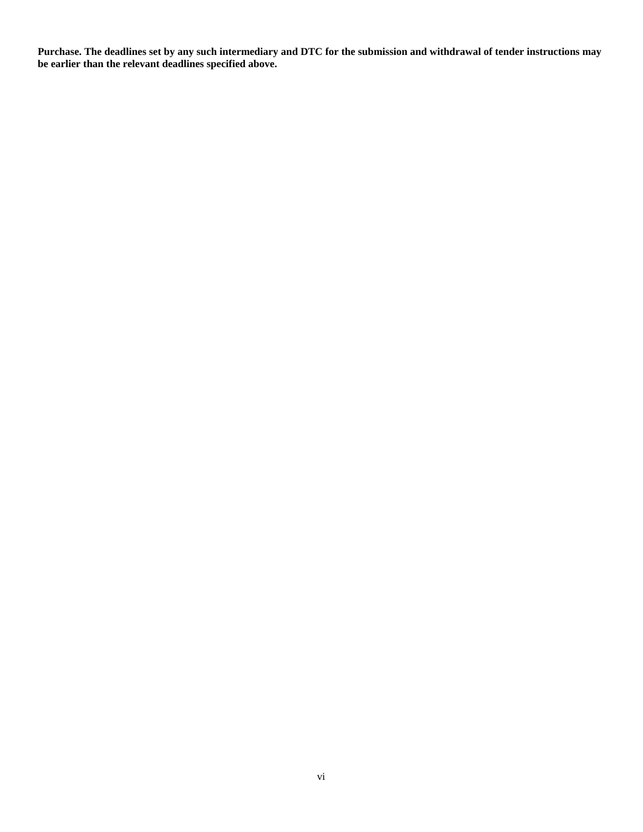**Purchase. The deadlines set by any such intermediary and DTC for the submission and withdrawal of tender instructions may be earlier than the relevant deadlines specified above.**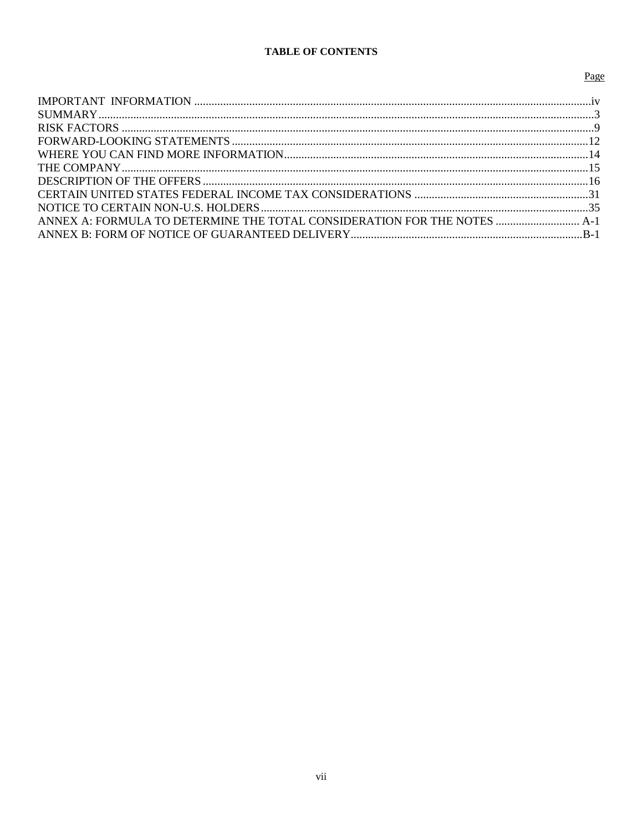# **TABLE OF CONTENTS**

# Page

| ANNEX A: FORMULA TO DETERMINE THE TOTAL CONSIDERATION FOR THE NOTES  A-1 |
|--------------------------------------------------------------------------|
|                                                                          |
|                                                                          |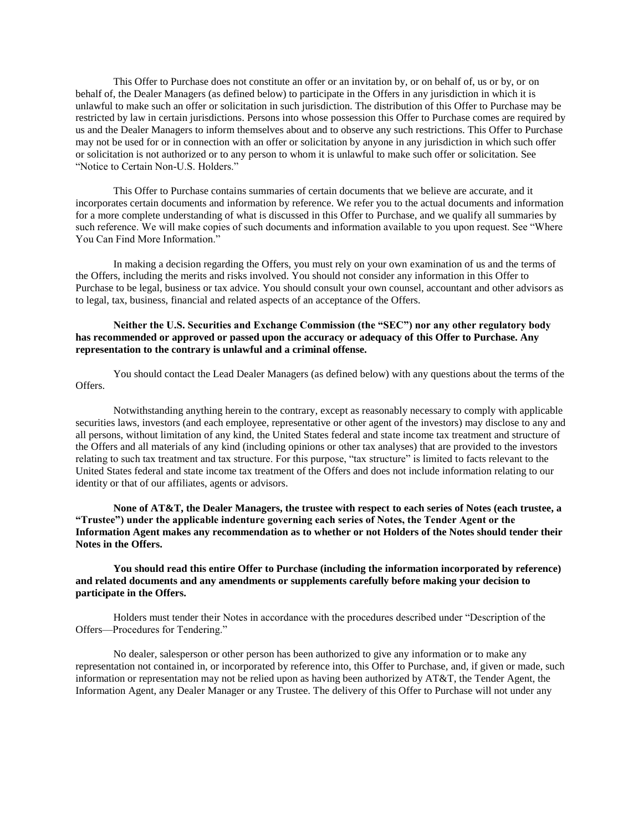This Offer to Purchase does not constitute an offer or an invitation by, or on behalf of, us or by, or on behalf of, the Dealer Managers (as defined below) to participate in the Offers in any jurisdiction in which it is unlawful to make such an offer or solicitation in such jurisdiction. The distribution of this Offer to Purchase may be restricted by law in certain jurisdictions. Persons into whose possession this Offer to Purchase comes are required by us and the Dealer Managers to inform themselves about and to observe any such restrictions. This Offer to Purchase may not be used for or in connection with an offer or solicitation by anyone in any jurisdiction in which such offer or solicitation is not authorized or to any person to whom it is unlawful to make such offer or solicitation. See "Notice to Certain Non-U.S. Holders."

This Offer to Purchase contains summaries of certain documents that we believe are accurate, and it incorporates certain documents and information by reference. We refer you to the actual documents and information for a more complete understanding of what is discussed in this Offer to Purchase, and we qualify all summaries by such reference. We will make copies of such documents and information available to you upon request. See "Where You Can Find More Information."

In making a decision regarding the Offers, you must rely on your own examination of us and the terms of the Offers, including the merits and risks involved. You should not consider any information in this Offer to Purchase to be legal, business or tax advice. You should consult your own counsel, accountant and other advisors as to legal, tax, business, financial and related aspects of an acceptance of the Offers.

## **Neither the U.S. Securities and Exchange Commission (the "SEC") nor any other regulatory body has recommended or approved or passed upon the accuracy or adequacy of this Offer to Purchase. Any representation to the contrary is unlawful and a criminal offense.**

You should contact the Lead Dealer Managers (as defined below) with any questions about the terms of the Offers.

Notwithstanding anything herein to the contrary, except as reasonably necessary to comply with applicable securities laws, investors (and each employee, representative or other agent of the investors) may disclose to any and all persons, without limitation of any kind, the United States federal and state income tax treatment and structure of the Offers and all materials of any kind (including opinions or other tax analyses) that are provided to the investors relating to such tax treatment and tax structure. For this purpose, "tax structure" is limited to facts relevant to the United States federal and state income tax treatment of the Offers and does not include information relating to our identity or that of our affiliates, agents or advisors.

**None of AT&T, the Dealer Managers, the trustee with respect to each series of Notes (each trustee, a "Trustee") under the applicable indenture governing each series of Notes, the Tender Agent or the Information Agent makes any recommendation as to whether or not Holders of the Notes should tender their Notes in the Offers.**

**You should read this entire Offer to Purchase (including the information incorporated by reference) and related documents and any amendments or supplements carefully before making your decision to participate in the Offers.**

Holders must tender their Notes in accordance with the procedures described under "Description of the Offers—Procedures for Tendering."

No dealer, salesperson or other person has been authorized to give any information or to make any representation not contained in, or incorporated by reference into, this Offer to Purchase, and, if given or made, such information or representation may not be relied upon as having been authorized by AT&T, the Tender Agent, the Information Agent, any Dealer Manager or any Trustee. The delivery of this Offer to Purchase will not under any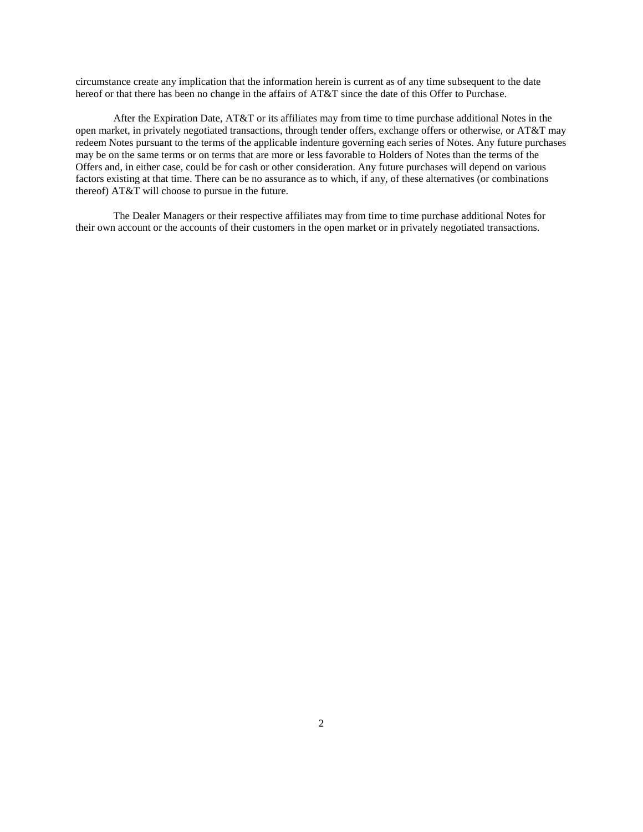circumstance create any implication that the information herein is current as of any time subsequent to the date hereof or that there has been no change in the affairs of AT&T since the date of this Offer to Purchase.

After the Expiration Date, AT&T or its affiliates may from time to time purchase additional Notes in the open market, in privately negotiated transactions, through tender offers, exchange offers or otherwise, or AT&T may redeem Notes pursuant to the terms of the applicable indenture governing each series of Notes. Any future purchases may be on the same terms or on terms that are more or less favorable to Holders of Notes than the terms of the Offers and, in either case, could be for cash or other consideration. Any future purchases will depend on various factors existing at that time. There can be no assurance as to which, if any, of these alternatives (or combinations thereof) AT&T will choose to pursue in the future.

The Dealer Managers or their respective affiliates may from time to time purchase additional Notes for their own account or the accounts of their customers in the open market or in privately negotiated transactions.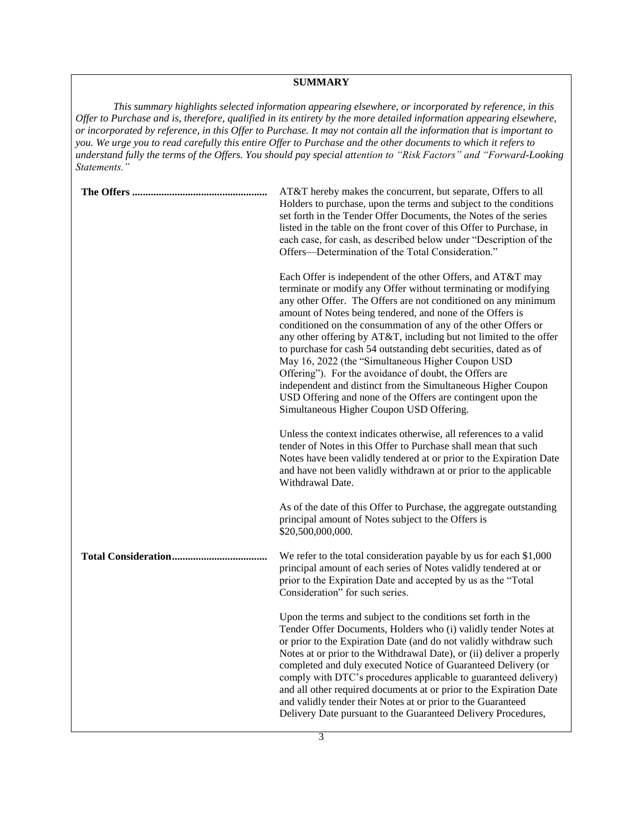# **SUMMARY**

*This summary highlights selected information appearing elsewhere, or incorporated by reference, in this Offer to Purchase and is, therefore, qualified in its entirety by the more detailed information appearing elsewhere, or incorporated by reference, in this Offer to Purchase. It may not contain all the information that is important to you. We urge you to read carefully this entire Offer to Purchase and the other documents to which it refers to understand fully the terms of the Offers. You should pay special attention to "Risk Factors" and "Forward-Looking Statements."*

| AT&T hereby makes the concurrent, but separate, Offers to all<br>Holders to purchase, upon the terms and subject to the conditions<br>set forth in the Tender Offer Documents, the Notes of the series<br>listed in the table on the front cover of this Offer to Purchase, in<br>each case, for cash, as described below under "Description of the<br>Offers—Determination of the Total Consideration."                                                                                                                                                                                                                                                                                                                                                          |
|-------------------------------------------------------------------------------------------------------------------------------------------------------------------------------------------------------------------------------------------------------------------------------------------------------------------------------------------------------------------------------------------------------------------------------------------------------------------------------------------------------------------------------------------------------------------------------------------------------------------------------------------------------------------------------------------------------------------------------------------------------------------|
| Each Offer is independent of the other Offers, and AT&T may<br>terminate or modify any Offer without terminating or modifying<br>any other Offer. The Offers are not conditioned on any minimum<br>amount of Notes being tendered, and none of the Offers is<br>conditioned on the consummation of any of the other Offers or<br>any other offering by AT&T, including but not limited to the offer<br>to purchase for cash 54 outstanding debt securities, dated as of<br>May 16, 2022 (the "Simultaneous Higher Coupon USD<br>Offering"). For the avoidance of doubt, the Offers are<br>independent and distinct from the Simultaneous Higher Coupon<br>USD Offering and none of the Offers are contingent upon the<br>Simultaneous Higher Coupon USD Offering. |
| Unless the context indicates otherwise, all references to a valid<br>tender of Notes in this Offer to Purchase shall mean that such<br>Notes have been validly tendered at or prior to the Expiration Date<br>and have not been validly withdrawn at or prior to the applicable<br>Withdrawal Date.                                                                                                                                                                                                                                                                                                                                                                                                                                                               |
| As of the date of this Offer to Purchase, the aggregate outstanding<br>principal amount of Notes subject to the Offers is<br>\$20,500,000,000.                                                                                                                                                                                                                                                                                                                                                                                                                                                                                                                                                                                                                    |
| We refer to the total consideration payable by us for each \$1,000<br>principal amount of each series of Notes validly tendered at or<br>prior to the Expiration Date and accepted by us as the "Total<br>Consideration" for such series.                                                                                                                                                                                                                                                                                                                                                                                                                                                                                                                         |
| Upon the terms and subject to the conditions set forth in the<br>Tender Offer Documents, Holders who (i) validly tender Notes at<br>or prior to the Expiration Date (and do not validly withdraw such<br>Notes at or prior to the Withdrawal Date), or (ii) deliver a properly<br>completed and duly executed Notice of Guaranteed Delivery (or<br>comply with DTC's procedures applicable to guaranteed delivery)<br>and all other required documents at or prior to the Expiration Date<br>and validly tender their Notes at or prior to the Guaranteed<br>Delivery Date pursuant to the Guaranteed Delivery Procedures,                                                                                                                                        |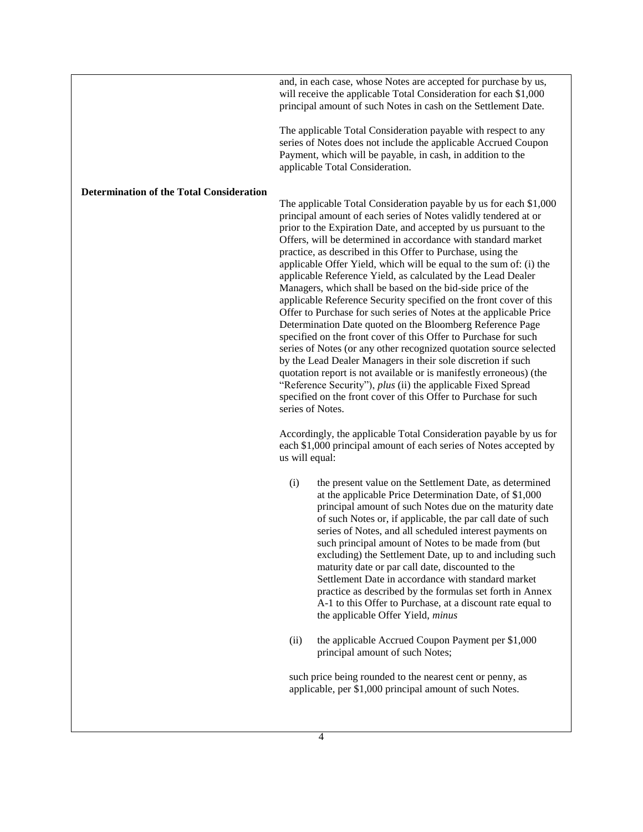and, in each case, whose Notes are accepted for purchase by us, will receive the applicable Total Consideration for each \$1,000 principal amount of such Notes in cash on the Settlement Date.

The applicable Total Consideration payable with respect to any series of Notes does not include the applicable Accrued Coupon Payment, which will be payable, in cash, in addition to the applicable Total Consideration.

#### **Determination of the Total Consideration**

The applicable Total Consideration payable by us for each \$1,000 principal amount of each series of Notes validly tendered at or prior to the Expiration Date, and accepted by us pursuant to the Offers, will be determined in accordance with standard market practice, as described in this Offer to Purchase, using the applicable Offer Yield, which will be equal to the sum of: (i) the applicable Reference Yield, as calculated by the Lead Dealer Managers, which shall be based on the bid-side price of the applicable Reference Security specified on the front cover of this Offer to Purchase for such series of Notes at the applicable Price Determination Date quoted on the Bloomberg Reference Page specified on the front cover of this Offer to Purchase for such series of Notes (or any other recognized quotation source selected by the Lead Dealer Managers in their sole discretion if such quotation report is not available or is manifestly erroneous) (the "Reference Security"), *plus* (ii) the applicable Fixed Spread specified on the front cover of this Offer to Purchase for such series of Notes.

Accordingly, the applicable Total Consideration payable by us for each \$1,000 principal amount of each series of Notes accepted by us will equal:

- (i) the present value on the Settlement Date, as determined at the applicable Price Determination Date, of \$1,000 principal amount of such Notes due on the maturity date of such Notes or, if applicable, the par call date of such series of Notes, and all scheduled interest payments on such principal amount of Notes to be made from (but excluding) the Settlement Date, up to and including such maturity date or par call date, discounted to the Settlement Date in accordance with standard market practice as described by the formulas set forth in Annex A-1 to this Offer to Purchase, at a discount rate equal to the applicable Offer Yield, *minus*
- (ii) the applicable Accrued Coupon Payment per \$1,000 principal amount of such Notes;

such price being rounded to the nearest cent or penny, as applicable, per \$1,000 principal amount of such Notes.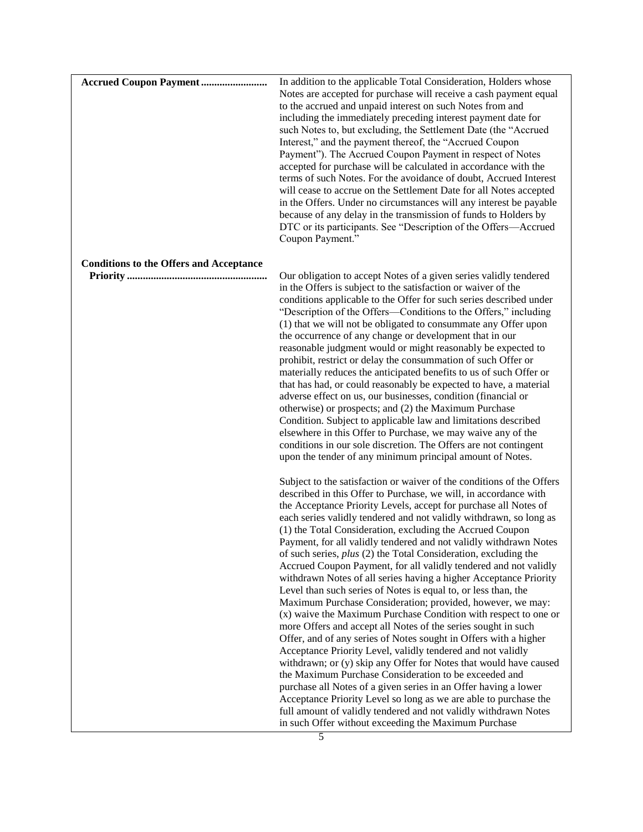| <b>Accrued Coupon Payment </b>                 | In addition to the applicable Total Consideration, Holders whose<br>Notes are accepted for purchase will receive a cash payment equal<br>to the accrued and unpaid interest on such Notes from and<br>including the immediately preceding interest payment date for<br>such Notes to, but excluding, the Settlement Date (the "Accrued<br>Interest," and the payment thereof, the "Accrued Coupon<br>Payment"). The Accrued Coupon Payment in respect of Notes<br>accepted for purchase will be calculated in accordance with the<br>terms of such Notes. For the avoidance of doubt, Accrued Interest<br>will cease to accrue on the Settlement Date for all Notes accepted<br>in the Offers. Under no circumstances will any interest be payable<br>because of any delay in the transmission of funds to Holders by<br>DTC or its participants. See "Description of the Offers-Accrued<br>Coupon Payment."                                                                                                                                                                      |
|------------------------------------------------|-----------------------------------------------------------------------------------------------------------------------------------------------------------------------------------------------------------------------------------------------------------------------------------------------------------------------------------------------------------------------------------------------------------------------------------------------------------------------------------------------------------------------------------------------------------------------------------------------------------------------------------------------------------------------------------------------------------------------------------------------------------------------------------------------------------------------------------------------------------------------------------------------------------------------------------------------------------------------------------------------------------------------------------------------------------------------------------|
| <b>Conditions to the Offers and Acceptance</b> |                                                                                                                                                                                                                                                                                                                                                                                                                                                                                                                                                                                                                                                                                                                                                                                                                                                                                                                                                                                                                                                                                   |
|                                                | Our obligation to accept Notes of a given series validly tendered<br>in the Offers is subject to the satisfaction or waiver of the<br>conditions applicable to the Offer for such series described under<br>"Description of the Offers—Conditions to the Offers," including<br>(1) that we will not be obligated to consummate any Offer upon<br>the occurrence of any change or development that in our<br>reasonable judgment would or might reasonably be expected to<br>prohibit, restrict or delay the consummation of such Offer or<br>materially reduces the anticipated benefits to us of such Offer or<br>that has had, or could reasonably be expected to have, a material<br>adverse effect on us, our businesses, condition (financial or<br>otherwise) or prospects; and (2) the Maximum Purchase<br>Condition. Subject to applicable law and limitations described<br>elsewhere in this Offer to Purchase, we may waive any of the<br>conditions in our sole discretion. The Offers are not contingent<br>upon the tender of any minimum principal amount of Notes. |
|                                                | Subject to the satisfaction or waiver of the conditions of the Offers<br>described in this Offer to Purchase, we will, in accordance with<br>the Acceptance Priority Levels, accept for purchase all Notes of<br>each series validly tendered and not validly withdrawn, so long as<br>(1) the Total Consideration, excluding the Accrued Coupon<br>Payment, for all validly tendered and not validly withdrawn Notes                                                                                                                                                                                                                                                                                                                                                                                                                                                                                                                                                                                                                                                             |
|                                                | of such series, plus (2) the Total Consideration, excluding the<br>Accrued Coupon Payment, for all validly tendered and not validly<br>withdrawn Notes of all series having a higher Acceptance Priority                                                                                                                                                                                                                                                                                                                                                                                                                                                                                                                                                                                                                                                                                                                                                                                                                                                                          |
|                                                | Level than such series of Notes is equal to, or less than, the<br>Maximum Purchase Consideration; provided, however, we may:<br>(x) waive the Maximum Purchase Condition with respect to one or                                                                                                                                                                                                                                                                                                                                                                                                                                                                                                                                                                                                                                                                                                                                                                                                                                                                                   |
|                                                | more Offers and accept all Notes of the series sought in such<br>Offer, and of any series of Notes sought in Offers with a higher<br>Acceptance Priority Level, validly tendered and not validly<br>withdrawn; or (y) skip any Offer for Notes that would have caused<br>the Maximum Purchase Consideration to be exceeded and                                                                                                                                                                                                                                                                                                                                                                                                                                                                                                                                                                                                                                                                                                                                                    |
|                                                | purchase all Notes of a given series in an Offer having a lower<br>Acceptance Priority Level so long as we are able to purchase the<br>full amount of validly tendered and not validly withdrawn Notes<br>in such Offer without exceeding the Maximum Purchase                                                                                                                                                                                                                                                                                                                                                                                                                                                                                                                                                                                                                                                                                                                                                                                                                    |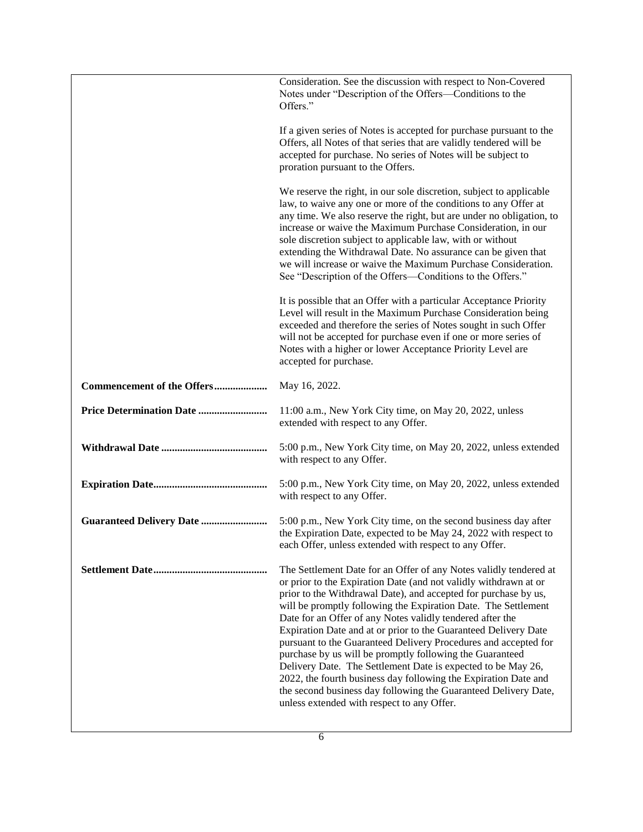|                                  | Consideration. See the discussion with respect to Non-Covered<br>Notes under "Description of the Offers—Conditions to the<br>Offers."                                                                                                                                                                                                                                                                                                                                                                                                                                                                                                                                                                                                                                                         |
|----------------------------------|-----------------------------------------------------------------------------------------------------------------------------------------------------------------------------------------------------------------------------------------------------------------------------------------------------------------------------------------------------------------------------------------------------------------------------------------------------------------------------------------------------------------------------------------------------------------------------------------------------------------------------------------------------------------------------------------------------------------------------------------------------------------------------------------------|
|                                  | If a given series of Notes is accepted for purchase pursuant to the<br>Offers, all Notes of that series that are validly tendered will be<br>accepted for purchase. No series of Notes will be subject to<br>proration pursuant to the Offers.                                                                                                                                                                                                                                                                                                                                                                                                                                                                                                                                                |
|                                  | We reserve the right, in our sole discretion, subject to applicable<br>law, to waive any one or more of the conditions to any Offer at<br>any time. We also reserve the right, but are under no obligation, to<br>increase or waive the Maximum Purchase Consideration, in our<br>sole discretion subject to applicable law, with or without<br>extending the Withdrawal Date. No assurance can be given that<br>we will increase or waive the Maximum Purchase Consideration.<br>See "Description of the Offers—Conditions to the Offers."                                                                                                                                                                                                                                                   |
|                                  | It is possible that an Offer with a particular Acceptance Priority<br>Level will result in the Maximum Purchase Consideration being<br>exceeded and therefore the series of Notes sought in such Offer<br>will not be accepted for purchase even if one or more series of<br>Notes with a higher or lower Acceptance Priority Level are<br>accepted for purchase.                                                                                                                                                                                                                                                                                                                                                                                                                             |
| Commencement of the Offers       | May 16, 2022.                                                                                                                                                                                                                                                                                                                                                                                                                                                                                                                                                                                                                                                                                                                                                                                 |
|                                  | 11:00 a.m., New York City time, on May 20, 2022, unless<br>extended with respect to any Offer.                                                                                                                                                                                                                                                                                                                                                                                                                                                                                                                                                                                                                                                                                                |
|                                  | 5:00 p.m., New York City time, on May 20, 2022, unless extended<br>with respect to any Offer.                                                                                                                                                                                                                                                                                                                                                                                                                                                                                                                                                                                                                                                                                                 |
|                                  | 5:00 p.m., New York City time, on May 20, 2022, unless extended<br>with respect to any Offer.                                                                                                                                                                                                                                                                                                                                                                                                                                                                                                                                                                                                                                                                                                 |
| <b>Guaranteed Delivery Date </b> | 5:00 p.m., New York City time, on the second business day after<br>the Expiration Date, expected to be May 24, 2022 with respect to<br>each Offer, unless extended with respect to any Offer.                                                                                                                                                                                                                                                                                                                                                                                                                                                                                                                                                                                                 |
|                                  | The Settlement Date for an Offer of any Notes validly tendered at<br>or prior to the Expiration Date (and not validly withdrawn at or<br>prior to the Withdrawal Date), and accepted for purchase by us,<br>will be promptly following the Expiration Date. The Settlement<br>Date for an Offer of any Notes validly tendered after the<br>Expiration Date and at or prior to the Guaranteed Delivery Date<br>pursuant to the Guaranteed Delivery Procedures and accepted for<br>purchase by us will be promptly following the Guaranteed<br>Delivery Date. The Settlement Date is expected to be May 26,<br>2022, the fourth business day following the Expiration Date and<br>the second business day following the Guaranteed Delivery Date,<br>unless extended with respect to any Offer. |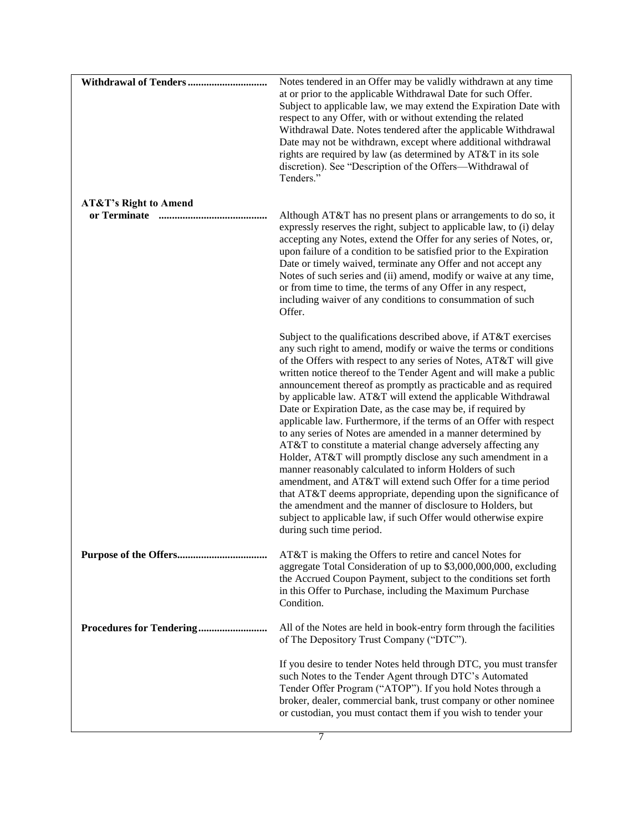|                                  | Notes tendered in an Offer may be validly withdrawn at any time<br>at or prior to the applicable Withdrawal Date for such Offer.<br>Subject to applicable law, we may extend the Expiration Date with<br>respect to any Offer, with or without extending the related<br>Withdrawal Date. Notes tendered after the applicable Withdrawal<br>Date may not be withdrawn, except where additional withdrawal<br>rights are required by law (as determined by AT&T in its sole<br>discretion). See "Description of the Offers--Withdrawal of<br>Tenders."                                                                                                                                                                                                                                                                                                                                                                                                                                                                                                                                                             |
|----------------------------------|------------------------------------------------------------------------------------------------------------------------------------------------------------------------------------------------------------------------------------------------------------------------------------------------------------------------------------------------------------------------------------------------------------------------------------------------------------------------------------------------------------------------------------------------------------------------------------------------------------------------------------------------------------------------------------------------------------------------------------------------------------------------------------------------------------------------------------------------------------------------------------------------------------------------------------------------------------------------------------------------------------------------------------------------------------------------------------------------------------------|
| <b>AT&amp;T's Right to Amend</b> | Although AT&T has no present plans or arrangements to do so, it<br>expressly reserves the right, subject to applicable law, to (i) delay<br>accepting any Notes, extend the Offer for any series of Notes, or,<br>upon failure of a condition to be satisfied prior to the Expiration<br>Date or timely waived, terminate any Offer and not accept any<br>Notes of such series and (ii) amend, modify or waive at any time,<br>or from time to time, the terms of any Offer in any respect,<br>including waiver of any conditions to consummation of such<br>Offer.                                                                                                                                                                                                                                                                                                                                                                                                                                                                                                                                              |
|                                  | Subject to the qualifications described above, if AT&T exercises<br>any such right to amend, modify or waive the terms or conditions<br>of the Offers with respect to any series of Notes, AT&T will give<br>written notice thereof to the Tender Agent and will make a public<br>announcement thereof as promptly as practicable and as required<br>by applicable law. AT&T will extend the applicable Withdrawal<br>Date or Expiration Date, as the case may be, if required by<br>applicable law. Furthermore, if the terms of an Offer with respect<br>to any series of Notes are amended in a manner determined by<br>AT&T to constitute a material change adversely affecting any<br>Holder, AT&T will promptly disclose any such amendment in a<br>manner reasonably calculated to inform Holders of such<br>amendment, and AT&T will extend such Offer for a time period<br>that AT&T deems appropriate, depending upon the significance of<br>the amendment and the manner of disclosure to Holders, but<br>subject to applicable law, if such Offer would otherwise expire<br>during such time period. |
|                                  | AT&T is making the Offers to retire and cancel Notes for<br>aggregate Total Consideration of up to \$3,000,000,000, excluding<br>the Accrued Coupon Payment, subject to the conditions set forth<br>in this Offer to Purchase, including the Maximum Purchase<br>Condition.                                                                                                                                                                                                                                                                                                                                                                                                                                                                                                                                                                                                                                                                                                                                                                                                                                      |
|                                  | All of the Notes are held in book-entry form through the facilities<br>of The Depository Trust Company ("DTC").                                                                                                                                                                                                                                                                                                                                                                                                                                                                                                                                                                                                                                                                                                                                                                                                                                                                                                                                                                                                  |
|                                  | If you desire to tender Notes held through DTC, you must transfer<br>such Notes to the Tender Agent through DTC's Automated<br>Tender Offer Program ("ATOP"). If you hold Notes through a<br>broker, dealer, commercial bank, trust company or other nominee<br>or custodian, you must contact them if you wish to tender your                                                                                                                                                                                                                                                                                                                                                                                                                                                                                                                                                                                                                                                                                                                                                                                   |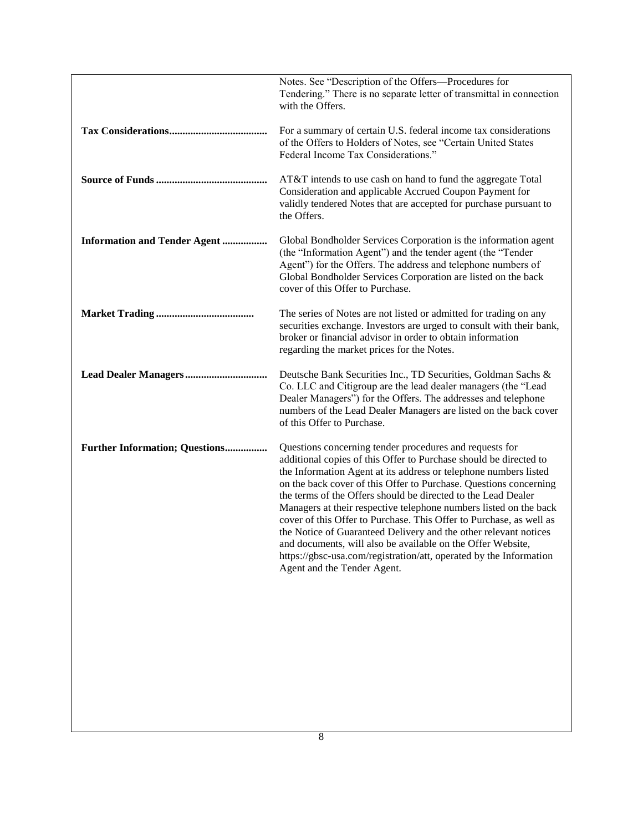|                                       | Notes. See "Description of the Offers-Procedures for<br>Tendering." There is no separate letter of transmittal in connection<br>with the Offers.                                                                                                                                                                                                                                                                                                                                                                                                                                                                                                                                                                           |
|---------------------------------------|----------------------------------------------------------------------------------------------------------------------------------------------------------------------------------------------------------------------------------------------------------------------------------------------------------------------------------------------------------------------------------------------------------------------------------------------------------------------------------------------------------------------------------------------------------------------------------------------------------------------------------------------------------------------------------------------------------------------------|
|                                       | For a summary of certain U.S. federal income tax considerations<br>of the Offers to Holders of Notes, see "Certain United States<br>Federal Income Tax Considerations."                                                                                                                                                                                                                                                                                                                                                                                                                                                                                                                                                    |
|                                       | AT&T intends to use cash on hand to fund the aggregate Total<br>Consideration and applicable Accrued Coupon Payment for<br>validly tendered Notes that are accepted for purchase pursuant to<br>the Offers.                                                                                                                                                                                                                                                                                                                                                                                                                                                                                                                |
| <b>Information and Tender Agent </b>  | Global Bondholder Services Corporation is the information agent<br>(the "Information Agent") and the tender agent (the "Tender<br>Agent") for the Offers. The address and telephone numbers of<br>Global Bondholder Services Corporation are listed on the back<br>cover of this Offer to Purchase.                                                                                                                                                                                                                                                                                                                                                                                                                        |
|                                       | The series of Notes are not listed or admitted for trading on any<br>securities exchange. Investors are urged to consult with their bank,<br>broker or financial advisor in order to obtain information<br>regarding the market prices for the Notes.                                                                                                                                                                                                                                                                                                                                                                                                                                                                      |
|                                       | Deutsche Bank Securities Inc., TD Securities, Goldman Sachs &<br>Co. LLC and Citigroup are the lead dealer managers (the "Lead<br>Dealer Managers") for the Offers. The addresses and telephone<br>numbers of the Lead Dealer Managers are listed on the back cover<br>of this Offer to Purchase.                                                                                                                                                                                                                                                                                                                                                                                                                          |
| <b>Further Information; Questions</b> | Questions concerning tender procedures and requests for<br>additional copies of this Offer to Purchase should be directed to<br>the Information Agent at its address or telephone numbers listed<br>on the back cover of this Offer to Purchase. Questions concerning<br>the terms of the Offers should be directed to the Lead Dealer<br>Managers at their respective telephone numbers listed on the back<br>cover of this Offer to Purchase. This Offer to Purchase, as well as<br>the Notice of Guaranteed Delivery and the other relevant notices<br>and documents, will also be available on the Offer Website,<br>https://gbsc-usa.com/registration/att, operated by the Information<br>Agent and the Tender Agent. |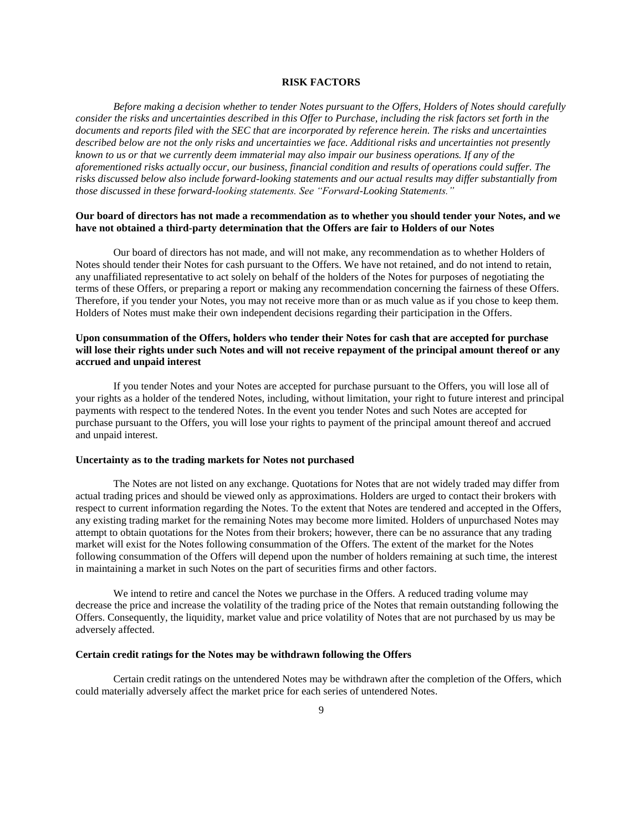## **RISK FACTORS**

*Before making a decision whether to tender Notes pursuant to the Offers, Holders of Notes should carefully consider the risks and uncertainties described in this Offer to Purchase, including the risk factors set forth in the documents and reports filed with the SEC that are incorporated by reference herein. The risks and uncertainties described below are not the only risks and uncertainties we face. Additional risks and uncertainties not presently known to us or that we currently deem immaterial may also impair our business operations. If any of the aforementioned risks actually occur, our business, financial condition and results of operations could suffer. The risks discussed below also include forward-looking statements and our actual results may differ substantially from those discussed in these forward-looking statements. See "Forward-Looking Statements."*

## **Our board of directors has not made a recommendation as to whether you should tender your Notes, and we have not obtained a third-party determination that the Offers are fair to Holders of our Notes**

Our board of directors has not made, and will not make, any recommendation as to whether Holders of Notes should tender their Notes for cash pursuant to the Offers. We have not retained, and do not intend to retain, any unaffiliated representative to act solely on behalf of the holders of the Notes for purposes of negotiating the terms of these Offers, or preparing a report or making any recommendation concerning the fairness of these Offers. Therefore, if you tender your Notes, you may not receive more than or as much value as if you chose to keep them. Holders of Notes must make their own independent decisions regarding their participation in the Offers.

## **Upon consummation of the Offers, holders who tender their Notes for cash that are accepted for purchase will lose their rights under such Notes and will not receive repayment of the principal amount thereof or any accrued and unpaid interest**

If you tender Notes and your Notes are accepted for purchase pursuant to the Offers, you will lose all of your rights as a holder of the tendered Notes, including, without limitation, your right to future interest and principal payments with respect to the tendered Notes. In the event you tender Notes and such Notes are accepted for purchase pursuant to the Offers, you will lose your rights to payment of the principal amount thereof and accrued and unpaid interest.

#### **Uncertainty as to the trading markets for Notes not purchased**

The Notes are not listed on any exchange. Quotations for Notes that are not widely traded may differ from actual trading prices and should be viewed only as approximations. Holders are urged to contact their brokers with respect to current information regarding the Notes. To the extent that Notes are tendered and accepted in the Offers, any existing trading market for the remaining Notes may become more limited. Holders of unpurchased Notes may attempt to obtain quotations for the Notes from their brokers; however, there can be no assurance that any trading market will exist for the Notes following consummation of the Offers. The extent of the market for the Notes following consummation of the Offers will depend upon the number of holders remaining at such time, the interest in maintaining a market in such Notes on the part of securities firms and other factors.

We intend to retire and cancel the Notes we purchase in the Offers. A reduced trading volume may decrease the price and increase the volatility of the trading price of the Notes that remain outstanding following the Offers. Consequently, the liquidity, market value and price volatility of Notes that are not purchased by us may be adversely affected.

#### **Certain credit ratings for the Notes may be withdrawn following the Offers**

Certain credit ratings on the untendered Notes may be withdrawn after the completion of the Offers, which could materially adversely affect the market price for each series of untendered Notes.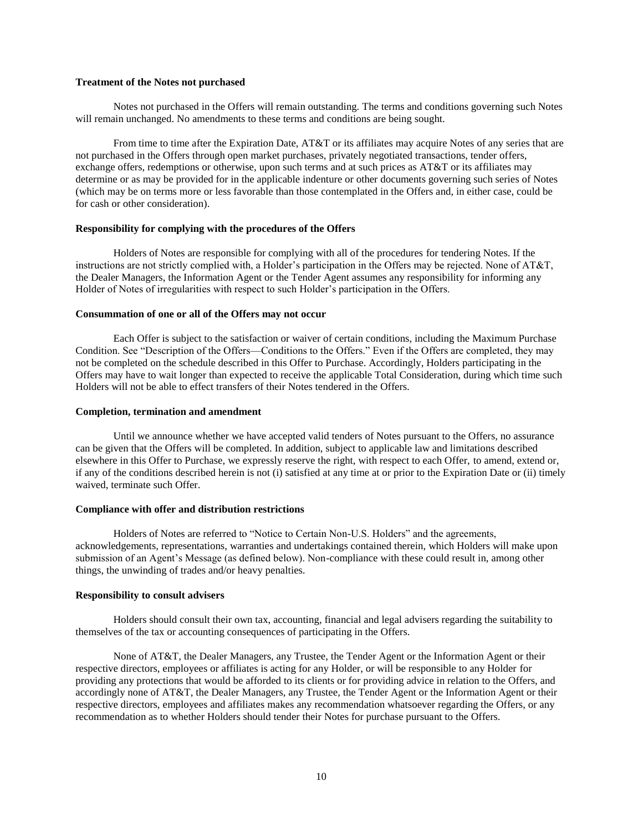#### **Treatment of the Notes not purchased**

Notes not purchased in the Offers will remain outstanding. The terms and conditions governing such Notes will remain unchanged. No amendments to these terms and conditions are being sought.

From time to time after the Expiration Date, AT&T or its affiliates may acquire Notes of any series that are not purchased in the Offers through open market purchases, privately negotiated transactions, tender offers, exchange offers, redemptions or otherwise, upon such terms and at such prices as AT&T or its affiliates may determine or as may be provided for in the applicable indenture or other documents governing such series of Notes (which may be on terms more or less favorable than those contemplated in the Offers and, in either case, could be for cash or other consideration).

#### **Responsibility for complying with the procedures of the Offers**

Holders of Notes are responsible for complying with all of the procedures for tendering Notes. If the instructions are not strictly complied with, a Holder's participation in the Offers may be rejected. None of AT&T, the Dealer Managers, the Information Agent or the Tender Agent assumes any responsibility for informing any Holder of Notes of irregularities with respect to such Holder's participation in the Offers.

## **Consummation of one or all of the Offers may not occur**

Each Offer is subject to the satisfaction or waiver of certain conditions, including the Maximum Purchase Condition. See "Description of the Offers—Conditions to the Offers." Even if the Offers are completed, they may not be completed on the schedule described in this Offer to Purchase. Accordingly, Holders participating in the Offers may have to wait longer than expected to receive the applicable Total Consideration, during which time such Holders will not be able to effect transfers of their Notes tendered in the Offers.

#### **Completion, termination and amendment**

Until we announce whether we have accepted valid tenders of Notes pursuant to the Offers, no assurance can be given that the Offers will be completed. In addition, subject to applicable law and limitations described elsewhere in this Offer to Purchase, we expressly reserve the right, with respect to each Offer, to amend, extend or, if any of the conditions described herein is not (i) satisfied at any time at or prior to the Expiration Date or (ii) timely waived, terminate such Offer.

#### **Compliance with offer and distribution restrictions**

Holders of Notes are referred to "Notice to Certain Non-U.S. Holders" and the agreements, acknowledgements, representations, warranties and undertakings contained therein, which Holders will make upon submission of an Agent's Message (as defined below). Non-compliance with these could result in, among other things, the unwinding of trades and/or heavy penalties.

#### **Responsibility to consult advisers**

Holders should consult their own tax, accounting, financial and legal advisers regarding the suitability to themselves of the tax or accounting consequences of participating in the Offers.

None of AT&T, the Dealer Managers, any Trustee, the Tender Agent or the Information Agent or their respective directors, employees or affiliates is acting for any Holder, or will be responsible to any Holder for providing any protections that would be afforded to its clients or for providing advice in relation to the Offers, and accordingly none of AT&T, the Dealer Managers, any Trustee, the Tender Agent or the Information Agent or their respective directors, employees and affiliates makes any recommendation whatsoever regarding the Offers, or any recommendation as to whether Holders should tender their Notes for purchase pursuant to the Offers.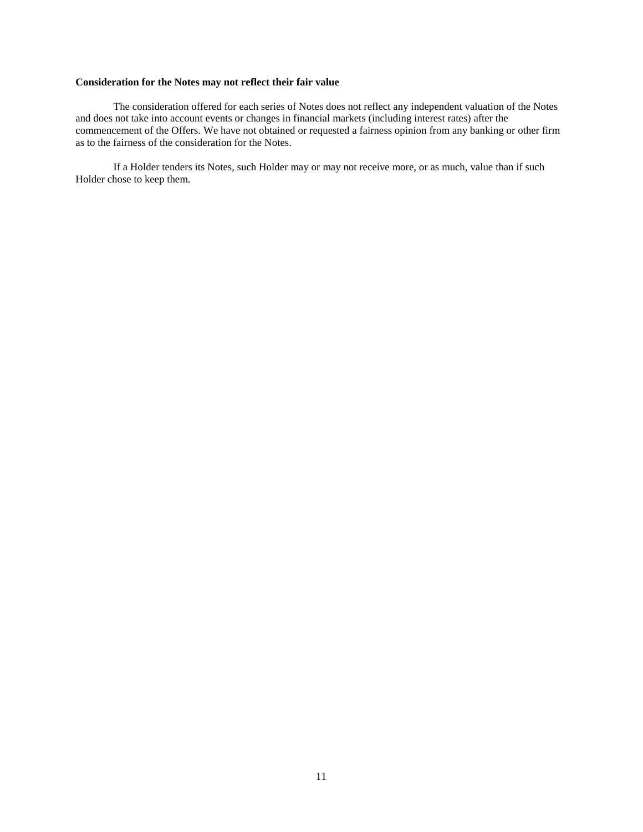# **Consideration for the Notes may not reflect their fair value**

The consideration offered for each series of Notes does not reflect any independent valuation of the Notes and does not take into account events or changes in financial markets (including interest rates) after the commencement of the Offers. We have not obtained or requested a fairness opinion from any banking or other firm as to the fairness of the consideration for the Notes.

If a Holder tenders its Notes, such Holder may or may not receive more, or as much, value than if such Holder chose to keep them.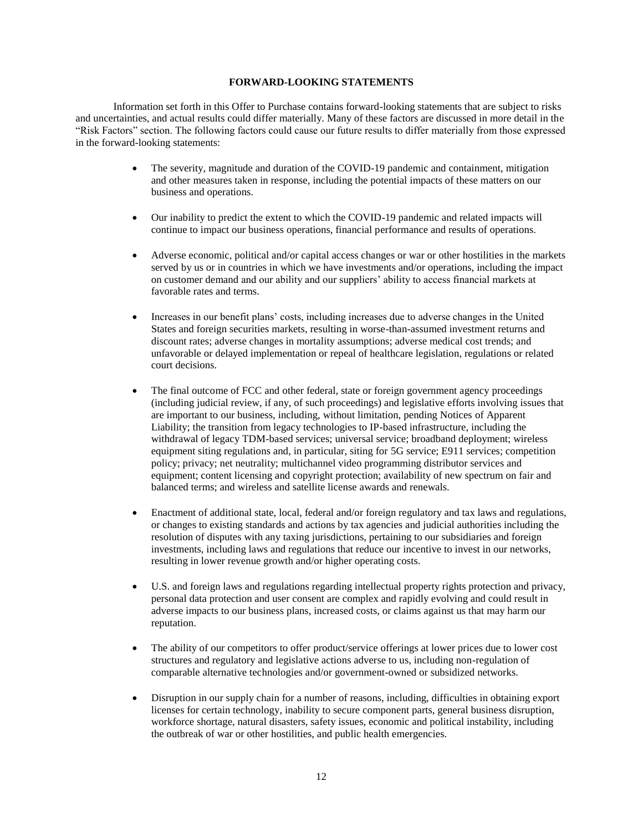## **FORWARD-LOOKING STATEMENTS**

Information set forth in this Offer to Purchase contains forward-looking statements that are subject to risks and uncertainties, and actual results could differ materially. Many of these factors are discussed in more detail in the "Risk Factors" section. The following factors could cause our future results to differ materially from those expressed in the forward-looking statements:

- The severity, magnitude and duration of the COVID-19 pandemic and containment, mitigation and other measures taken in response, including the potential impacts of these matters on our business and operations.
- Our inability to predict the extent to which the COVID-19 pandemic and related impacts will continue to impact our business operations, financial performance and results of operations.
- Adverse economic, political and/or capital access changes or war or other hostilities in the markets served by us or in countries in which we have investments and/or operations, including the impact on customer demand and our ability and our suppliers' ability to access financial markets at favorable rates and terms.
- Increases in our benefit plans' costs, including increases due to adverse changes in the United States and foreign securities markets, resulting in worse-than-assumed investment returns and discount rates; adverse changes in mortality assumptions; adverse medical cost trends; and unfavorable or delayed implementation or repeal of healthcare legislation, regulations or related court decisions.
- The final outcome of FCC and other federal, state or foreign government agency proceedings (including judicial review, if any, of such proceedings) and legislative efforts involving issues that are important to our business, including, without limitation, pending Notices of Apparent Liability; the transition from legacy technologies to IP-based infrastructure, including the withdrawal of legacy TDM-based services; universal service; broadband deployment; wireless equipment siting regulations and, in particular, siting for 5G service; E911 services; competition policy; privacy; net neutrality; multichannel video programming distributor services and equipment; content licensing and copyright protection; availability of new spectrum on fair and balanced terms; and wireless and satellite license awards and renewals.
- Enactment of additional state, local, federal and/or foreign regulatory and tax laws and regulations, or changes to existing standards and actions by tax agencies and judicial authorities including the resolution of disputes with any taxing jurisdictions, pertaining to our subsidiaries and foreign investments, including laws and regulations that reduce our incentive to invest in our networks, resulting in lower revenue growth and/or higher operating costs.
- U.S. and foreign laws and regulations regarding intellectual property rights protection and privacy, personal data protection and user consent are complex and rapidly evolving and could result in adverse impacts to our business plans, increased costs, or claims against us that may harm our reputation.
- The ability of our competitors to offer product/service offerings at lower prices due to lower cost structures and regulatory and legislative actions adverse to us, including non-regulation of comparable alternative technologies and/or government-owned or subsidized networks.
- Disruption in our supply chain for a number of reasons, including, difficulties in obtaining export licenses for certain technology, inability to secure component parts, general business disruption, workforce shortage, natural disasters, safety issues, economic and political instability, including the outbreak of war or other hostilities, and public health emergencies.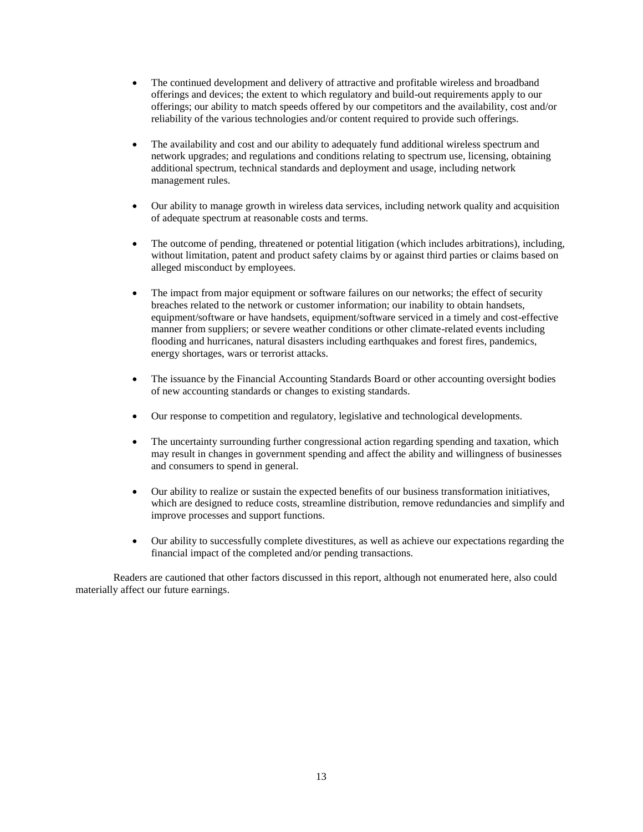- The continued development and delivery of attractive and profitable wireless and broadband offerings and devices; the extent to which regulatory and build-out requirements apply to our offerings; our ability to match speeds offered by our competitors and the availability, cost and/or reliability of the various technologies and/or content required to provide such offerings.
- The availability and cost and our ability to adequately fund additional wireless spectrum and network upgrades; and regulations and conditions relating to spectrum use, licensing, obtaining additional spectrum, technical standards and deployment and usage, including network management rules.
- Our ability to manage growth in wireless data services, including network quality and acquisition of adequate spectrum at reasonable costs and terms.
- The outcome of pending, threatened or potential litigation (which includes arbitrations), including, without limitation, patent and product safety claims by or against third parties or claims based on alleged misconduct by employees.
- The impact from major equipment or software failures on our networks; the effect of security breaches related to the network or customer information; our inability to obtain handsets, equipment/software or have handsets, equipment/software serviced in a timely and cost-effective manner from suppliers; or severe weather conditions or other climate-related events including flooding and hurricanes, natural disasters including earthquakes and forest fires, pandemics, energy shortages, wars or terrorist attacks.
- The issuance by the Financial Accounting Standards Board or other accounting oversight bodies of new accounting standards or changes to existing standards.
- Our response to competition and regulatory, legislative and technological developments.
- The uncertainty surrounding further congressional action regarding spending and taxation, which may result in changes in government spending and affect the ability and willingness of businesses and consumers to spend in general.
- Our ability to realize or sustain the expected benefits of our business transformation initiatives, which are designed to reduce costs, streamline distribution, remove redundancies and simplify and improve processes and support functions.
- Our ability to successfully complete divestitures, as well as achieve our expectations regarding the financial impact of the completed and/or pending transactions.

Readers are cautioned that other factors discussed in this report, although not enumerated here, also could materially affect our future earnings.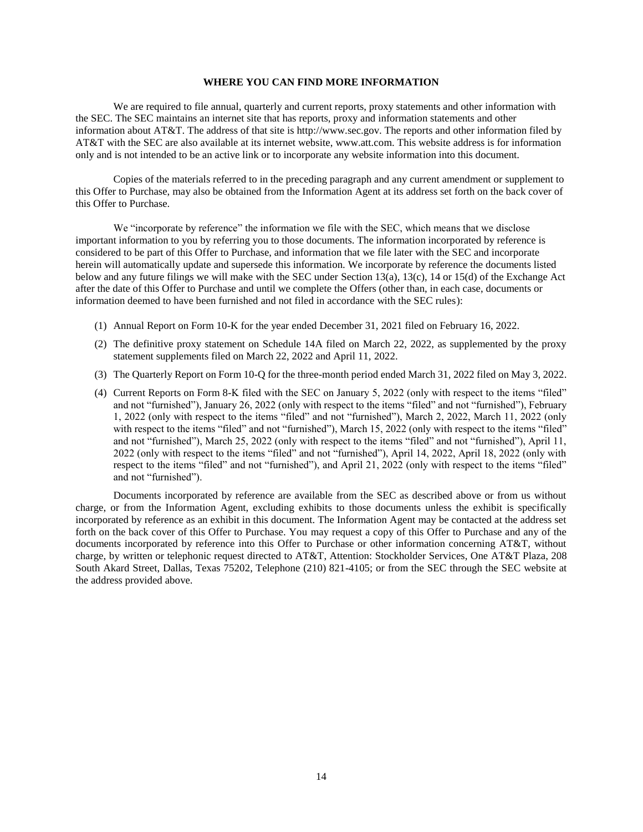## **WHERE YOU CAN FIND MORE INFORMATION**

We are required to file annual, quarterly and current reports, proxy statements and other information with the SEC. The SEC maintains an internet site that has reports, proxy and information statements and other information about AT&T. The address of that site is http://www.sec.gov. The reports and other information filed by AT&T with the SEC are also available at its internet website, www.att.com. This website address is for information only and is not intended to be an active link or to incorporate any website information into this document.

Copies of the materials referred to in the preceding paragraph and any current amendment or supplement to this Offer to Purchase, may also be obtained from the Information Agent at its address set forth on the back cover of this Offer to Purchase.

We "incorporate by reference" the information we file with the SEC, which means that we disclose important information to you by referring you to those documents. The information incorporated by reference is considered to be part of this Offer to Purchase, and information that we file later with the SEC and incorporate herein will automatically update and supersede this information. We incorporate by reference the documents listed below and any future filings we will make with the SEC under Section 13(a), 13(c), 14 or 15(d) of the Exchange Act after the date of this Offer to Purchase and until we complete the Offers (other than, in each case, documents or information deemed to have been furnished and not filed in accordance with the SEC rules):

- (1) Annual Report on Form 10-K for the year ended December 31, 2021 filed on February 16, 2022.
- (2) The definitive proxy statement on Schedule 14A filed on March 22, 2022, as supplemented by the proxy statement supplements filed on March 22, 2022 and April 11, 2022.
- (3) The Quarterly Report on Form 10-Q for the three-month period ended March 31, 2022 filed on May 3, 2022.
- (4) Current Reports on Form 8-K filed with the SEC on January 5, 2022 (only with respect to the items "filed" and not "furnished"), January 26, 2022 (only with respect to the items "filed" and not "furnished"), February 1, 2022 (only with respect to the items "filed" and not "furnished"), March 2, 2022, March 11, 2022 (only with respect to the items "filed" and not "furnished"), March 15, 2022 (only with respect to the items "filed" and not "furnished"), March 25, 2022 (only with respect to the items "filed" and not "furnished"), April 11, 2022 (only with respect to the items "filed" and not "furnished"), April 14, 2022, April 18, 2022 (only with respect to the items "filed" and not "furnished"), and April 21, 2022 (only with respect to the items "filed" and not "furnished").

Documents incorporated by reference are available from the SEC as described above or from us without charge, or from the Information Agent, excluding exhibits to those documents unless the exhibit is specifically incorporated by reference as an exhibit in this document. The Information Agent may be contacted at the address set forth on the back cover of this Offer to Purchase. You may request a copy of this Offer to Purchase and any of the documents incorporated by reference into this Offer to Purchase or other information concerning AT&T, without charge, by written or telephonic request directed to AT&T, Attention: Stockholder Services, One AT&T Plaza, 208 South Akard Street, Dallas, Texas 75202, Telephone (210) 821-4105; or from the SEC through the SEC website at the address provided above.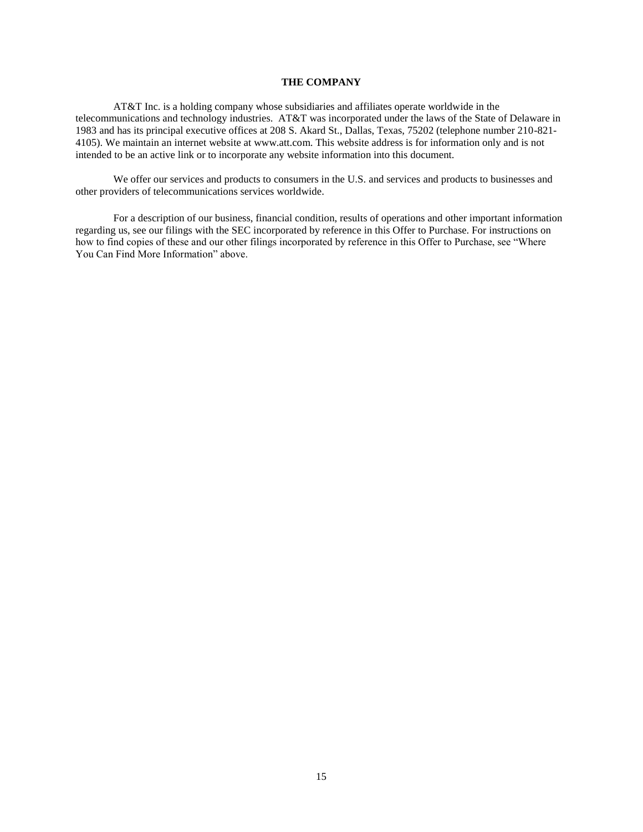## **THE COMPANY**

AT&T Inc. is a holding company whose subsidiaries and affiliates operate worldwide in the telecommunications and technology industries. AT&T was incorporated under the laws of the State of Delaware in 1983 and has its principal executive offices at 208 S. Akard St., Dallas, Texas, 75202 (telephone number 210-821- 4105). We maintain an internet website at www.att.com. This website address is for information only and is not intended to be an active link or to incorporate any website information into this document.

We offer our services and products to consumers in the U.S. and services and products to businesses and other providers of telecommunications services worldwide.

For a description of our business, financial condition, results of operations and other important information regarding us, see our filings with the SEC incorporated by reference in this Offer to Purchase. For instructions on how to find copies of these and our other filings incorporated by reference in this Offer to Purchase, see "Where You Can Find More Information" above.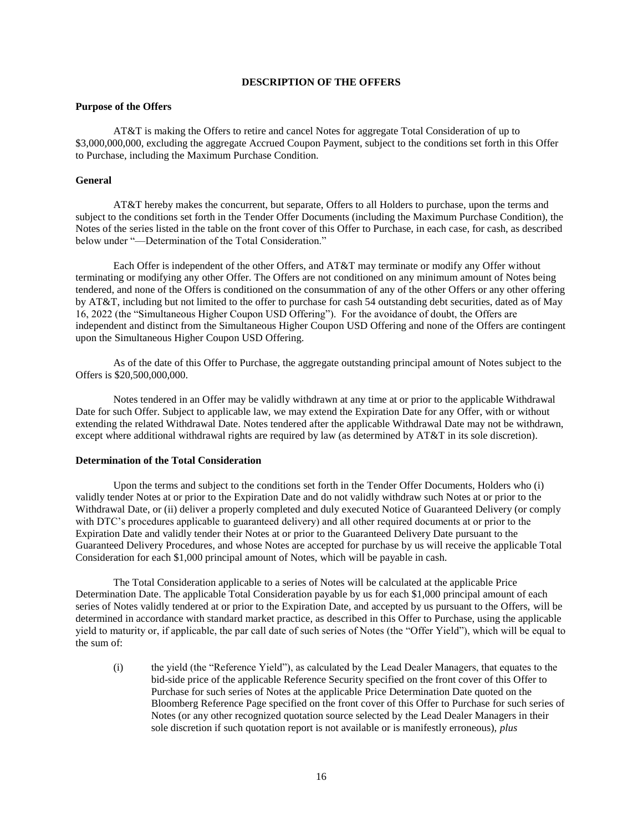## **DESCRIPTION OF THE OFFERS**

## **Purpose of the Offers**

AT&T is making the Offers to retire and cancel Notes for aggregate Total Consideration of up to \$3,000,000,000, excluding the aggregate Accrued Coupon Payment, subject to the conditions set forth in this Offer to Purchase, including the Maximum Purchase Condition.

#### **General**

AT&T hereby makes the concurrent, but separate, Offers to all Holders to purchase, upon the terms and subject to the conditions set forth in the Tender Offer Documents (including the Maximum Purchase Condition), the Notes of the series listed in the table on the front cover of this Offer to Purchase, in each case, for cash, as described below under "—Determination of the Total Consideration."

Each Offer is independent of the other Offers, and AT&T may terminate or modify any Offer without terminating or modifying any other Offer. The Offers are not conditioned on any minimum amount of Notes being tendered, and none of the Offers is conditioned on the consummation of any of the other Offers or any other offering by AT&T, including but not limited to the offer to purchase for cash 54 outstanding debt securities, dated as of May 16, 2022 (the "Simultaneous Higher Coupon USD Offering"). For the avoidance of doubt, the Offers are independent and distinct from the Simultaneous Higher Coupon USD Offering and none of the Offers are contingent upon the Simultaneous Higher Coupon USD Offering.

As of the date of this Offer to Purchase, the aggregate outstanding principal amount of Notes subject to the Offers is \$20,500,000,000.

Notes tendered in an Offer may be validly withdrawn at any time at or prior to the applicable Withdrawal Date for such Offer. Subject to applicable law, we may extend the Expiration Date for any Offer, with or without extending the related Withdrawal Date. Notes tendered after the applicable Withdrawal Date may not be withdrawn, except where additional withdrawal rights are required by law (as determined by AT&T in its sole discretion).

#### **Determination of the Total Consideration**

Upon the terms and subject to the conditions set forth in the Tender Offer Documents, Holders who (i) validly tender Notes at or prior to the Expiration Date and do not validly withdraw such Notes at or prior to the Withdrawal Date, or (ii) deliver a properly completed and duly executed Notice of Guaranteed Delivery (or comply with DTC's procedures applicable to guaranteed delivery) and all other required documents at or prior to the Expiration Date and validly tender their Notes at or prior to the Guaranteed Delivery Date pursuant to the Guaranteed Delivery Procedures, and whose Notes are accepted for purchase by us will receive the applicable Total Consideration for each \$1,000 principal amount of Notes, which will be payable in cash.

The Total Consideration applicable to a series of Notes will be calculated at the applicable Price Determination Date. The applicable Total Consideration payable by us for each \$1,000 principal amount of each series of Notes validly tendered at or prior to the Expiration Date, and accepted by us pursuant to the Offers, will be determined in accordance with standard market practice, as described in this Offer to Purchase, using the applicable yield to maturity or, if applicable, the par call date of such series of Notes (the "Offer Yield"), which will be equal to the sum of:

(i) the yield (the "Reference Yield"), as calculated by the Lead Dealer Managers, that equates to the bid-side price of the applicable Reference Security specified on the front cover of this Offer to Purchase for such series of Notes at the applicable Price Determination Date quoted on the Bloomberg Reference Page specified on the front cover of this Offer to Purchase for such series of Notes (or any other recognized quotation source selected by the Lead Dealer Managers in their sole discretion if such quotation report is not available or is manifestly erroneous), *plus*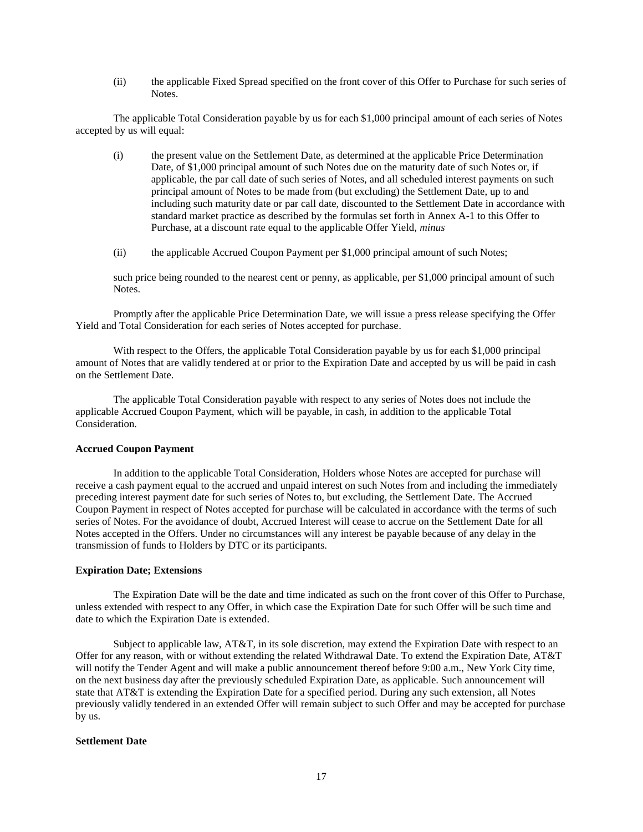(ii) the applicable Fixed Spread specified on the front cover of this Offer to Purchase for such series of Notes.

The applicable Total Consideration payable by us for each \$1,000 principal amount of each series of Notes accepted by us will equal:

- (i) the present value on the Settlement Date, as determined at the applicable Price Determination Date, of \$1,000 principal amount of such Notes due on the maturity date of such Notes or, if applicable, the par call date of such series of Notes, and all scheduled interest payments on such principal amount of Notes to be made from (but excluding) the Settlement Date, up to and including such maturity date or par call date, discounted to the Settlement Date in accordance with standard market practice as described by the formulas set forth in Annex A-1 to this Offer to Purchase, at a discount rate equal to the applicable Offer Yield, *minus*
- (ii) the applicable Accrued Coupon Payment per \$1,000 principal amount of such Notes;

such price being rounded to the nearest cent or penny, as applicable, per \$1,000 principal amount of such Notes.

Promptly after the applicable Price Determination Date, we will issue a press release specifying the Offer Yield and Total Consideration for each series of Notes accepted for purchase.

With respect to the Offers, the applicable Total Consideration payable by us for each \$1,000 principal amount of Notes that are validly tendered at or prior to the Expiration Date and accepted by us will be paid in cash on the Settlement Date.

The applicable Total Consideration payable with respect to any series of Notes does not include the applicable Accrued Coupon Payment, which will be payable, in cash, in addition to the applicable Total Consideration.

#### **Accrued Coupon Payment**

In addition to the applicable Total Consideration, Holders whose Notes are accepted for purchase will receive a cash payment equal to the accrued and unpaid interest on such Notes from and including the immediately preceding interest payment date for such series of Notes to, but excluding, the Settlement Date. The Accrued Coupon Payment in respect of Notes accepted for purchase will be calculated in accordance with the terms of such series of Notes. For the avoidance of doubt, Accrued Interest will cease to accrue on the Settlement Date for all Notes accepted in the Offers. Under no circumstances will any interest be payable because of any delay in the transmission of funds to Holders by DTC or its participants.

## **Expiration Date; Extensions**

The Expiration Date will be the date and time indicated as such on the front cover of this Offer to Purchase, unless extended with respect to any Offer, in which case the Expiration Date for such Offer will be such time and date to which the Expiration Date is extended.

Subject to applicable law, AT&T, in its sole discretion, may extend the Expiration Date with respect to an Offer for any reason, with or without extending the related Withdrawal Date. To extend the Expiration Date, AT&T will notify the Tender Agent and will make a public announcement thereof before 9:00 a.m., New York City time, on the next business day after the previously scheduled Expiration Date, as applicable. Such announcement will state that AT&T is extending the Expiration Date for a specified period. During any such extension, all Notes previously validly tendered in an extended Offer will remain subject to such Offer and may be accepted for purchase by us.

## **Settlement Date**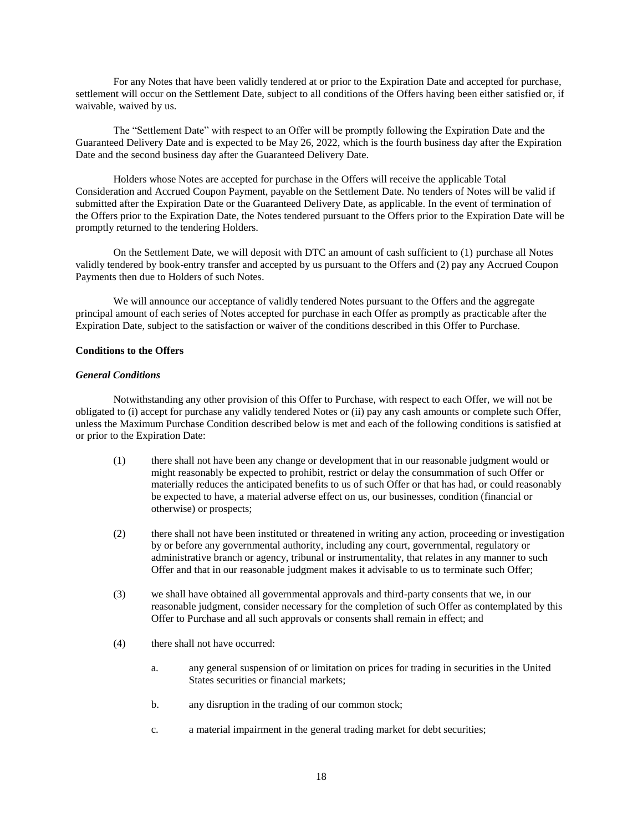For any Notes that have been validly tendered at or prior to the Expiration Date and accepted for purchase, settlement will occur on the Settlement Date, subject to all conditions of the Offers having been either satisfied or, if waivable, waived by us.

The "Settlement Date" with respect to an Offer will be promptly following the Expiration Date and the Guaranteed Delivery Date and is expected to be May 26, 2022, which is the fourth business day after the Expiration Date and the second business day after the Guaranteed Delivery Date.

Holders whose Notes are accepted for purchase in the Offers will receive the applicable Total Consideration and Accrued Coupon Payment, payable on the Settlement Date. No tenders of Notes will be valid if submitted after the Expiration Date or the Guaranteed Delivery Date, as applicable. In the event of termination of the Offers prior to the Expiration Date, the Notes tendered pursuant to the Offers prior to the Expiration Date will be promptly returned to the tendering Holders.

On the Settlement Date, we will deposit with DTC an amount of cash sufficient to (1) purchase all Notes validly tendered by book-entry transfer and accepted by us pursuant to the Offers and (2) pay any Accrued Coupon Payments then due to Holders of such Notes.

We will announce our acceptance of validly tendered Notes pursuant to the Offers and the aggregate principal amount of each series of Notes accepted for purchase in each Offer as promptly as practicable after the Expiration Date, subject to the satisfaction or waiver of the conditions described in this Offer to Purchase.

#### **Conditions to the Offers**

## *General Conditions*

Notwithstanding any other provision of this Offer to Purchase, with respect to each Offer, we will not be obligated to (i) accept for purchase any validly tendered Notes or (ii) pay any cash amounts or complete such Offer, unless the Maximum Purchase Condition described below is met and each of the following conditions is satisfied at or prior to the Expiration Date:

- (1) there shall not have been any change or development that in our reasonable judgment would or might reasonably be expected to prohibit, restrict or delay the consummation of such Offer or materially reduces the anticipated benefits to us of such Offer or that has had, or could reasonably be expected to have, a material adverse effect on us, our businesses, condition (financial or otherwise) or prospects;
- (2) there shall not have been instituted or threatened in writing any action, proceeding or investigation by or before any governmental authority, including any court, governmental, regulatory or administrative branch or agency, tribunal or instrumentality, that relates in any manner to such Offer and that in our reasonable judgment makes it advisable to us to terminate such Offer;
- (3) we shall have obtained all governmental approvals and third-party consents that we, in our reasonable judgment, consider necessary for the completion of such Offer as contemplated by this Offer to Purchase and all such approvals or consents shall remain in effect; and
- (4) there shall not have occurred:
	- a. any general suspension of or limitation on prices for trading in securities in the United States securities or financial markets;
	- b. any disruption in the trading of our common stock;
	- c. a material impairment in the general trading market for debt securities;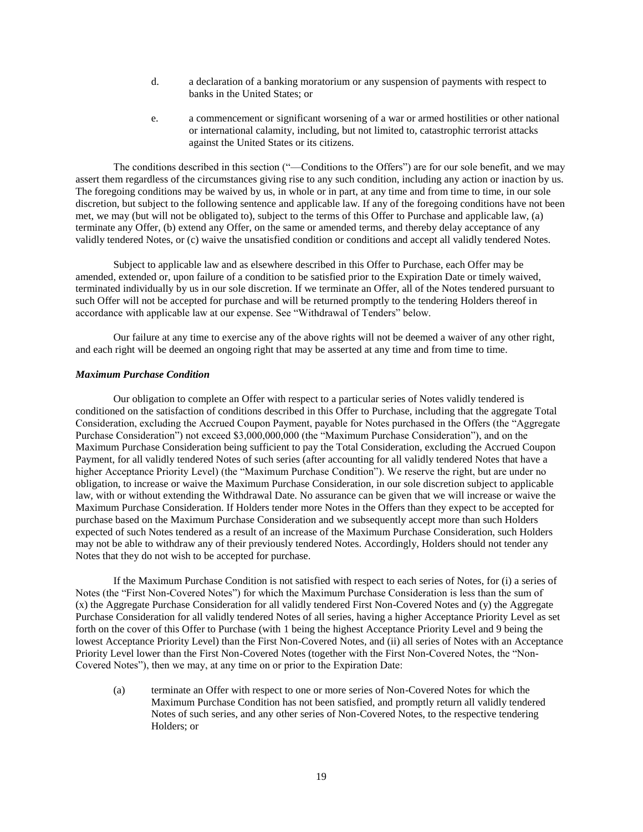- d. a declaration of a banking moratorium or any suspension of payments with respect to banks in the United States; or
- e. a commencement or significant worsening of a war or armed hostilities or other national or international calamity, including, but not limited to, catastrophic terrorist attacks against the United States or its citizens.

The conditions described in this section ("—Conditions to the Offers") are for our sole benefit, and we may assert them regardless of the circumstances giving rise to any such condition, including any action or inaction by us. The foregoing conditions may be waived by us, in whole or in part, at any time and from time to time, in our sole discretion, but subject to the following sentence and applicable law. If any of the foregoing conditions have not been met, we may (but will not be obligated to), subject to the terms of this Offer to Purchase and applicable law, (a) terminate any Offer, (b) extend any Offer, on the same or amended terms, and thereby delay acceptance of any validly tendered Notes, or (c) waive the unsatisfied condition or conditions and accept all validly tendered Notes.

Subject to applicable law and as elsewhere described in this Offer to Purchase, each Offer may be amended, extended or, upon failure of a condition to be satisfied prior to the Expiration Date or timely waived, terminated individually by us in our sole discretion. If we terminate an Offer, all of the Notes tendered pursuant to such Offer will not be accepted for purchase and will be returned promptly to the tendering Holders thereof in accordance with applicable law at our expense. See "Withdrawal of Tenders" below.

Our failure at any time to exercise any of the above rights will not be deemed a waiver of any other right, and each right will be deemed an ongoing right that may be asserted at any time and from time to time.

### *Maximum Purchase Condition*

Our obligation to complete an Offer with respect to a particular series of Notes validly tendered is conditioned on the satisfaction of conditions described in this Offer to Purchase, including that the aggregate Total Consideration, excluding the Accrued Coupon Payment, payable for Notes purchased in the Offers (the "Aggregate Purchase Consideration") not exceed \$3,000,000,000 (the "Maximum Purchase Consideration"), and on the Maximum Purchase Consideration being sufficient to pay the Total Consideration, excluding the Accrued Coupon Payment, for all validly tendered Notes of such series (after accounting for all validly tendered Notes that have a higher Acceptance Priority Level) (the "Maximum Purchase Condition"). We reserve the right, but are under no obligation, to increase or waive the Maximum Purchase Consideration, in our sole discretion subject to applicable law, with or without extending the Withdrawal Date. No assurance can be given that we will increase or waive the Maximum Purchase Consideration. If Holders tender more Notes in the Offers than they expect to be accepted for purchase based on the Maximum Purchase Consideration and we subsequently accept more than such Holders expected of such Notes tendered as a result of an increase of the Maximum Purchase Consideration, such Holders may not be able to withdraw any of their previously tendered Notes. Accordingly, Holders should not tender any Notes that they do not wish to be accepted for purchase.

If the Maximum Purchase Condition is not satisfied with respect to each series of Notes, for (i) a series of Notes (the "First Non-Covered Notes") for which the Maximum Purchase Consideration is less than the sum of (x) the Aggregate Purchase Consideration for all validly tendered First Non-Covered Notes and (y) the Aggregate Purchase Consideration for all validly tendered Notes of all series, having a higher Acceptance Priority Level as set forth on the cover of this Offer to Purchase (with 1 being the highest Acceptance Priority Level and 9 being the lowest Acceptance Priority Level) than the First Non-Covered Notes, and (ii) all series of Notes with an Acceptance Priority Level lower than the First Non-Covered Notes (together with the First Non-Covered Notes, the "Non-Covered Notes"), then we may, at any time on or prior to the Expiration Date:

(a) terminate an Offer with respect to one or more series of Non-Covered Notes for which the Maximum Purchase Condition has not been satisfied, and promptly return all validly tendered Notes of such series, and any other series of Non-Covered Notes, to the respective tendering Holders; or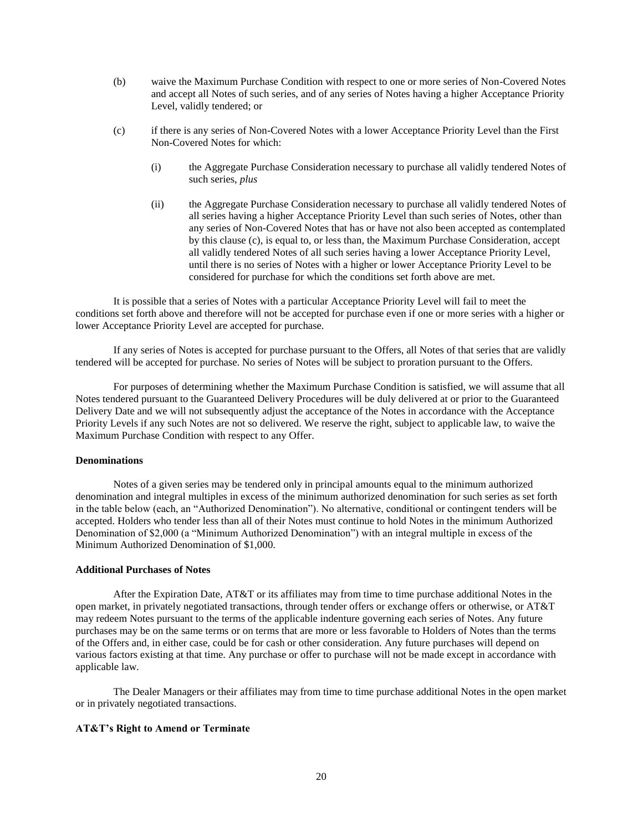- (b) waive the Maximum Purchase Condition with respect to one or more series of Non-Covered Notes and accept all Notes of such series, and of any series of Notes having a higher Acceptance Priority Level, validly tendered; or
- (c) if there is any series of Non-Covered Notes with a lower Acceptance Priority Level than the First Non-Covered Notes for which:
	- (i) the Aggregate Purchase Consideration necessary to purchase all validly tendered Notes of such series, *plus*
	- (ii) the Aggregate Purchase Consideration necessary to purchase all validly tendered Notes of all series having a higher Acceptance Priority Level than such series of Notes, other than any series of Non-Covered Notes that has or have not also been accepted as contemplated by this clause (c), is equal to, or less than, the Maximum Purchase Consideration, accept all validly tendered Notes of all such series having a lower Acceptance Priority Level, until there is no series of Notes with a higher or lower Acceptance Priority Level to be considered for purchase for which the conditions set forth above are met.

It is possible that a series of Notes with a particular Acceptance Priority Level will fail to meet the conditions set forth above and therefore will not be accepted for purchase even if one or more series with a higher or lower Acceptance Priority Level are accepted for purchase.

If any series of Notes is accepted for purchase pursuant to the Offers, all Notes of that series that are validly tendered will be accepted for purchase. No series of Notes will be subject to proration pursuant to the Offers.

For purposes of determining whether the Maximum Purchase Condition is satisfied, we will assume that all Notes tendered pursuant to the Guaranteed Delivery Procedures will be duly delivered at or prior to the Guaranteed Delivery Date and we will not subsequently adjust the acceptance of the Notes in accordance with the Acceptance Priority Levels if any such Notes are not so delivered. We reserve the right, subject to applicable law, to waive the Maximum Purchase Condition with respect to any Offer.

#### **Denominations**

Notes of a given series may be tendered only in principal amounts equal to the minimum authorized denomination and integral multiples in excess of the minimum authorized denomination for such series as set forth in the table below (each, an "Authorized Denomination"). No alternative, conditional or contingent tenders will be accepted. Holders who tender less than all of their Notes must continue to hold Notes in the minimum Authorized Denomination of \$2,000 (a "Minimum Authorized Denomination") with an integral multiple in excess of the Minimum Authorized Denomination of \$1,000.

# **Additional Purchases of Notes**

After the Expiration Date, AT&T or its affiliates may from time to time purchase additional Notes in the open market, in privately negotiated transactions, through tender offers or exchange offers or otherwise, or AT&T may redeem Notes pursuant to the terms of the applicable indenture governing each series of Notes. Any future purchases may be on the same terms or on terms that are more or less favorable to Holders of Notes than the terms of the Offers and, in either case, could be for cash or other consideration. Any future purchases will depend on various factors existing at that time. Any purchase or offer to purchase will not be made except in accordance with applicable law.

The Dealer Managers or their affiliates may from time to time purchase additional Notes in the open market or in privately negotiated transactions.

## **AT&T's Right to Amend or Terminate**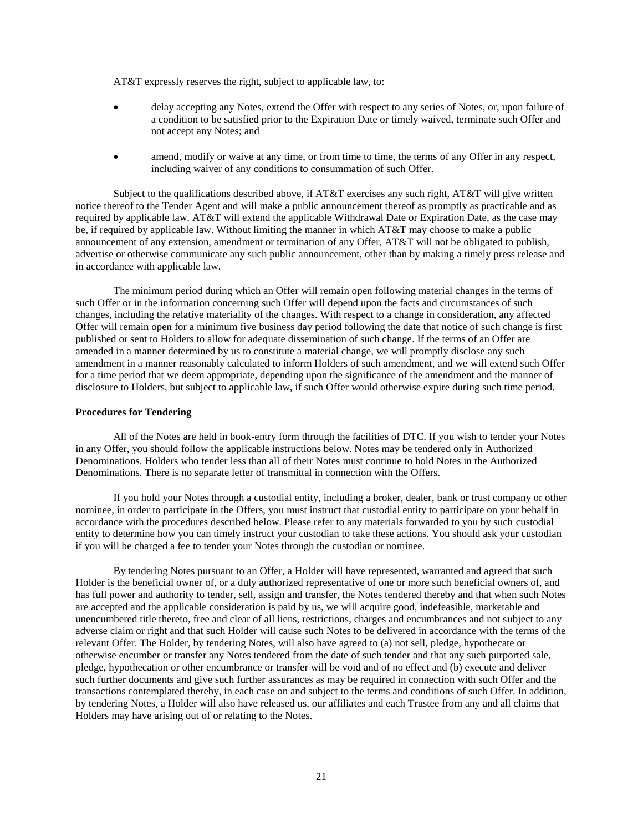AT&T expressly reserves the right, subject to applicable law, to:

- delay accepting any Notes, extend the Offer with respect to any series of Notes, or, upon failure of a condition to be satisfied prior to the Expiration Date or timely waived, terminate such Offer and not accept any Notes; and
- amend, modify or waive at any time, or from time to time, the terms of any Offer in any respect, including waiver of any conditions to consummation of such Offer.

Subject to the qualifications described above, if AT&T exercises any such right, AT&T will give written notice thereof to the Tender Agent and will make a public announcement thereof as promptly as practicable and as required by applicable law. AT&T will extend the applicable Withdrawal Date or Expiration Date, as the case may be, if required by applicable law. Without limiting the manner in which AT&T may choose to make a public announcement of any extension, amendment or termination of any Offer, AT&T will not be obligated to publish, advertise or otherwise communicate any such public announcement, other than by making a timely press release and in accordance with applicable law.

The minimum period during which an Offer will remain open following material changes in the terms of such Offer or in the information concerning such Offer will depend upon the facts and circumstances of such changes, including the relative materiality of the changes. With respect to a change in consideration, any affected Offer will remain open for a minimum five business day period following the date that notice of such change is first published or sent to Holders to allow for adequate dissemination of such change. If the terms of an Offer are amended in a manner determined by us to constitute a material change, we will promptly disclose any such amendment in a manner reasonably calculated to inform Holders of such amendment, and we will extend such Offer for a time period that we deem appropriate, depending upon the significance of the amendment and the manner of disclosure to Holders, but subject to applicable law, if such Offer would otherwise expire during such time period.

#### **Procedures for Tendering**

All of the Notes are held in book-entry form through the facilities of DTC. If you wish to tender your Notes in any Offer, you should follow the applicable instructions below. Notes may be tendered only in Authorized Denominations. Holders who tender less than all of their Notes must continue to hold Notes in the Authorized Denominations. There is no separate letter of transmittal in connection with the Offers.

If you hold your Notes through a custodial entity, including a broker, dealer, bank or trust company or other nominee, in order to participate in the Offers, you must instruct that custodial entity to participate on your behalf in accordance with the procedures described below. Please refer to any materials forwarded to you by such custodial entity to determine how you can timely instruct your custodian to take these actions. You should ask your custodian if you will be charged a fee to tender your Notes through the custodian or nominee.

By tendering Notes pursuant to an Offer, a Holder will have represented, warranted and agreed that such Holder is the beneficial owner of, or a duly authorized representative of one or more such beneficial owners of, and has full power and authority to tender, sell, assign and transfer, the Notes tendered thereby and that when such Notes are accepted and the applicable consideration is paid by us, we will acquire good, indefeasible, marketable and unencumbered title thereto, free and clear of all liens, restrictions, charges and encumbrances and not subject to any adverse claim or right and that such Holder will cause such Notes to be delivered in accordance with the terms of the relevant Offer. The Holder, by tendering Notes, will also have agreed to (a) not sell, pledge, hypothecate or otherwise encumber or transfer any Notes tendered from the date of such tender and that any such purported sale, pledge, hypothecation or other encumbrance or transfer will be void and of no effect and (b) execute and deliver such further documents and give such further assurances as may be required in connection with such Offer and the transactions contemplated thereby, in each case on and subject to the terms and conditions of such Offer. In addition, by tendering Notes, a Holder will also have released us, our affiliates and each Trustee from any and all claims that Holders may have arising out of or relating to the Notes.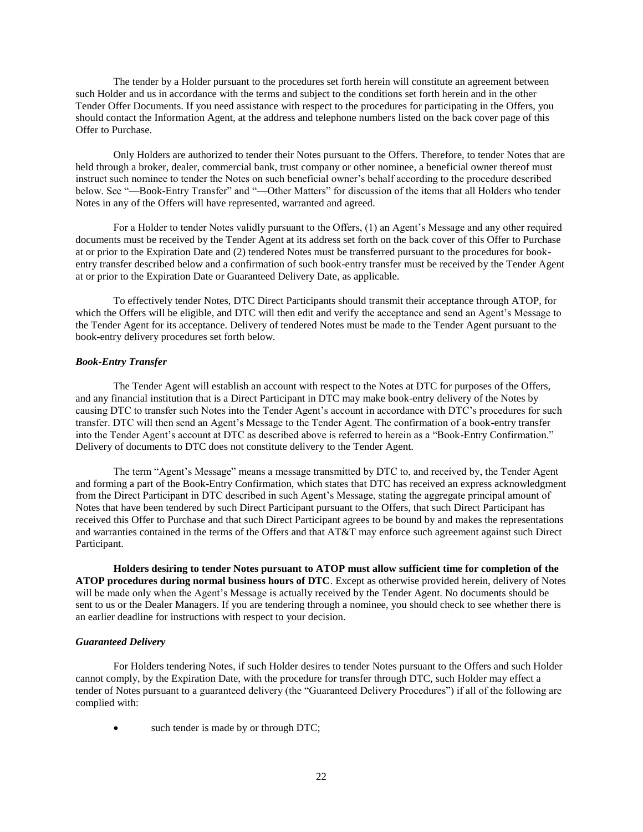The tender by a Holder pursuant to the procedures set forth herein will constitute an agreement between such Holder and us in accordance with the terms and subject to the conditions set forth herein and in the other Tender Offer Documents. If you need assistance with respect to the procedures for participating in the Offers, you should contact the Information Agent, at the address and telephone numbers listed on the back cover page of this Offer to Purchase.

Only Holders are authorized to tender their Notes pursuant to the Offers. Therefore, to tender Notes that are held through a broker, dealer, commercial bank, trust company or other nominee, a beneficial owner thereof must instruct such nominee to tender the Notes on such beneficial owner's behalf according to the procedure described below. See "—Book-Entry Transfer" and "—Other Matters" for discussion of the items that all Holders who tender Notes in any of the Offers will have represented, warranted and agreed.

For a Holder to tender Notes validly pursuant to the Offers, (1) an Agent's Message and any other required documents must be received by the Tender Agent at its address set forth on the back cover of this Offer to Purchase at or prior to the Expiration Date and (2) tendered Notes must be transferred pursuant to the procedures for bookentry transfer described below and a confirmation of such book-entry transfer must be received by the Tender Agent at or prior to the Expiration Date or Guaranteed Delivery Date, as applicable.

To effectively tender Notes, DTC Direct Participants should transmit their acceptance through ATOP, for which the Offers will be eligible, and DTC will then edit and verify the acceptance and send an Agent's Message to the Tender Agent for its acceptance. Delivery of tendered Notes must be made to the Tender Agent pursuant to the book-entry delivery procedures set forth below.

#### *Book-Entry Transfer*

The Tender Agent will establish an account with respect to the Notes at DTC for purposes of the Offers, and any financial institution that is a Direct Participant in DTC may make book-entry delivery of the Notes by causing DTC to transfer such Notes into the Tender Agent's account in accordance with DTC's procedures for such transfer. DTC will then send an Agent's Message to the Tender Agent. The confirmation of a book-entry transfer into the Tender Agent's account at DTC as described above is referred to herein as a "Book-Entry Confirmation." Delivery of documents to DTC does not constitute delivery to the Tender Agent.

The term "Agent's Message" means a message transmitted by DTC to, and received by, the Tender Agent and forming a part of the Book-Entry Confirmation, which states that DTC has received an express acknowledgment from the Direct Participant in DTC described in such Agent's Message, stating the aggregate principal amount of Notes that have been tendered by such Direct Participant pursuant to the Offers, that such Direct Participant has received this Offer to Purchase and that such Direct Participant agrees to be bound by and makes the representations and warranties contained in the terms of the Offers and that AT&T may enforce such agreement against such Direct Participant.

**Holders desiring to tender Notes pursuant to ATOP must allow sufficient time for completion of the ATOP procedures during normal business hours of DTC**. Except as otherwise provided herein, delivery of Notes will be made only when the Agent's Message is actually received by the Tender Agent. No documents should be sent to us or the Dealer Managers. If you are tendering through a nominee, you should check to see whether there is an earlier deadline for instructions with respect to your decision.

## *Guaranteed Delivery*

For Holders tendering Notes, if such Holder desires to tender Notes pursuant to the Offers and such Holder cannot comply, by the Expiration Date, with the procedure for transfer through DTC, such Holder may effect a tender of Notes pursuant to a guaranteed delivery (the "Guaranteed Delivery Procedures") if all of the following are complied with:

such tender is made by or through DTC;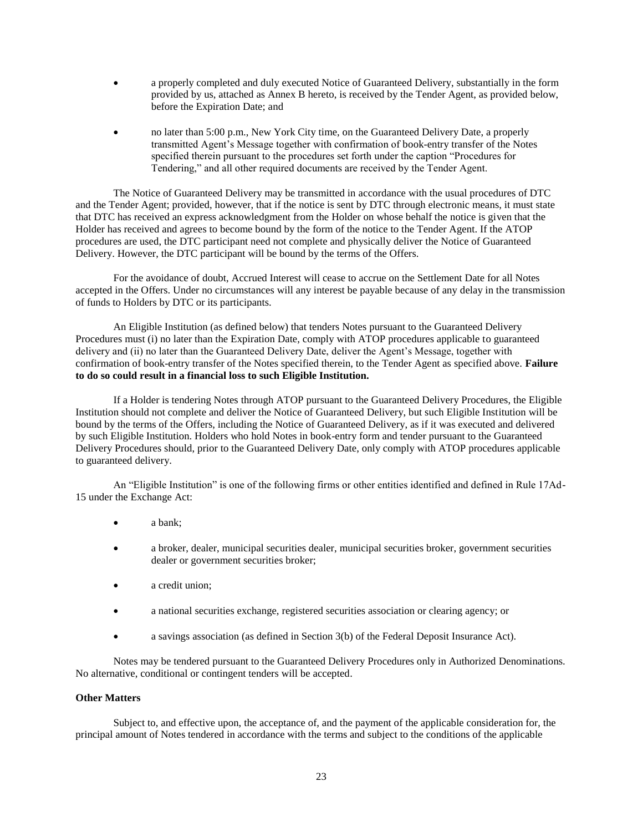- a properly completed and duly executed Notice of Guaranteed Delivery, substantially in the form provided by us, attached as Annex B hereto, is received by the Tender Agent, as provided below, before the Expiration Date; and
- no later than 5:00 p.m., New York City time, on the Guaranteed Delivery Date, a properly transmitted Agent's Message together with confirmation of book-entry transfer of the Notes specified therein pursuant to the procedures set forth under the caption "Procedures for Tendering," and all other required documents are received by the Tender Agent.

The Notice of Guaranteed Delivery may be transmitted in accordance with the usual procedures of DTC and the Tender Agent; provided, however, that if the notice is sent by DTC through electronic means, it must state that DTC has received an express acknowledgment from the Holder on whose behalf the notice is given that the Holder has received and agrees to become bound by the form of the notice to the Tender Agent. If the ATOP procedures are used, the DTC participant need not complete and physically deliver the Notice of Guaranteed Delivery. However, the DTC participant will be bound by the terms of the Offers.

For the avoidance of doubt, Accrued Interest will cease to accrue on the Settlement Date for all Notes accepted in the Offers. Under no circumstances will any interest be payable because of any delay in the transmission of funds to Holders by DTC or its participants.

An Eligible Institution (as defined below) that tenders Notes pursuant to the Guaranteed Delivery Procedures must (i) no later than the Expiration Date, comply with ATOP procedures applicable to guaranteed delivery and (ii) no later than the Guaranteed Delivery Date, deliver the Agent's Message, together with confirmation of book-entry transfer of the Notes specified therein, to the Tender Agent as specified above. **Failure to do so could result in a financial loss to such Eligible Institution.**

If a Holder is tendering Notes through ATOP pursuant to the Guaranteed Delivery Procedures, the Eligible Institution should not complete and deliver the Notice of Guaranteed Delivery, but such Eligible Institution will be bound by the terms of the Offers, including the Notice of Guaranteed Delivery, as if it was executed and delivered by such Eligible Institution. Holders who hold Notes in book-entry form and tender pursuant to the Guaranteed Delivery Procedures should, prior to the Guaranteed Delivery Date, only comply with ATOP procedures applicable to guaranteed delivery.

An "Eligible Institution" is one of the following firms or other entities identified and defined in Rule 17Ad-15 under the Exchange Act:

- a bank:
- a broker, dealer, municipal securities dealer, municipal securities broker, government securities dealer or government securities broker;
- a credit union;
- a national securities exchange, registered securities association or clearing agency; or
- a savings association (as defined in Section 3(b) of the Federal Deposit Insurance Act).

Notes may be tendered pursuant to the Guaranteed Delivery Procedures only in Authorized Denominations. No alternative, conditional or contingent tenders will be accepted.

#### **Other Matters**

Subject to, and effective upon, the acceptance of, and the payment of the applicable consideration for, the principal amount of Notes tendered in accordance with the terms and subject to the conditions of the applicable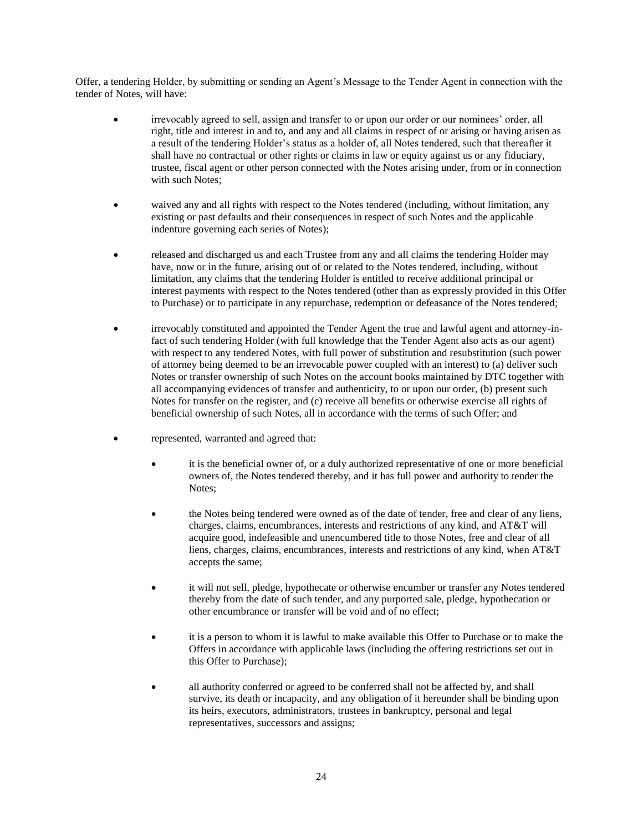Offer, a tendering Holder, by submitting or sending an Agent's Message to the Tender Agent in connection with the tender of Notes, will have:

- irrevocably agreed to sell, assign and transfer to or upon our order or our nominees' order, all right, title and interest in and to, and any and all claims in respect of or arising or having arisen as a result of the tendering Holder's status as a holder of, all Notes tendered, such that thereafter it shall have no contractual or other rights or claims in law or equity against us or any fiduciary, trustee, fiscal agent or other person connected with the Notes arising under, from or in connection with such Notes;
- waived any and all rights with respect to the Notes tendered (including, without limitation, any existing or past defaults and their consequences in respect of such Notes and the applicable indenture governing each series of Notes);
- released and discharged us and each Trustee from any and all claims the tendering Holder may have, now or in the future, arising out of or related to the Notes tendered, including, without limitation, any claims that the tendering Holder is entitled to receive additional principal or interest payments with respect to the Notes tendered (other than as expressly provided in this Offer to Purchase) or to participate in any repurchase, redemption or defeasance of the Notes tendered;
- irrevocably constituted and appointed the Tender Agent the true and lawful agent and attorney-infact of such tendering Holder (with full knowledge that the Tender Agent also acts as our agent) with respect to any tendered Notes, with full power of substitution and resubstitution (such power of attorney being deemed to be an irrevocable power coupled with an interest) to (a) deliver such Notes or transfer ownership of such Notes on the account books maintained by DTC together with all accompanying evidences of transfer and authenticity, to or upon our order, (b) present such Notes for transfer on the register, and (c) receive all benefits or otherwise exercise all rights of beneficial ownership of such Notes, all in accordance with the terms of such Offer; and
- represented, warranted and agreed that:
	- it is the beneficial owner of, or a duly authorized representative of one or more beneficial owners of, the Notes tendered thereby, and it has full power and authority to tender the Notes;
	- the Notes being tendered were owned as of the date of tender, free and clear of any liens, charges, claims, encumbrances, interests and restrictions of any kind, and AT&T will acquire good, indefeasible and unencumbered title to those Notes, free and clear of all liens, charges, claims, encumbrances, interests and restrictions of any kind, when AT&T accepts the same;
	- it will not sell, pledge, hypothecate or otherwise encumber or transfer any Notes tendered thereby from the date of such tender, and any purported sale, pledge, hypothecation or other encumbrance or transfer will be void and of no effect;
	- it is a person to whom it is lawful to make available this Offer to Purchase or to make the Offers in accordance with applicable laws (including the offering restrictions set out in this Offer to Purchase);
	- all authority conferred or agreed to be conferred shall not be affected by, and shall survive, its death or incapacity, and any obligation of it hereunder shall be binding upon its heirs, executors, administrators, trustees in bankruptcy, personal and legal representatives, successors and assigns;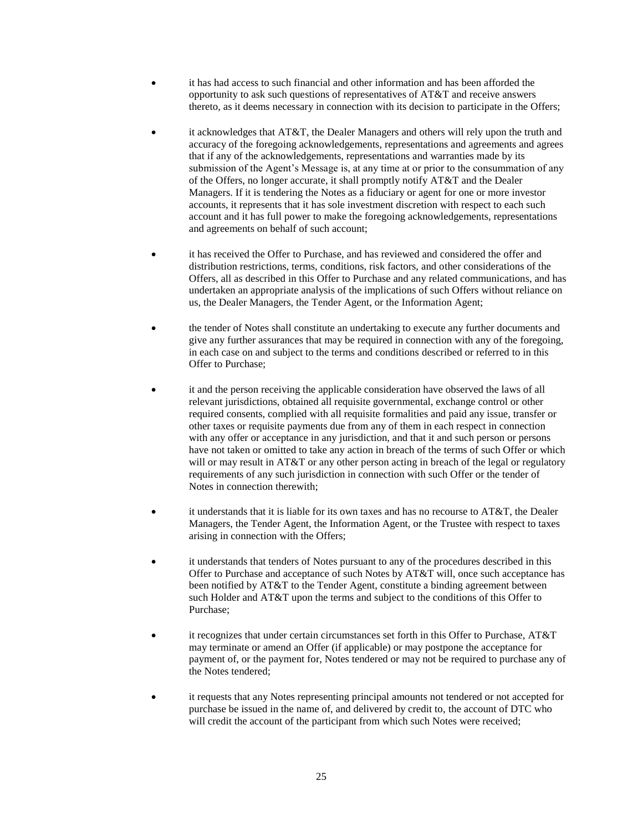- it has had access to such financial and other information and has been afforded the opportunity to ask such questions of representatives of AT&T and receive answers thereto, as it deems necessary in connection with its decision to participate in the Offers;
- it acknowledges that AT&T, the Dealer Managers and others will rely upon the truth and accuracy of the foregoing acknowledgements, representations and agreements and agrees that if any of the acknowledgements, representations and warranties made by its submission of the Agent's Message is, at any time at or prior to the consummation of any of the Offers, no longer accurate, it shall promptly notify AT&T and the Dealer Managers. If it is tendering the Notes as a fiduciary or agent for one or more investor accounts, it represents that it has sole investment discretion with respect to each such account and it has full power to make the foregoing acknowledgements, representations and agreements on behalf of such account;
- it has received the Offer to Purchase, and has reviewed and considered the offer and distribution restrictions, terms, conditions, risk factors, and other considerations of the Offers, all as described in this Offer to Purchase and any related communications, and has undertaken an appropriate analysis of the implications of such Offers without reliance on us, the Dealer Managers, the Tender Agent, or the Information Agent;
- the tender of Notes shall constitute an undertaking to execute any further documents and give any further assurances that may be required in connection with any of the foregoing, in each case on and subject to the terms and conditions described or referred to in this Offer to Purchase;
- it and the person receiving the applicable consideration have observed the laws of all relevant jurisdictions, obtained all requisite governmental, exchange control or other required consents, complied with all requisite formalities and paid any issue, transfer or other taxes or requisite payments due from any of them in each respect in connection with any offer or acceptance in any jurisdiction, and that it and such person or persons have not taken or omitted to take any action in breach of the terms of such Offer or which will or may result in AT&T or any other person acting in breach of the legal or regulatory requirements of any such jurisdiction in connection with such Offer or the tender of Notes in connection therewith;
- it understands that it is liable for its own taxes and has no recourse to AT&T, the Dealer Managers, the Tender Agent, the Information Agent, or the Trustee with respect to taxes arising in connection with the Offers;
- it understands that tenders of Notes pursuant to any of the procedures described in this Offer to Purchase and acceptance of such Notes by AT&T will, once such acceptance has been notified by AT&T to the Tender Agent, constitute a binding agreement between such Holder and AT&T upon the terms and subject to the conditions of this Offer to Purchase;
- it recognizes that under certain circumstances set forth in this Offer to Purchase, AT&T may terminate or amend an Offer (if applicable) or may postpone the acceptance for payment of, or the payment for, Notes tendered or may not be required to purchase any of the Notes tendered;
- it requests that any Notes representing principal amounts not tendered or not accepted for purchase be issued in the name of, and delivered by credit to, the account of DTC who will credit the account of the participant from which such Notes were received;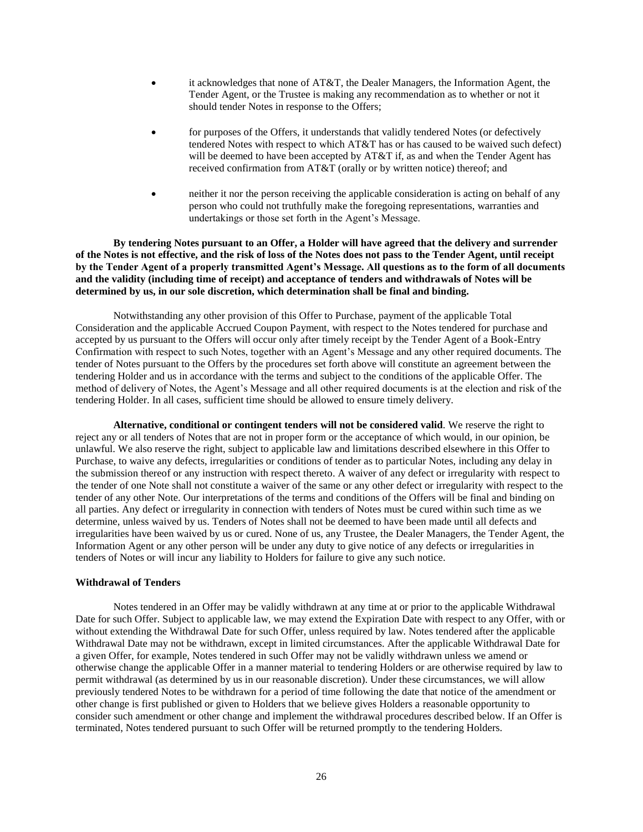- it acknowledges that none of AT&T, the Dealer Managers, the Information Agent, the Tender Agent, or the Trustee is making any recommendation as to whether or not it should tender Notes in response to the Offers;
- for purposes of the Offers, it understands that validly tendered Notes (or defectively tendered Notes with respect to which AT&T has or has caused to be waived such defect) will be deemed to have been accepted by AT&T if, as and when the Tender Agent has received confirmation from AT&T (orally or by written notice) thereof; and
- neither it nor the person receiving the applicable consideration is acting on behalf of any person who could not truthfully make the foregoing representations, warranties and undertakings or those set forth in the Agent's Message.

**By tendering Notes pursuant to an Offer, a Holder will have agreed that the delivery and surrender of the Notes is not effective, and the risk of loss of the Notes does not pass to the Tender Agent, until receipt by the Tender Agent of a properly transmitted Agent's Message. All questions as to the form of all documents and the validity (including time of receipt) and acceptance of tenders and withdrawals of Notes will be determined by us, in our sole discretion, which determination shall be final and binding.**

Notwithstanding any other provision of this Offer to Purchase, payment of the applicable Total Consideration and the applicable Accrued Coupon Payment, with respect to the Notes tendered for purchase and accepted by us pursuant to the Offers will occur only after timely receipt by the Tender Agent of a Book-Entry Confirmation with respect to such Notes, together with an Agent's Message and any other required documents. The tender of Notes pursuant to the Offers by the procedures set forth above will constitute an agreement between the tendering Holder and us in accordance with the terms and subject to the conditions of the applicable Offer. The method of delivery of Notes, the Agent's Message and all other required documents is at the election and risk of the tendering Holder. In all cases, sufficient time should be allowed to ensure timely delivery.

**Alternative, conditional or contingent tenders will not be considered valid**. We reserve the right to reject any or all tenders of Notes that are not in proper form or the acceptance of which would, in our opinion, be unlawful. We also reserve the right, subject to applicable law and limitations described elsewhere in this Offer to Purchase, to waive any defects, irregularities or conditions of tender as to particular Notes, including any delay in the submission thereof or any instruction with respect thereto. A waiver of any defect or irregularity with respect to the tender of one Note shall not constitute a waiver of the same or any other defect or irregularity with respect to the tender of any other Note. Our interpretations of the terms and conditions of the Offers will be final and binding on all parties. Any defect or irregularity in connection with tenders of Notes must be cured within such time as we determine, unless waived by us. Tenders of Notes shall not be deemed to have been made until all defects and irregularities have been waived by us or cured. None of us, any Trustee, the Dealer Managers, the Tender Agent, the Information Agent or any other person will be under any duty to give notice of any defects or irregularities in tenders of Notes or will incur any liability to Holders for failure to give any such notice.

### **Withdrawal of Tenders**

Notes tendered in an Offer may be validly withdrawn at any time at or prior to the applicable Withdrawal Date for such Offer. Subject to applicable law, we may extend the Expiration Date with respect to any Offer, with or without extending the Withdrawal Date for such Offer, unless required by law. Notes tendered after the applicable Withdrawal Date may not be withdrawn, except in limited circumstances. After the applicable Withdrawal Date for a given Offer, for example, Notes tendered in such Offer may not be validly withdrawn unless we amend or otherwise change the applicable Offer in a manner material to tendering Holders or are otherwise required by law to permit withdrawal (as determined by us in our reasonable discretion). Under these circumstances, we will allow previously tendered Notes to be withdrawn for a period of time following the date that notice of the amendment or other change is first published or given to Holders that we believe gives Holders a reasonable opportunity to consider such amendment or other change and implement the withdrawal procedures described below. If an Offer is terminated, Notes tendered pursuant to such Offer will be returned promptly to the tendering Holders.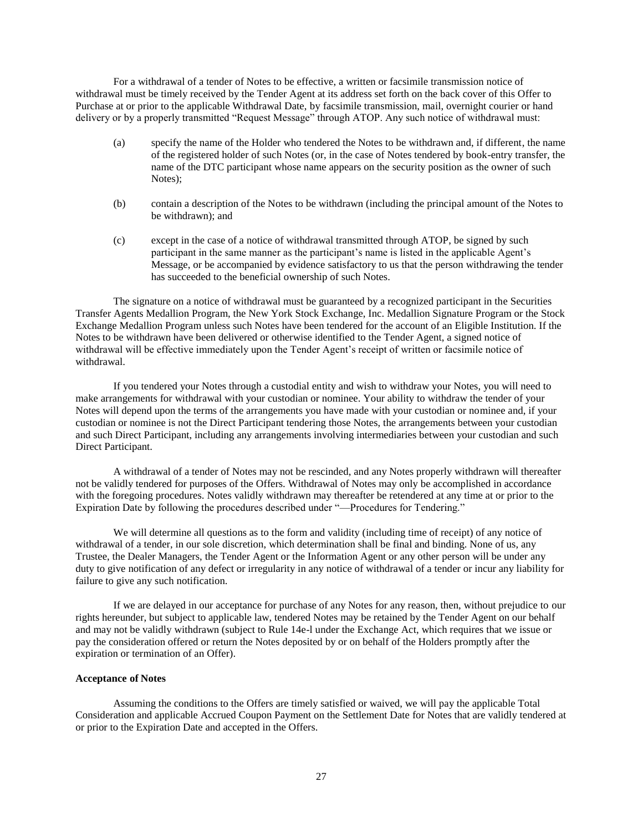For a withdrawal of a tender of Notes to be effective, a written or facsimile transmission notice of withdrawal must be timely received by the Tender Agent at its address set forth on the back cover of this Offer to Purchase at or prior to the applicable Withdrawal Date, by facsimile transmission, mail, overnight courier or hand delivery or by a properly transmitted "Request Message" through ATOP. Any such notice of withdrawal must:

- (a) specify the name of the Holder who tendered the Notes to be withdrawn and, if different, the name of the registered holder of such Notes (or, in the case of Notes tendered by book-entry transfer, the name of the DTC participant whose name appears on the security position as the owner of such Notes);
- (b) contain a description of the Notes to be withdrawn (including the principal amount of the Notes to be withdrawn); and
- (c) except in the case of a notice of withdrawal transmitted through ATOP, be signed by such participant in the same manner as the participant's name is listed in the applicable Agent's Message, or be accompanied by evidence satisfactory to us that the person withdrawing the tender has succeeded to the beneficial ownership of such Notes.

The signature on a notice of withdrawal must be guaranteed by a recognized participant in the Securities Transfer Agents Medallion Program, the New York Stock Exchange, Inc. Medallion Signature Program or the Stock Exchange Medallion Program unless such Notes have been tendered for the account of an Eligible Institution. If the Notes to be withdrawn have been delivered or otherwise identified to the Tender Agent, a signed notice of withdrawal will be effective immediately upon the Tender Agent's receipt of written or facsimile notice of withdrawal.

If you tendered your Notes through a custodial entity and wish to withdraw your Notes, you will need to make arrangements for withdrawal with your custodian or nominee. Your ability to withdraw the tender of your Notes will depend upon the terms of the arrangements you have made with your custodian or nominee and, if your custodian or nominee is not the Direct Participant tendering those Notes, the arrangements between your custodian and such Direct Participant, including any arrangements involving intermediaries between your custodian and such Direct Participant.

A withdrawal of a tender of Notes may not be rescinded, and any Notes properly withdrawn will thereafter not be validly tendered for purposes of the Offers. Withdrawal of Notes may only be accomplished in accordance with the foregoing procedures. Notes validly withdrawn may thereafter be retendered at any time at or prior to the Expiration Date by following the procedures described under "—Procedures for Tendering."

We will determine all questions as to the form and validity (including time of receipt) of any notice of withdrawal of a tender, in our sole discretion, which determination shall be final and binding. None of us, any Trustee, the Dealer Managers, the Tender Agent or the Information Agent or any other person will be under any duty to give notification of any defect or irregularity in any notice of withdrawal of a tender or incur any liability for failure to give any such notification.

If we are delayed in our acceptance for purchase of any Notes for any reason, then, without prejudice to our rights hereunder, but subject to applicable law, tendered Notes may be retained by the Tender Agent on our behalf and may not be validly withdrawn (subject to Rule 14e-l under the Exchange Act, which requires that we issue or pay the consideration offered or return the Notes deposited by or on behalf of the Holders promptly after the expiration or termination of an Offer).

## **Acceptance of Notes**

Assuming the conditions to the Offers are timely satisfied or waived, we will pay the applicable Total Consideration and applicable Accrued Coupon Payment on the Settlement Date for Notes that are validly tendered at or prior to the Expiration Date and accepted in the Offers.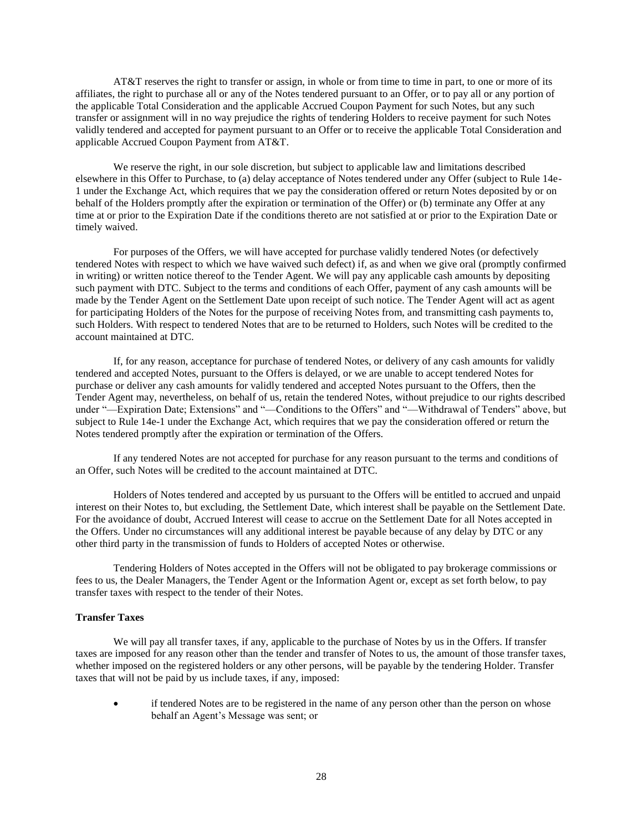AT&T reserves the right to transfer or assign, in whole or from time to time in part, to one or more of its affiliates, the right to purchase all or any of the Notes tendered pursuant to an Offer, or to pay all or any portion of the applicable Total Consideration and the applicable Accrued Coupon Payment for such Notes, but any such transfer or assignment will in no way prejudice the rights of tendering Holders to receive payment for such Notes validly tendered and accepted for payment pursuant to an Offer or to receive the applicable Total Consideration and applicable Accrued Coupon Payment from AT&T.

We reserve the right, in our sole discretion, but subject to applicable law and limitations described elsewhere in this Offer to Purchase, to (a) delay acceptance of Notes tendered under any Offer (subject to Rule 14e-1 under the Exchange Act, which requires that we pay the consideration offered or return Notes deposited by or on behalf of the Holders promptly after the expiration or termination of the Offer) or (b) terminate any Offer at any time at or prior to the Expiration Date if the conditions thereto are not satisfied at or prior to the Expiration Date or timely waived.

For purposes of the Offers, we will have accepted for purchase validly tendered Notes (or defectively tendered Notes with respect to which we have waived such defect) if, as and when we give oral (promptly confirmed in writing) or written notice thereof to the Tender Agent. We will pay any applicable cash amounts by depositing such payment with DTC. Subject to the terms and conditions of each Offer, payment of any cash amounts will be made by the Tender Agent on the Settlement Date upon receipt of such notice. The Tender Agent will act as agent for participating Holders of the Notes for the purpose of receiving Notes from, and transmitting cash payments to, such Holders. With respect to tendered Notes that are to be returned to Holders, such Notes will be credited to the account maintained at DTC.

If, for any reason, acceptance for purchase of tendered Notes, or delivery of any cash amounts for validly tendered and accepted Notes, pursuant to the Offers is delayed, or we are unable to accept tendered Notes for purchase or deliver any cash amounts for validly tendered and accepted Notes pursuant to the Offers, then the Tender Agent may, nevertheless, on behalf of us, retain the tendered Notes, without prejudice to our rights described under "—Expiration Date; Extensions" and "—Conditions to the Offers" and "—Withdrawal of Tenders" above, but subject to Rule 14e-1 under the Exchange Act, which requires that we pay the consideration offered or return the Notes tendered promptly after the expiration or termination of the Offers.

If any tendered Notes are not accepted for purchase for any reason pursuant to the terms and conditions of an Offer, such Notes will be credited to the account maintained at DTC.

Holders of Notes tendered and accepted by us pursuant to the Offers will be entitled to accrued and unpaid interest on their Notes to, but excluding, the Settlement Date, which interest shall be payable on the Settlement Date. For the avoidance of doubt, Accrued Interest will cease to accrue on the Settlement Date for all Notes accepted in the Offers. Under no circumstances will any additional interest be payable because of any delay by DTC or any other third party in the transmission of funds to Holders of accepted Notes or otherwise.

Tendering Holders of Notes accepted in the Offers will not be obligated to pay brokerage commissions or fees to us, the Dealer Managers, the Tender Agent or the Information Agent or, except as set forth below, to pay transfer taxes with respect to the tender of their Notes.

## **Transfer Taxes**

We will pay all transfer taxes, if any, applicable to the purchase of Notes by us in the Offers. If transfer taxes are imposed for any reason other than the tender and transfer of Notes to us, the amount of those transfer taxes, whether imposed on the registered holders or any other persons, will be payable by the tendering Holder. Transfer taxes that will not be paid by us include taxes, if any, imposed:

 if tendered Notes are to be registered in the name of any person other than the person on whose behalf an Agent's Message was sent; or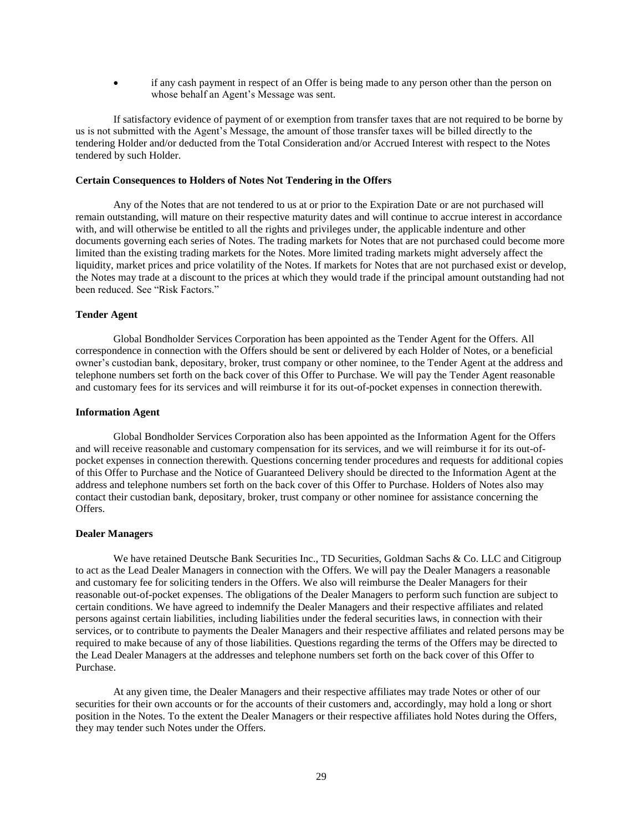if any cash payment in respect of an Offer is being made to any person other than the person on whose behalf an Agent's Message was sent.

If satisfactory evidence of payment of or exemption from transfer taxes that are not required to be borne by us is not submitted with the Agent's Message, the amount of those transfer taxes will be billed directly to the tendering Holder and/or deducted from the Total Consideration and/or Accrued Interest with respect to the Notes tendered by such Holder.

#### **Certain Consequences to Holders of Notes Not Tendering in the Offers**

Any of the Notes that are not tendered to us at or prior to the Expiration Date or are not purchased will remain outstanding, will mature on their respective maturity dates and will continue to accrue interest in accordance with, and will otherwise be entitled to all the rights and privileges under, the applicable indenture and other documents governing each series of Notes. The trading markets for Notes that are not purchased could become more limited than the existing trading markets for the Notes. More limited trading markets might adversely affect the liquidity, market prices and price volatility of the Notes. If markets for Notes that are not purchased exist or develop, the Notes may trade at a discount to the prices at which they would trade if the principal amount outstanding had not been reduced. See "Risk Factors."

#### **Tender Agent**

Global Bondholder Services Corporation has been appointed as the Tender Agent for the Offers. All correspondence in connection with the Offers should be sent or delivered by each Holder of Notes, or a beneficial owner's custodian bank, depositary, broker, trust company or other nominee, to the Tender Agent at the address and telephone numbers set forth on the back cover of this Offer to Purchase. We will pay the Tender Agent reasonable and customary fees for its services and will reimburse it for its out-of-pocket expenses in connection therewith.

#### **Information Agent**

Global Bondholder Services Corporation also has been appointed as the Information Agent for the Offers and will receive reasonable and customary compensation for its services, and we will reimburse it for its out-ofpocket expenses in connection therewith. Questions concerning tender procedures and requests for additional copies of this Offer to Purchase and the Notice of Guaranteed Delivery should be directed to the Information Agent at the address and telephone numbers set forth on the back cover of this Offer to Purchase. Holders of Notes also may contact their custodian bank, depositary, broker, trust company or other nominee for assistance concerning the Offers.

#### **Dealer Managers**

We have retained Deutsche Bank Securities Inc., TD Securities, Goldman Sachs & Co. LLC and Citigroup to act as the Lead Dealer Managers in connection with the Offers. We will pay the Dealer Managers a reasonable and customary fee for soliciting tenders in the Offers. We also will reimburse the Dealer Managers for their reasonable out-of-pocket expenses. The obligations of the Dealer Managers to perform such function are subject to certain conditions. We have agreed to indemnify the Dealer Managers and their respective affiliates and related persons against certain liabilities, including liabilities under the federal securities laws, in connection with their services, or to contribute to payments the Dealer Managers and their respective affiliates and related persons may be required to make because of any of those liabilities. Questions regarding the terms of the Offers may be directed to the Lead Dealer Managers at the addresses and telephone numbers set forth on the back cover of this Offer to Purchase.

At any given time, the Dealer Managers and their respective affiliates may trade Notes or other of our securities for their own accounts or for the accounts of their customers and, accordingly, may hold a long or short position in the Notes. To the extent the Dealer Managers or their respective affiliates hold Notes during the Offers, they may tender such Notes under the Offers.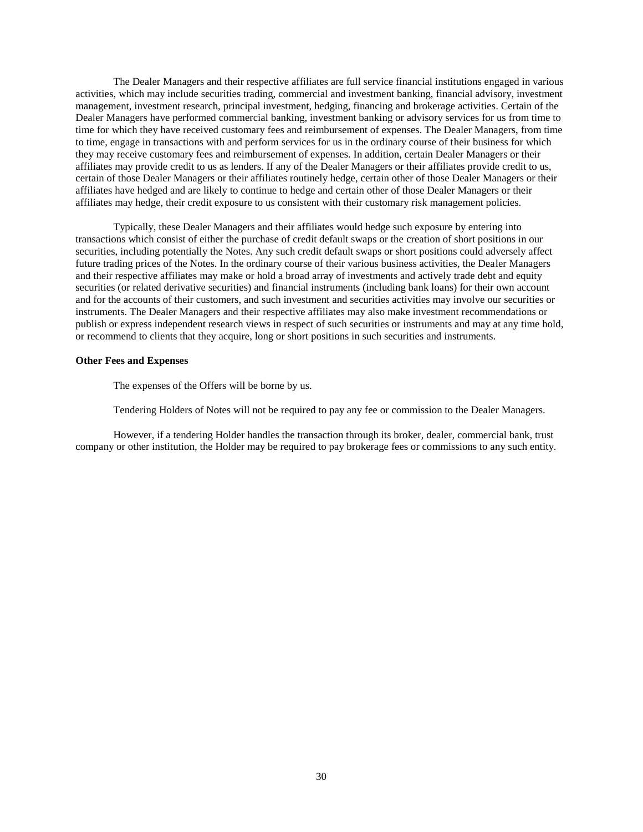The Dealer Managers and their respective affiliates are full service financial institutions engaged in various activities, which may include securities trading, commercial and investment banking, financial advisory, investment management, investment research, principal investment, hedging, financing and brokerage activities. Certain of the Dealer Managers have performed commercial banking, investment banking or advisory services for us from time to time for which they have received customary fees and reimbursement of expenses. The Dealer Managers, from time to time, engage in transactions with and perform services for us in the ordinary course of their business for which they may receive customary fees and reimbursement of expenses. In addition, certain Dealer Managers or their affiliates may provide credit to us as lenders. If any of the Dealer Managers or their affiliates provide credit to us, certain of those Dealer Managers or their affiliates routinely hedge, certain other of those Dealer Managers or their affiliates have hedged and are likely to continue to hedge and certain other of those Dealer Managers or their affiliates may hedge, their credit exposure to us consistent with their customary risk management policies.

Typically, these Dealer Managers and their affiliates would hedge such exposure by entering into transactions which consist of either the purchase of credit default swaps or the creation of short positions in our securities, including potentially the Notes. Any such credit default swaps or short positions could adversely affect future trading prices of the Notes. In the ordinary course of their various business activities, the Dealer Managers and their respective affiliates may make or hold a broad array of investments and actively trade debt and equity securities (or related derivative securities) and financial instruments (including bank loans) for their own account and for the accounts of their customers, and such investment and securities activities may involve our securities or instruments. The Dealer Managers and their respective affiliates may also make investment recommendations or publish or express independent research views in respect of such securities or instruments and may at any time hold, or recommend to clients that they acquire, long or short positions in such securities and instruments.

#### **Other Fees and Expenses**

The expenses of the Offers will be borne by us.

Tendering Holders of Notes will not be required to pay any fee or commission to the Dealer Managers.

However, if a tendering Holder handles the transaction through its broker, dealer, commercial bank, trust company or other institution, the Holder may be required to pay brokerage fees or commissions to any such entity.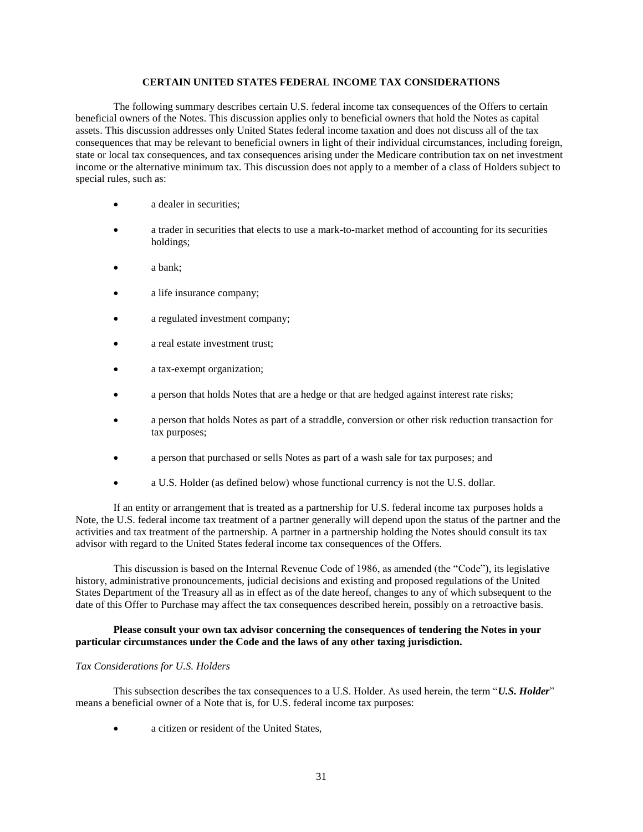## **CERTAIN UNITED STATES FEDERAL INCOME TAX CONSIDERATIONS**

The following summary describes certain U.S. federal income tax consequences of the Offers to certain beneficial owners of the Notes. This discussion applies only to beneficial owners that hold the Notes as capital assets. This discussion addresses only United States federal income taxation and does not discuss all of the tax consequences that may be relevant to beneficial owners in light of their individual circumstances, including foreign, state or local tax consequences, and tax consequences arising under the Medicare contribution tax on net investment income or the alternative minimum tax. This discussion does not apply to a member of a class of Holders subject to special rules, such as:

- a dealer in securities;
- a trader in securities that elects to use a mark-to-market method of accounting for its securities holdings;
- a bank;
- a life insurance company;
- a regulated investment company;
- a real estate investment trust;
- a tax-exempt organization;
- a person that holds Notes that are a hedge or that are hedged against interest rate risks;
- a person that holds Notes as part of a straddle, conversion or other risk reduction transaction for tax purposes;
- a person that purchased or sells Notes as part of a wash sale for tax purposes; and
- a U.S. Holder (as defined below) whose functional currency is not the U.S. dollar.

If an entity or arrangement that is treated as a partnership for U.S. federal income tax purposes holds a Note, the U.S. federal income tax treatment of a partner generally will depend upon the status of the partner and the activities and tax treatment of the partnership. A partner in a partnership holding the Notes should consult its tax advisor with regard to the United States federal income tax consequences of the Offers.

This discussion is based on the Internal Revenue Code of 1986, as amended (the "Code"), its legislative history, administrative pronouncements, judicial decisions and existing and proposed regulations of the United States Department of the Treasury all as in effect as of the date hereof, changes to any of which subsequent to the date of this Offer to Purchase may affect the tax consequences described herein, possibly on a retroactive basis.

## **Please consult your own tax advisor concerning the consequences of tendering the Notes in your particular circumstances under the Code and the laws of any other taxing jurisdiction.**

## *Tax Considerations for U.S. Holders*

This subsection describes the tax consequences to a U.S. Holder. As used herein, the term "*U.S. Holder*" means a beneficial owner of a Note that is, for U.S. federal income tax purposes:

a citizen or resident of the United States,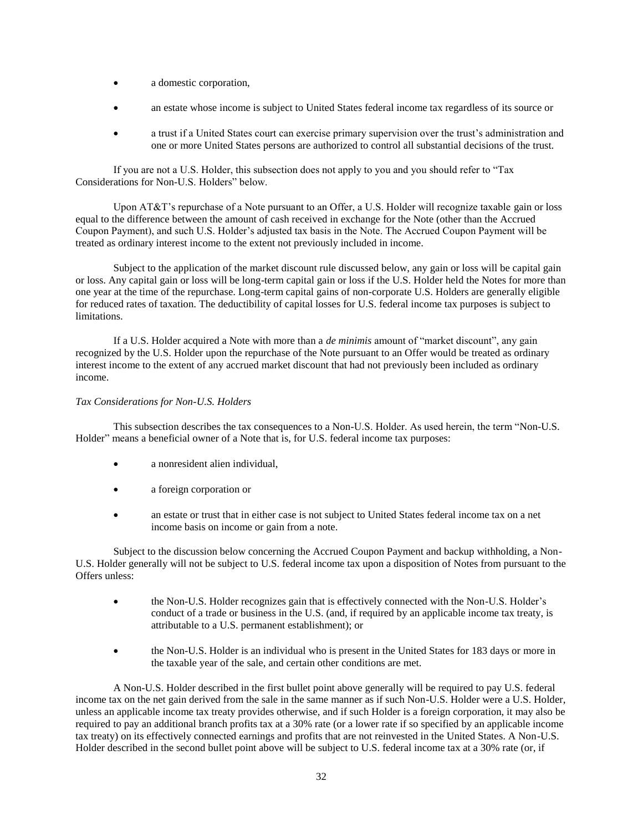- a domestic corporation,
- an estate whose income is subject to United States federal income tax regardless of its source or
- a trust if a United States court can exercise primary supervision over the trust's administration and one or more United States persons are authorized to control all substantial decisions of the trust.

If you are not a U.S. Holder, this subsection does not apply to you and you should refer to "Tax Considerations for Non-U.S. Holders" below.

Upon AT&T's repurchase of a Note pursuant to an Offer, a U.S. Holder will recognize taxable gain or loss equal to the difference between the amount of cash received in exchange for the Note (other than the Accrued Coupon Payment), and such U.S. Holder's adjusted tax basis in the Note. The Accrued Coupon Payment will be treated as ordinary interest income to the extent not previously included in income.

Subject to the application of the market discount rule discussed below, any gain or loss will be capital gain or loss. Any capital gain or loss will be long-term capital gain or loss if the U.S. Holder held the Notes for more than one year at the time of the repurchase. Long-term capital gains of non-corporate U.S. Holders are generally eligible for reduced rates of taxation. The deductibility of capital losses for U.S. federal income tax purposes is subject to limitations.

If a U.S. Holder acquired a Note with more than a *de minimis* amount of "market discount", any gain recognized by the U.S. Holder upon the repurchase of the Note pursuant to an Offer would be treated as ordinary interest income to the extent of any accrued market discount that had not previously been included as ordinary income.

## *Tax Considerations for Non-U.S. Holders*

This subsection describes the tax consequences to a Non-U.S. Holder. As used herein, the term "Non-U.S. Holder" means a beneficial owner of a Note that is, for U.S. federal income tax purposes:

- a nonresident alien individual,
- a foreign corporation or
- an estate or trust that in either case is not subject to United States federal income tax on a net income basis on income or gain from a note.

Subject to the discussion below concerning the Accrued Coupon Payment and backup withholding, a Non-U.S. Holder generally will not be subject to U.S. federal income tax upon a disposition of Notes from pursuant to the Offers unless:

- the Non-U.S. Holder recognizes gain that is effectively connected with the Non-U.S. Holder's conduct of a trade or business in the U.S. (and, if required by an applicable income tax treaty, is attributable to a U.S. permanent establishment); or
- the Non-U.S. Holder is an individual who is present in the United States for 183 days or more in the taxable year of the sale, and certain other conditions are met.

A Non-U.S. Holder described in the first bullet point above generally will be required to pay U.S. federal income tax on the net gain derived from the sale in the same manner as if such Non-U.S. Holder were a U.S. Holder, unless an applicable income tax treaty provides otherwise, and if such Holder is a foreign corporation, it may also be required to pay an additional branch profits tax at a 30% rate (or a lower rate if so specified by an applicable income tax treaty) on its effectively connected earnings and profits that are not reinvested in the United States. A Non-U.S. Holder described in the second bullet point above will be subject to U.S. federal income tax at a 30% rate (or, if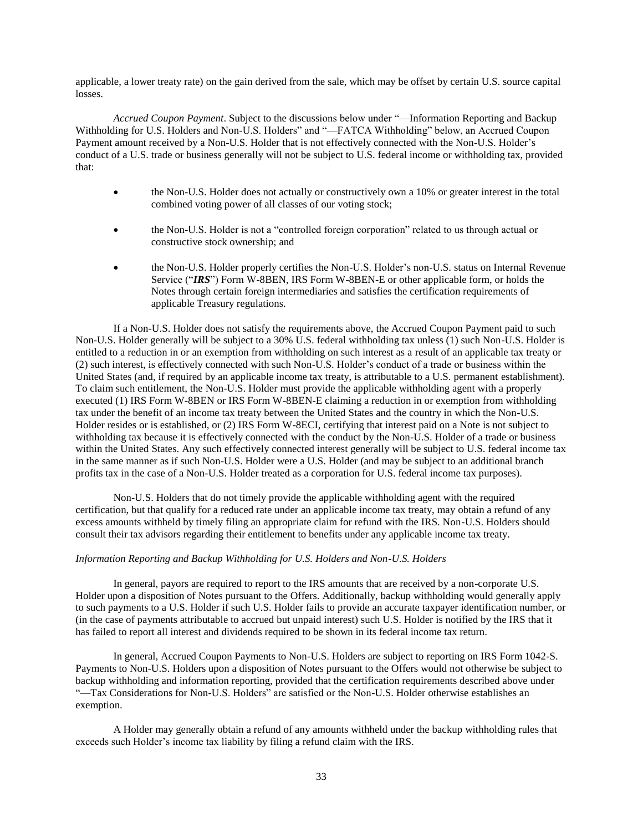applicable, a lower treaty rate) on the gain derived from the sale, which may be offset by certain U.S. source capital losses.

*Accrued Coupon Payment*. Subject to the discussions below under "—Information Reporting and Backup Withholding for U.S. Holders and Non-U.S. Holders" and "-FATCA Withholding" below, an Accrued Coupon Payment amount received by a Non-U.S. Holder that is not effectively connected with the Non-U.S. Holder's conduct of a U.S. trade or business generally will not be subject to U.S. federal income or withholding tax, provided that:

- the Non-U.S. Holder does not actually or constructively own a 10% or greater interest in the total combined voting power of all classes of our voting stock;
- the Non-U.S. Holder is not a "controlled foreign corporation" related to us through actual or constructive stock ownership; and
- the Non-U.S. Holder properly certifies the Non-U.S. Holder's non-U.S. status on Internal Revenue Service ("*IRS*") Form W-8BEN, IRS Form W-8BEN-E or other applicable form, or holds the Notes through certain foreign intermediaries and satisfies the certification requirements of applicable Treasury regulations.

If a Non-U.S. Holder does not satisfy the requirements above, the Accrued Coupon Payment paid to such Non-U.S. Holder generally will be subject to a 30% U.S. federal withholding tax unless (1) such Non-U.S. Holder is entitled to a reduction in or an exemption from withholding on such interest as a result of an applicable tax treaty or (2) such interest, is effectively connected with such Non-U.S. Holder's conduct of a trade or business within the United States (and, if required by an applicable income tax treaty, is attributable to a U.S. permanent establishment). To claim such entitlement, the Non-U.S. Holder must provide the applicable withholding agent with a properly executed (1) IRS Form W-8BEN or IRS Form W-8BEN-E claiming a reduction in or exemption from withholding tax under the benefit of an income tax treaty between the United States and the country in which the Non-U.S. Holder resides or is established, or (2) IRS Form W-8ECI, certifying that interest paid on a Note is not subject to withholding tax because it is effectively connected with the conduct by the Non-U.S. Holder of a trade or business within the United States. Any such effectively connected interest generally will be subject to U.S. federal income tax in the same manner as if such Non-U.S. Holder were a U.S. Holder (and may be subject to an additional branch profits tax in the case of a Non-U.S. Holder treated as a corporation for U.S. federal income tax purposes).

Non-U.S. Holders that do not timely provide the applicable withholding agent with the required certification, but that qualify for a reduced rate under an applicable income tax treaty, may obtain a refund of any excess amounts withheld by timely filing an appropriate claim for refund with the IRS. Non-U.S. Holders should consult their tax advisors regarding their entitlement to benefits under any applicable income tax treaty.

#### *Information Reporting and Backup Withholding for U.S. Holders and Non-U.S. Holders*

In general, payors are required to report to the IRS amounts that are received by a non-corporate U.S. Holder upon a disposition of Notes pursuant to the Offers. Additionally, backup withholding would generally apply to such payments to a U.S. Holder if such U.S. Holder fails to provide an accurate taxpayer identification number, or (in the case of payments attributable to accrued but unpaid interest) such U.S. Holder is notified by the IRS that it has failed to report all interest and dividends required to be shown in its federal income tax return.

In general, Accrued Coupon Payments to Non-U.S. Holders are subject to reporting on IRS Form 1042-S. Payments to Non-U.S. Holders upon a disposition of Notes pursuant to the Offers would not otherwise be subject to backup withholding and information reporting, provided that the certification requirements described above under "—Tax Considerations for Non-U.S. Holders" are satisfied or the Non-U.S. Holder otherwise establishes an exemption.

A Holder may generally obtain a refund of any amounts withheld under the backup withholding rules that exceeds such Holder's income tax liability by filing a refund claim with the IRS.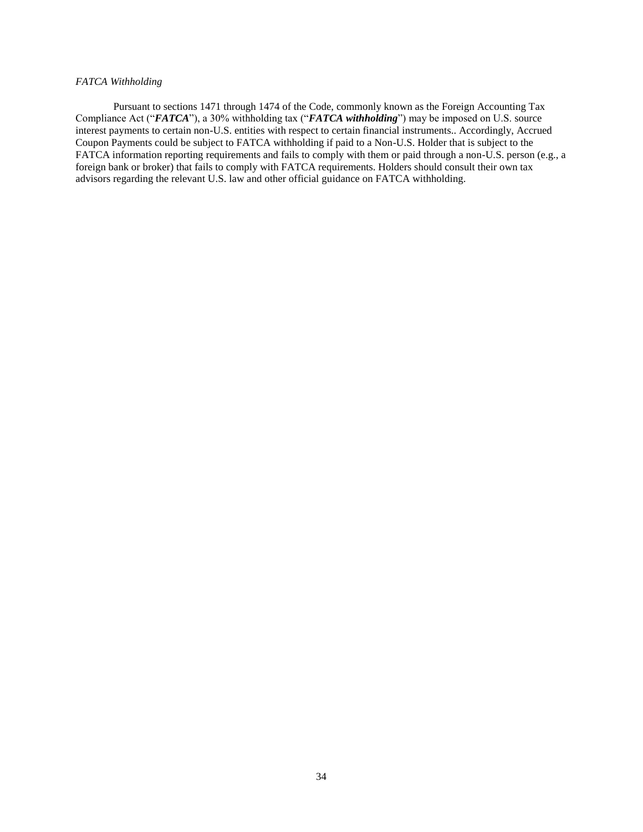## *FATCA Withholding*

Pursuant to sections 1471 through 1474 of the Code, commonly known as the Foreign Accounting Tax Compliance Act ("*FATCA*"), a 30% withholding tax ("*FATCA withholding*") may be imposed on U.S. source interest payments to certain non-U.S. entities with respect to certain financial instruments.. Accordingly, Accrued Coupon Payments could be subject to FATCA withholding if paid to a Non-U.S. Holder that is subject to the FATCA information reporting requirements and fails to comply with them or paid through a non-U.S. person (e.g., a foreign bank or broker) that fails to comply with FATCA requirements. Holders should consult their own tax advisors regarding the relevant U.S. law and other official guidance on FATCA withholding.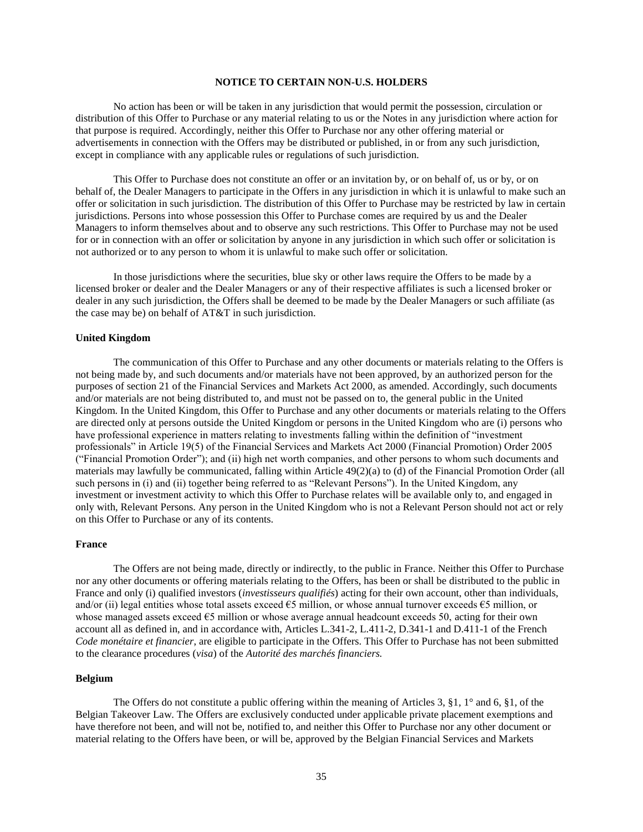## **NOTICE TO CERTAIN NON-U.S. HOLDERS**

No action has been or will be taken in any jurisdiction that would permit the possession, circulation or distribution of this Offer to Purchase or any material relating to us or the Notes in any jurisdiction where action for that purpose is required. Accordingly, neither this Offer to Purchase nor any other offering material or advertisements in connection with the Offers may be distributed or published, in or from any such jurisdiction, except in compliance with any applicable rules or regulations of such jurisdiction.

This Offer to Purchase does not constitute an offer or an invitation by, or on behalf of, us or by, or on behalf of, the Dealer Managers to participate in the Offers in any jurisdiction in which it is unlawful to make such an offer or solicitation in such jurisdiction. The distribution of this Offer to Purchase may be restricted by law in certain jurisdictions. Persons into whose possession this Offer to Purchase comes are required by us and the Dealer Managers to inform themselves about and to observe any such restrictions. This Offer to Purchase may not be used for or in connection with an offer or solicitation by anyone in any jurisdiction in which such offer or solicitation is not authorized or to any person to whom it is unlawful to make such offer or solicitation.

In those jurisdictions where the securities, blue sky or other laws require the Offers to be made by a licensed broker or dealer and the Dealer Managers or any of their respective affiliates is such a licensed broker or dealer in any such jurisdiction, the Offers shall be deemed to be made by the Dealer Managers or such affiliate (as the case may be) on behalf of AT&T in such jurisdiction.

#### **United Kingdom**

The communication of this Offer to Purchase and any other documents or materials relating to the Offers is not being made by, and such documents and/or materials have not been approved, by an authorized person for the purposes of section 21 of the Financial Services and Markets Act 2000, as amended. Accordingly, such documents and/or materials are not being distributed to, and must not be passed on to, the general public in the United Kingdom. In the United Kingdom, this Offer to Purchase and any other documents or materials relating to the Offers are directed only at persons outside the United Kingdom or persons in the United Kingdom who are (i) persons who have professional experience in matters relating to investments falling within the definition of "investment professionals" in Article 19(5) of the Financial Services and Markets Act 2000 (Financial Promotion) Order 2005 ("Financial Promotion Order"); and (ii) high net worth companies, and other persons to whom such documents and materials may lawfully be communicated, falling within Article 49(2)(a) to (d) of the Financial Promotion Order (all such persons in (i) and (ii) together being referred to as "Relevant Persons"). In the United Kingdom, any investment or investment activity to which this Offer to Purchase relates will be available only to, and engaged in only with, Relevant Persons. Any person in the United Kingdom who is not a Relevant Person should not act or rely on this Offer to Purchase or any of its contents.

## **France**

The Offers are not being made, directly or indirectly, to the public in France. Neither this Offer to Purchase nor any other documents or offering materials relating to the Offers, has been or shall be distributed to the public in France and only (i) qualified investors (*investisseurs qualifiés*) acting for their own account, other than individuals, and/or (ii) legal entities whose total assets exceed  $\epsilon$ 5 million, or whose annual turnover exceeds  $\epsilon$ 5 million, or whose managed assets exceed  $\epsilon$ 5 million or whose average annual headcount exceeds 50, acting for their own account all as defined in, and in accordance with, Articles L.341-2, L.411-2, D.341-1 and D.411-1 of the French *Code monétaire et financier*, are eligible to participate in the Offers. This Offer to Purchase has not been submitted to the clearance procedures (*visa*) of the *Autorité des marchés financiers.*

## **Belgium**

The Offers do not constitute a public offering within the meaning of Articles 3, §1, 1° and 6, §1, of the Belgian Takeover Law. The Offers are exclusively conducted under applicable private placement exemptions and have therefore not been, and will not be, notified to, and neither this Offer to Purchase nor any other document or material relating to the Offers have been, or will be, approved by the Belgian Financial Services and Markets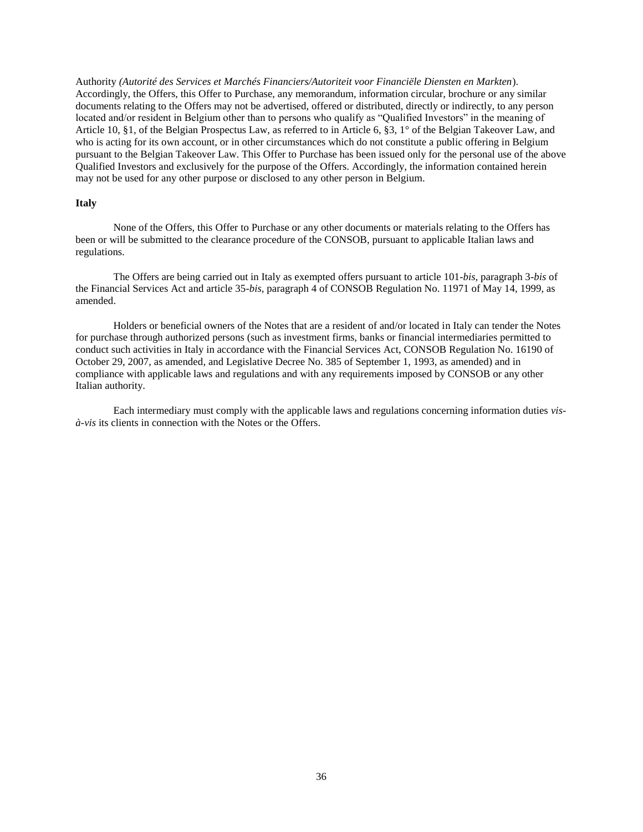Authority *(Autorité des Services et Marchés Financiers/Autoriteit voor Financiële Diensten en Markten*). Accordingly, the Offers, this Offer to Purchase, any memorandum, information circular, brochure or any similar documents relating to the Offers may not be advertised, offered or distributed, directly or indirectly, to any person located and/or resident in Belgium other than to persons who qualify as "Qualified Investors" in the meaning of Article 10, §1, of the Belgian Prospectus Law, as referred to in Article 6, §3, 1° of the Belgian Takeover Law, and who is acting for its own account, or in other circumstances which do not constitute a public offering in Belgium pursuant to the Belgian Takeover Law. This Offer to Purchase has been issued only for the personal use of the above Qualified Investors and exclusively for the purpose of the Offers. Accordingly, the information contained herein may not be used for any other purpose or disclosed to any other person in Belgium.

## **Italy**

None of the Offers, this Offer to Purchase or any other documents or materials relating to the Offers has been or will be submitted to the clearance procedure of the CONSOB, pursuant to applicable Italian laws and regulations.

The Offers are being carried out in Italy as exempted offers pursuant to article 101-*bis*, paragraph 3-*bis* of the Financial Services Act and article 35-*bis*, paragraph 4 of CONSOB Regulation No. 11971 of May 14, 1999, as amended.

Holders or beneficial owners of the Notes that are a resident of and/or located in Italy can tender the Notes for purchase through authorized persons (such as investment firms, banks or financial intermediaries permitted to conduct such activities in Italy in accordance with the Financial Services Act, CONSOB Regulation No. 16190 of October 29, 2007, as amended, and Legislative Decree No. 385 of September 1, 1993, as amended) and in compliance with applicable laws and regulations and with any requirements imposed by CONSOB or any other Italian authority.

Each intermediary must comply with the applicable laws and regulations concerning information duties *visà-vis* its clients in connection with the Notes or the Offers.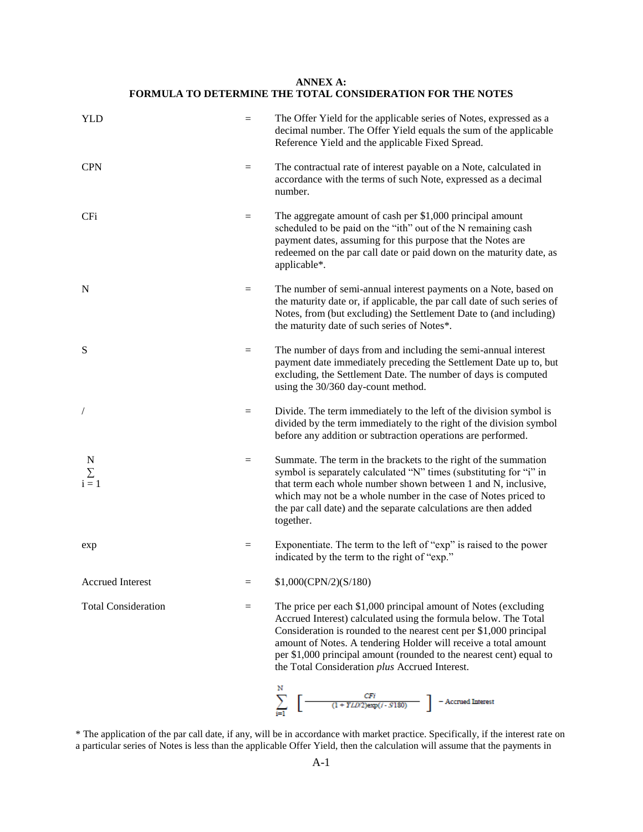# **ANNEX A: FORMULA TO DETERMINE THE TOTAL CONSIDERATION FOR THE NOTES**

| <b>YLD</b>                 | $=$               | The Offer Yield for the applicable series of Notes, expressed as a<br>decimal number. The Offer Yield equals the sum of the applicable<br>Reference Yield and the applicable Fixed Spread.                                                                                                                                                                                                           |
|----------------------------|-------------------|------------------------------------------------------------------------------------------------------------------------------------------------------------------------------------------------------------------------------------------------------------------------------------------------------------------------------------------------------------------------------------------------------|
| <b>CPN</b>                 | $\quad =$         | The contractual rate of interest payable on a Note, calculated in<br>accordance with the terms of such Note, expressed as a decimal<br>number.                                                                                                                                                                                                                                                       |
| <b>CFi</b>                 | $=$               | The aggregate amount of cash per \$1,000 principal amount<br>scheduled to be paid on the "ith" out of the N remaining cash<br>payment dates, assuming for this purpose that the Notes are<br>redeemed on the par call date or paid down on the maturity date, as<br>applicable*.                                                                                                                     |
| N                          | $\qquad \qquad =$ | The number of semi-annual interest payments on a Note, based on<br>the maturity date or, if applicable, the par call date of such series of<br>Notes, from (but excluding) the Settlement Date to (and including)<br>the maturity date of such series of Notes*.                                                                                                                                     |
| S                          | $=$               | The number of days from and including the semi-annual interest<br>payment date immediately preceding the Settlement Date up to, but<br>excluding, the Settlement Date. The number of days is computed<br>using the 30/360 day-count method.                                                                                                                                                          |
|                            | $=$               | Divide. The term immediately to the left of the division symbol is<br>divided by the term immediately to the right of the division symbol<br>before any addition or subtraction operations are performed.                                                                                                                                                                                            |
| $\sum_{i=1}^{N}$           | $=$               | Summate. The term in the brackets to the right of the summation<br>symbol is separately calculated "N" times (substituting for "i" in<br>that term each whole number shown between 1 and N, inclusive,<br>which may not be a whole number in the case of Notes priced to<br>the par call date) and the separate calculations are then added<br>together.                                             |
| exp                        | $=$               | Exponentiate. The term to the left of "exp" is raised to the power<br>indicated by the term to the right of "exp."                                                                                                                                                                                                                                                                                   |
| <b>Accrued Interest</b>    |                   | \$1,000(CPN/2)(S/180)                                                                                                                                                                                                                                                                                                                                                                                |
| <b>Total Consideration</b> | $=$               | The price per each \$1,000 principal amount of Notes (excluding<br>Accrued Interest) calculated using the formula below. The Total<br>Consideration is rounded to the nearest cent per \$1,000 principal<br>amount of Notes. A tendering Holder will receive a total amount<br>per \$1,000 principal amount (rounded to the nearest cent) equal to<br>the Total Consideration plus Accrued Interest. |
|                            |                   | N<br>$\begin{array}{c}\n\text{CFi} \\ (1+YLD/2)\text{exp}(I-S180)\n\end{array}\n\quad \  \  \prod \text{--Accrued Interest}$                                                                                                                                                                                                                                                                         |

\* The application of the par call date, if any, will be in accordance with market practice. Specifically, if the interest rate on a particular series of Notes is less than the applicable Offer Yield, then the calculation will assume that the payments in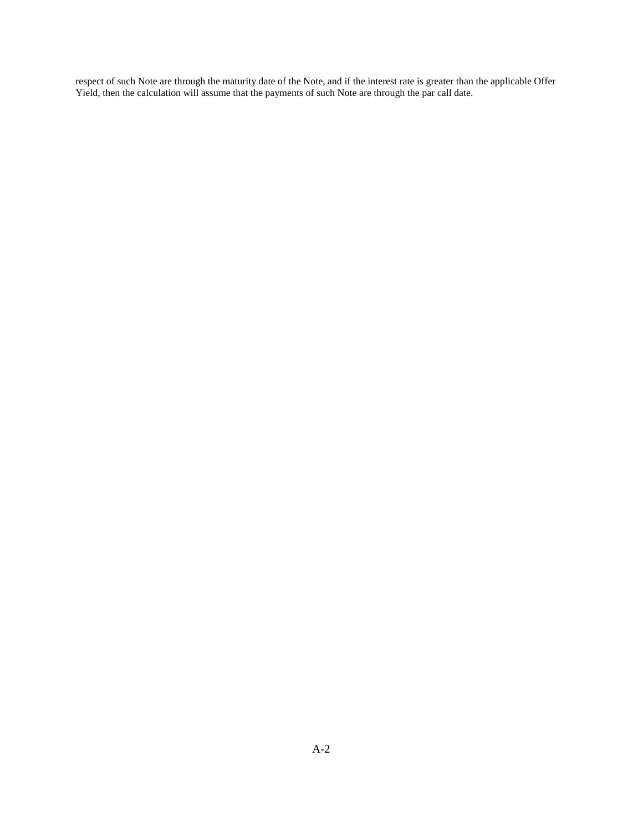respect of such Note are through the maturity date of the Note, and if the interest rate is greater than the applicable Offer Yield, then the calculation will assume that the payments of such Note are through the par call date.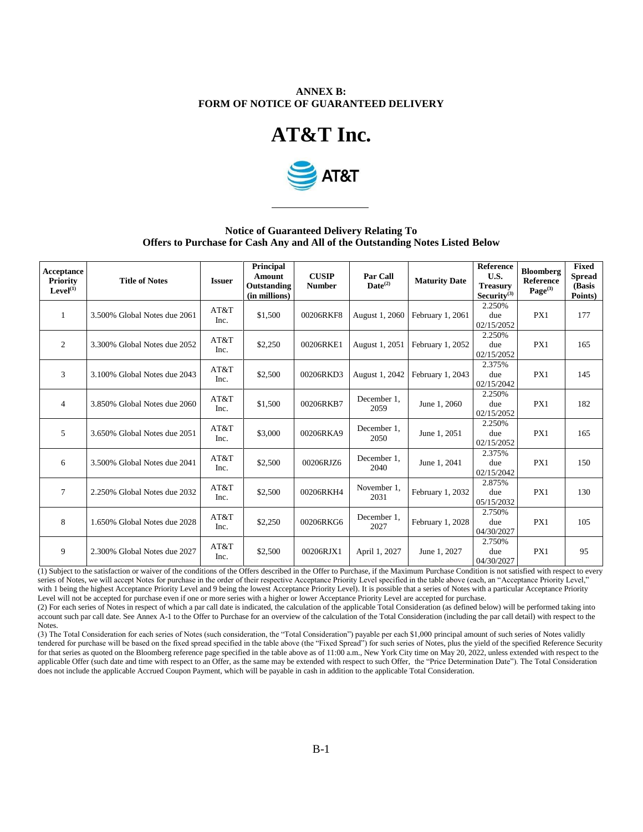## **ANNEX B: FORM OF NOTICE OF GUARANTEED DELIVERY**





# **Notice of Guaranteed Delivery Relating To Offers to Purchase for Cash Any and All of the Outstanding Notes Listed Below**

| <b>Acceptance</b><br>Priority<br>Level <sup>(1)</sup> | <b>Title of Notes</b>        | <b>Issuer</b> | Principal<br>Amount<br>Outstanding<br>(in millions) | <b>CUSIP</b><br><b>Number</b> | <b>Par Call</b><br>$\mathbf{Date}^{(2)}$ | <b>Maturity Date</b> | Reference<br>U.S.<br><b>Treasury</b><br>Security $^{(3)}$ | <b>Bloomberg</b><br><b>Reference</b><br>$Page^{(3)}$ | <b>Fixed</b><br><b>Spread</b><br>(Basis<br>Points) |
|-------------------------------------------------------|------------------------------|---------------|-----------------------------------------------------|-------------------------------|------------------------------------------|----------------------|-----------------------------------------------------------|------------------------------------------------------|----------------------------------------------------|
| 1                                                     | 3.500% Global Notes due 2061 | AT&T<br>Inc.  | \$1,500                                             | 00206RKF8                     | August 1, 2060                           | February 1, 2061     | 2.250%<br>due<br>02/15/2052                               | PX1                                                  | 177                                                |
| $\overline{c}$                                        | 3.300% Global Notes due 2052 | AT&T<br>Inc.  | \$2,250                                             | 00206RKE1                     | August 1, 2051                           | February 1, 2052     | 2.250%<br>due<br>02/15/2052                               | PX1                                                  | 165                                                |
| 3                                                     | 3.100% Global Notes due 2043 | AT&T<br>Inc.  | \$2,500                                             | 00206RKD3                     | August 1, 2042                           | February 1, 2043     | 2.375%<br>due<br>02/15/2042                               | PX1                                                  | 145                                                |
| $\overline{4}$                                        | 3.850% Global Notes due 2060 | AT&T<br>Inc.  | \$1,500                                             | 00206RKB7                     | December 1.<br>2059                      | June 1, 2060         | 2.250%<br>due<br>02/15/2052                               | PX1                                                  | 182                                                |
| 5                                                     | 3.650% Global Notes due 2051 | AT&T<br>Inc.  | \$3,000                                             | 00206RKA9                     | December 1,<br>2050                      | June 1, 2051         | 2.250%<br>due<br>02/15/2052                               | PX1                                                  | 165                                                |
| 6                                                     | 3.500% Global Notes due 2041 | AT&T<br>Inc.  | \$2,500                                             | 00206RJZ6                     | December 1.<br>2040                      | June 1, 2041         | 2.375%<br>due<br>02/15/2042                               | PX1                                                  | 150                                                |
| $\tau$                                                | 2.250% Global Notes due 2032 | AT&T<br>Inc.  | \$2,500                                             | 00206RKH4                     | November 1.<br>2031                      | February 1, 2032     | 2.875%<br>due<br>05/15/2032                               | PX1                                                  | 130                                                |
| 8                                                     | 1.650% Global Notes due 2028 | AT&T<br>Inc.  | \$2,250                                             | 00206RKG6                     | December 1.<br>2027                      | February 1, 2028     | 2.750%<br>due<br>04/30/2027                               | PX1                                                  | 105                                                |
| 9                                                     | 2.300% Global Notes due 2027 | AT&T<br>Inc.  | \$2,500                                             | 00206RJX1                     | April 1, 2027                            | June 1, 2027         | 2.750%<br>due<br>04/30/2027                               | PX1                                                  | 95                                                 |

(1) Subject to the satisfaction or waiver of the conditions of the Offers described in the Offer to Purchase, if the Maximum Purchase Condition is not satisfied with respect to every series of Notes, we will accept Notes for purchase in the order of their respective Acceptance Priority Level specified in the table above (each, an "Acceptance Priority Level," with 1 being the highest Acceptance Priority Level and 9 being the lowest Acceptance Priority Level). It is possible that a series of Notes with a particular Acceptance Priority Level will not be accepted for purchase even if one or more series with a higher or lower Acceptance Priority Level are accepted for purchase.

(2) For each series of Notes in respect of which a par call date is indicated, the calculation of the applicable Total Consideration (as defined below) will be performed taking into account such par call date. See Annex A-1 to the Offer to Purchase for an overview of the calculation of the Total Consideration (including the par call detail) with respect to the Notes.

(3) The Total Consideration for each series of Notes (such consideration, the "Total Consideration") payable per each \$1,000 principal amount of such series of Notes validly tendered for purchase will be based on the fixed spread specified in the table above (the "Fixed Spread") for such series of Notes, plus the yield of the specified Reference Security for that series as quoted on the Bloomberg reference page specified in the table above as of 11:00 a.m., New York City time on May 20, 2022, unless extended with respect to the applicable Offer (such date and time with respect to an Offer, as the same may be extended with respect to such Offer, the "Price Determination Date"). The Total Consideration does not include the applicable Accrued Coupon Payment, which will be payable in cash in addition to the applicable Total Consideration.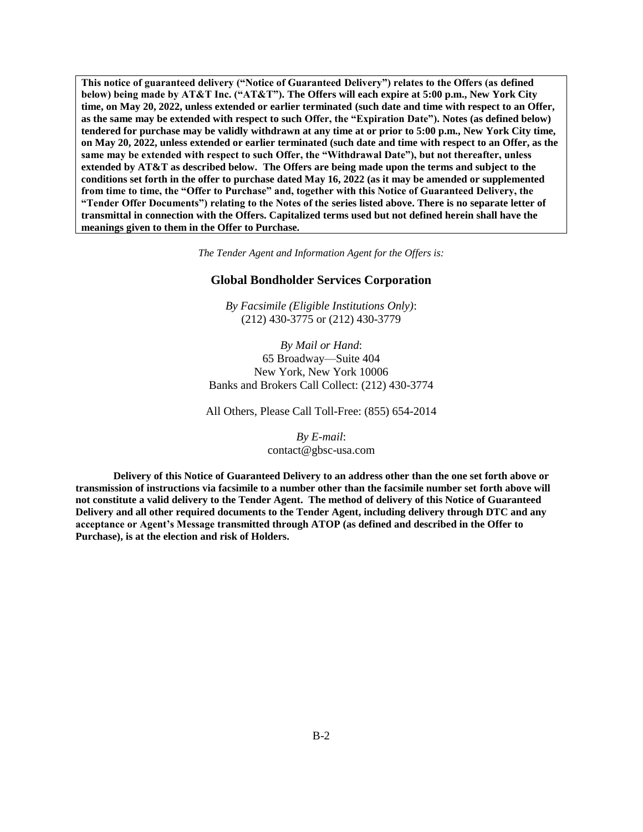**This notice of guaranteed delivery ("Notice of Guaranteed Delivery") relates to the Offers (as defined below) being made by AT&T Inc. ("AT&T"). The Offers will each expire at 5:00 p.m., New York City time, on May 20, 2022, unless extended or earlier terminated (such date and time with respect to an Offer, as the same may be extended with respect to such Offer, the "Expiration Date"). Notes (as defined below) tendered for purchase may be validly withdrawn at any time at or prior to 5:00 p.m., New York City time, on May 20, 2022, unless extended or earlier terminated (such date and time with respect to an Offer, as the same may be extended with respect to such Offer, the "Withdrawal Date"), but not thereafter, unless extended by AT&T as described below. The Offers are being made upon the terms and subject to the conditions set forth in the offer to purchase dated May 16, 2022 (as it may be amended or supplemented from time to time, the "Offer to Purchase" and, together with this Notice of Guaranteed Delivery, the "Tender Offer Documents") relating to the Notes of the series listed above. There is no separate letter of transmittal in connection with the Offers. Capitalized terms used but not defined herein shall have the meanings given to them in the Offer to Purchase.**

*The Tender Agent and Information Agent for the Offers is:*

## **Global Bondholder Services Corporation**

*By Facsimile (Eligible Institutions Only)*: (212) 430-3775 or (212) 430-3779

*By Mail or Hand*: 65 Broadway—Suite 404 New York, New York 10006 Banks and Brokers Call Collect: (212) 430-3774

All Others, Please Call Toll-Free: (855) 654-2014

*By E-mail*: contact@gbsc-usa.com

**Delivery of this Notice of Guaranteed Delivery to an address other than the one set forth above or transmission of instructions via facsimile to a number other than the facsimile number set forth above will not constitute a valid delivery to the Tender Agent. The method of delivery of this Notice of Guaranteed Delivery and all other required documents to the Tender Agent, including delivery through DTC and any acceptance or Agent's Message transmitted through ATOP (as defined and described in the Offer to Purchase), is at the election and risk of Holders.**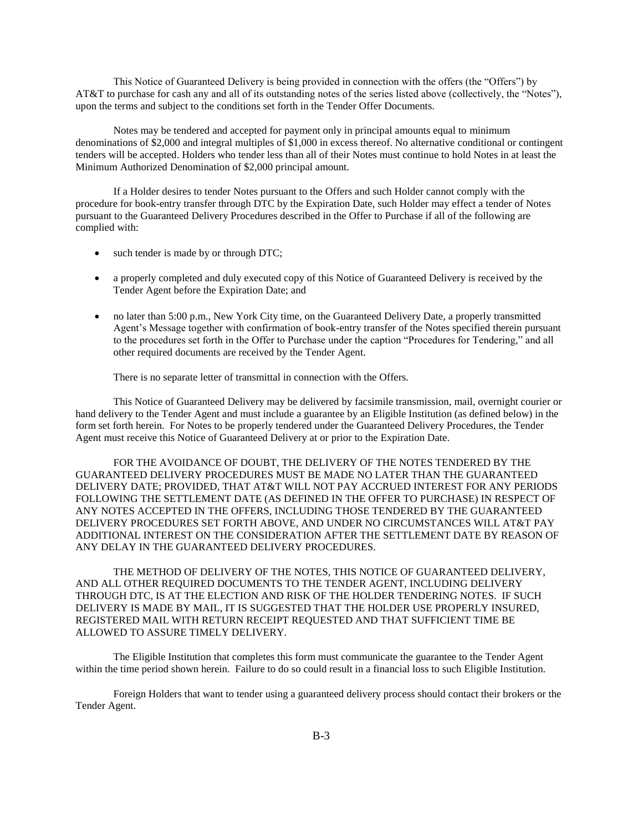This Notice of Guaranteed Delivery is being provided in connection with the offers (the "Offers") by AT&T to purchase for cash any and all of its outstanding notes of the series listed above (collectively, the "Notes"), upon the terms and subject to the conditions set forth in the Tender Offer Documents.

Notes may be tendered and accepted for payment only in principal amounts equal to minimum denominations of \$2,000 and integral multiples of \$1,000 in excess thereof. No alternative conditional or contingent tenders will be accepted. Holders who tender less than all of their Notes must continue to hold Notes in at least the Minimum Authorized Denomination of \$2,000 principal amount.

If a Holder desires to tender Notes pursuant to the Offers and such Holder cannot comply with the procedure for book-entry transfer through DTC by the Expiration Date, such Holder may effect a tender of Notes pursuant to the Guaranteed Delivery Procedures described in the Offer to Purchase if all of the following are complied with:

- such tender is made by or through DTC;
- a properly completed and duly executed copy of this Notice of Guaranteed Delivery is received by the Tender Agent before the Expiration Date; and
- no later than 5:00 p.m., New York City time, on the Guaranteed Delivery Date, a properly transmitted Agent's Message together with confirmation of book-entry transfer of the Notes specified therein pursuant to the procedures set forth in the Offer to Purchase under the caption "Procedures for Tendering," and all other required documents are received by the Tender Agent.

There is no separate letter of transmittal in connection with the Offers.

This Notice of Guaranteed Delivery may be delivered by facsimile transmission, mail, overnight courier or hand delivery to the Tender Agent and must include a guarantee by an Eligible Institution (as defined below) in the form set forth herein. For Notes to be properly tendered under the Guaranteed Delivery Procedures, the Tender Agent must receive this Notice of Guaranteed Delivery at or prior to the Expiration Date.

FOR THE AVOIDANCE OF DOUBT, THE DELIVERY OF THE NOTES TENDERED BY THE GUARANTEED DELIVERY PROCEDURES MUST BE MADE NO LATER THAN THE GUARANTEED DELIVERY DATE; PROVIDED, THAT AT&T WILL NOT PAY ACCRUED INTEREST FOR ANY PERIODS FOLLOWING THE SETTLEMENT DATE (AS DEFINED IN THE OFFER TO PURCHASE) IN RESPECT OF ANY NOTES ACCEPTED IN THE OFFERS, INCLUDING THOSE TENDERED BY THE GUARANTEED DELIVERY PROCEDURES SET FORTH ABOVE, AND UNDER NO CIRCUMSTANCES WILL AT&T PAY ADDITIONAL INTEREST ON THE CONSIDERATION AFTER THE SETTLEMENT DATE BY REASON OF ANY DELAY IN THE GUARANTEED DELIVERY PROCEDURES.

THE METHOD OF DELIVERY OF THE NOTES, THIS NOTICE OF GUARANTEED DELIVERY, AND ALL OTHER REQUIRED DOCUMENTS TO THE TENDER AGENT, INCLUDING DELIVERY THROUGH DTC, IS AT THE ELECTION AND RISK OF THE HOLDER TENDERING NOTES. IF SUCH DELIVERY IS MADE BY MAIL, IT IS SUGGESTED THAT THE HOLDER USE PROPERLY INSURED, REGISTERED MAIL WITH RETURN RECEIPT REQUESTED AND THAT SUFFICIENT TIME BE ALLOWED TO ASSURE TIMELY DELIVERY.

The Eligible Institution that completes this form must communicate the guarantee to the Tender Agent within the time period shown herein. Failure to do so could result in a financial loss to such Eligible Institution.

Foreign Holders that want to tender using a guaranteed delivery process should contact their brokers or the Tender Agent.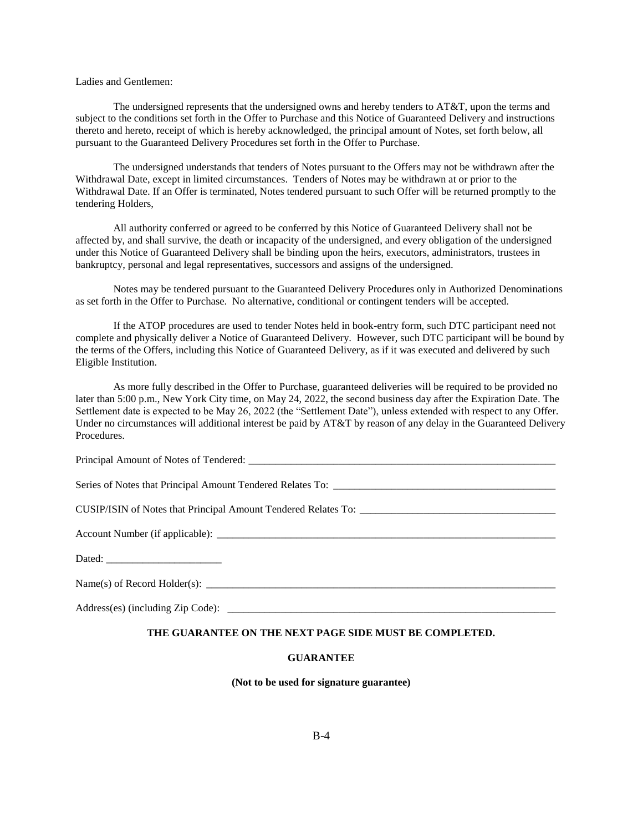## Ladies and Gentlemen:

The undersigned represents that the undersigned owns and hereby tenders to AT&T, upon the terms and subject to the conditions set forth in the Offer to Purchase and this Notice of Guaranteed Delivery and instructions thereto and hereto, receipt of which is hereby acknowledged, the principal amount of Notes, set forth below, all pursuant to the Guaranteed Delivery Procedures set forth in the Offer to Purchase.

The undersigned understands that tenders of Notes pursuant to the Offers may not be withdrawn after the Withdrawal Date, except in limited circumstances. Tenders of Notes may be withdrawn at or prior to the Withdrawal Date. If an Offer is terminated, Notes tendered pursuant to such Offer will be returned promptly to the tendering Holders,

All authority conferred or agreed to be conferred by this Notice of Guaranteed Delivery shall not be affected by, and shall survive, the death or incapacity of the undersigned, and every obligation of the undersigned under this Notice of Guaranteed Delivery shall be binding upon the heirs, executors, administrators, trustees in bankruptcy, personal and legal representatives, successors and assigns of the undersigned.

Notes may be tendered pursuant to the Guaranteed Delivery Procedures only in Authorized Denominations as set forth in the Offer to Purchase. No alternative, conditional or contingent tenders will be accepted.

If the ATOP procedures are used to tender Notes held in book-entry form, such DTC participant need not complete and physically deliver a Notice of Guaranteed Delivery. However, such DTC participant will be bound by the terms of the Offers, including this Notice of Guaranteed Delivery, as if it was executed and delivered by such Eligible Institution.

As more fully described in the Offer to Purchase, guaranteed deliveries will be required to be provided no later than 5:00 p.m., New York City time, on May 24, 2022, the second business day after the Expiration Date. The Settlement date is expected to be May 26, 2022 (the "Settlement Date"), unless extended with respect to any Offer. Under no circumstances will additional interest be paid by AT&T by reason of any delay in the Guaranteed Delivery Procedures.

## **THE GUARANTEE ON THE NEXT PAGE SIDE MUST BE COMPLETED.**

#### **GUARANTEE**

**(Not to be used for signature guarantee)**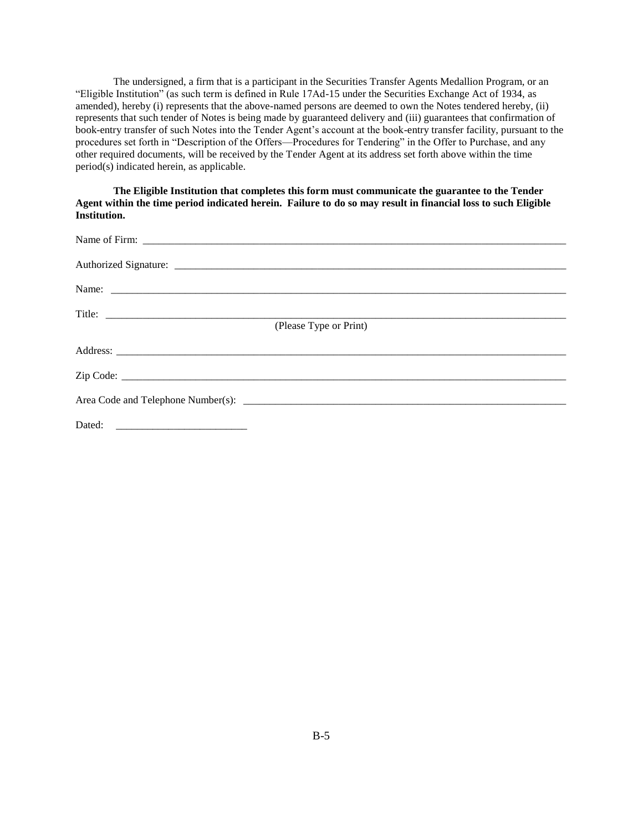The undersigned, a firm that is a participant in the Securities Transfer Agents Medallion Program, or an "Eligible Institution" (as such term is defined in Rule 17Ad-15 under the Securities Exchange Act of 1934, as amended), hereby (i) represents that the above-named persons are deemed to own the Notes tendered hereby, (ii) represents that such tender of Notes is being made by guaranteed delivery and (iii) guarantees that confirmation of book-entry transfer of such Notes into the Tender Agent's account at the book-entry transfer facility, pursuant to the procedures set forth in "Description of the Offers—Procedures for Tendering" in the Offer to Purchase, and any other required documents, will be received by the Tender Agent at its address set forth above within the time period(s) indicated herein, as applicable.

**The Eligible Institution that completes this form must communicate the guarantee to the Tender Agent within the time period indicated herein. Failure to do so may result in financial loss to such Eligible Institution.**

| (Please Type or Print) |
|------------------------|
|                        |
|                        |
|                        |
|                        |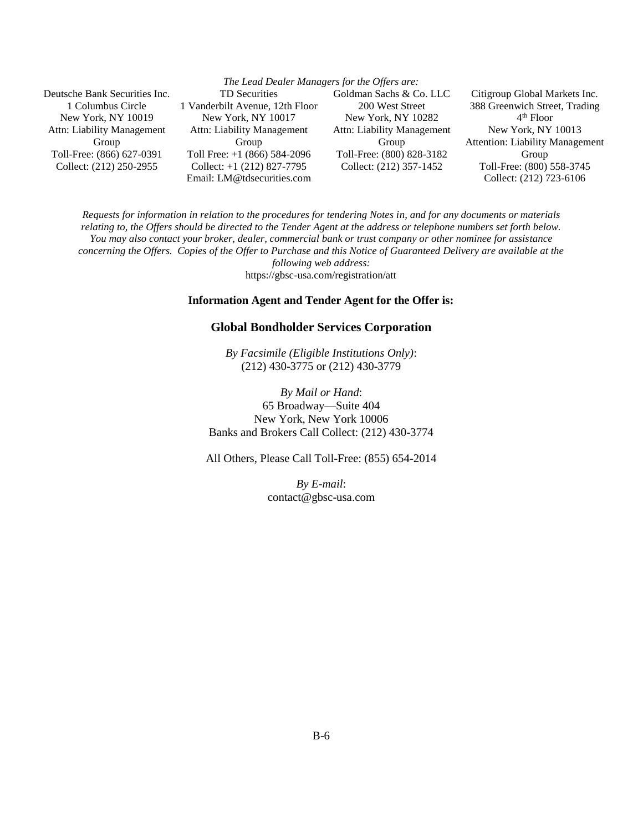| The Lead Dealer Managers for the Offers are: |                                 |                            |                                        |
|----------------------------------------------|---------------------------------|----------------------------|----------------------------------------|
| Deutsche Bank Securities Inc.                | <b>TD</b> Securities            | Goldman Sachs & Co. LLC    | Citigroup Global Markets Inc.          |
| 1 Columbus Circle                            | 1 Vanderbilt Avenue, 12th Floor | 200 West Street            | 388 Greenwich Street, Trading          |
| New York, NY 10019                           | New York, NY 10017              | New York, NY 10282         | $4th$ Floor                            |
| Attn: Liability Management                   | Attn: Liability Management      | Attn: Liability Management | New York, NY 10013                     |
| Group                                        | Group                           | Group                      | <b>Attention: Liability Management</b> |
| Toll-Free: (866) 627-0391                    | Toll Free: $+1$ (866) 584-2096  | Toll-Free: (800) 828-3182  | Group                                  |
| Collect: (212) 250-2955                      | Collect: $+1$ (212) 827-7795    | Collect: (212) 357-1452    | Toll-Free: (800) 558-3745              |
|                                              | Email: LM@tdsecurities.com      |                            | Collect: (212) 723-6106                |

*Requests for information in relation to the procedures for tendering Notes in, and for any documents or materials relating to, the Offers should be directed to the Tender Agent at the address or telephone numbers set forth below. You may also contact your broker, dealer, commercial bank or trust company or other nominee for assistance concerning the Offers. Copies of the Offer to Purchase and this Notice of Guaranteed Delivery are available at the following web address:*

https://gbsc-usa.com/registration/att

# **Information Agent and Tender Agent for the Offer is:**

## **Global Bondholder Services Corporation**

*By Facsimile (Eligible Institutions Only)*: (212) 430-3775 or (212) 430-3779

*By Mail or Hand*: 65 Broadway—Suite 404 New York, New York 10006 Banks and Brokers Call Collect: (212) 430-3774

All Others, Please Call Toll-Free: (855) 654-2014

*By E-mail*: contact@gbsc-usa.com